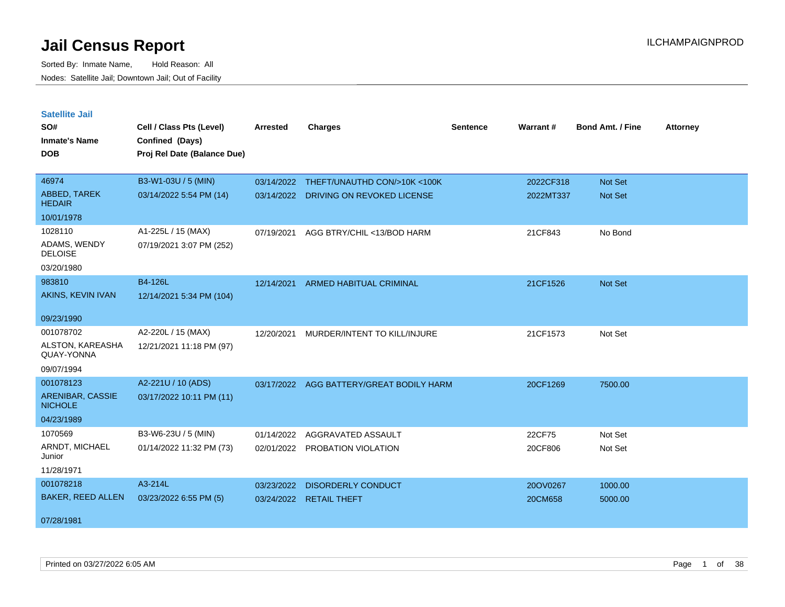| <b>Satellite Jail</b>              |                             |            |                                |          |           |                         |                 |
|------------------------------------|-----------------------------|------------|--------------------------------|----------|-----------|-------------------------|-----------------|
| SO#                                | Cell / Class Pts (Level)    | Arrested   | <b>Charges</b>                 | Sentence | Warrant#  | <b>Bond Amt. / Fine</b> | <b>Attorney</b> |
| Inmate's Name                      | Confined (Days)             |            |                                |          |           |                         |                 |
| <b>DOB</b>                         | Proj Rel Date (Balance Due) |            |                                |          |           |                         |                 |
|                                    |                             |            |                                |          |           |                         |                 |
| 46974                              | B3-W1-03U / 5 (MIN)         | 03/14/2022 | THEFT/UNAUTHD CON/>10K <100K   |          | 2022CF318 | <b>Not Set</b>          |                 |
| ABBED, TAREK<br><b>HEDAIR</b>      | 03/14/2022 5:54 PM (14)     | 03/14/2022 | DRIVING ON REVOKED LICENSE     |          | 2022MT337 | Not Set                 |                 |
| 10/01/1978                         |                             |            |                                |          |           |                         |                 |
| 1028110                            | A1-225L / 15 (MAX)          | 07/19/2021 | AGG BTRY/CHIL <13/BOD HARM     |          | 21CF843   | No Bond                 |                 |
| ADAMS, WENDY<br><b>DELOISE</b>     | 07/19/2021 3:07 PM (252)    |            |                                |          |           |                         |                 |
| 03/20/1980                         |                             |            |                                |          |           |                         |                 |
| 983810                             | B4-126L                     | 12/14/2021 | <b>ARMED HABITUAL CRIMINAL</b> |          | 21CF1526  | <b>Not Set</b>          |                 |
| AKINS, KEVIN IVAN                  | 12/14/2021 5:34 PM (104)    |            |                                |          |           |                         |                 |
|                                    |                             |            |                                |          |           |                         |                 |
| 09/23/1990                         |                             |            |                                |          |           |                         |                 |
| 001078702                          | A2-220L / 15 (MAX)          | 12/20/2021 | MURDER/INTENT TO KILL/INJURE   |          | 21CF1573  | Not Set                 |                 |
| ALSTON, KAREASHA<br>QUAY-YONNA     | 12/21/2021 11:18 PM (97)    |            |                                |          |           |                         |                 |
| 09/07/1994                         |                             |            |                                |          |           |                         |                 |
| 001078123                          | A2-221U / 10 (ADS)          | 03/17/2022 | AGG BATTERY/GREAT BODILY HARM  |          | 20CF1269  | 7500.00                 |                 |
| ARENIBAR, CASSIE<br><b>NICHOLE</b> | 03/17/2022 10:11 PM (11)    |            |                                |          |           |                         |                 |
| 04/23/1989                         |                             |            |                                |          |           |                         |                 |
| 1070569                            | B3-W6-23U / 5 (MIN)         | 01/14/2022 | AGGRAVATED ASSAULT             |          | 22CF75    | Not Set                 |                 |
| ARNDT, MICHAEL<br>Junior           | 01/14/2022 11:32 PM (73)    | 02/01/2022 | PROBATION VIOLATION            |          | 20CF806   | Not Set                 |                 |
| 11/28/1971                         |                             |            |                                |          |           |                         |                 |
| 001078218                          | A3-214L                     | 03/23/2022 | DISORDERLY CONDUCT             |          | 20OV0267  | 1000.00                 |                 |
| BAKER, REED ALLEN                  | 03/23/2022 6:55 PM (5)      | 03/24/2022 | <b>RETAIL THEFT</b>            |          | 20CM658   | 5000.00                 |                 |
| 07/28/1981                         |                             |            |                                |          |           |                         |                 |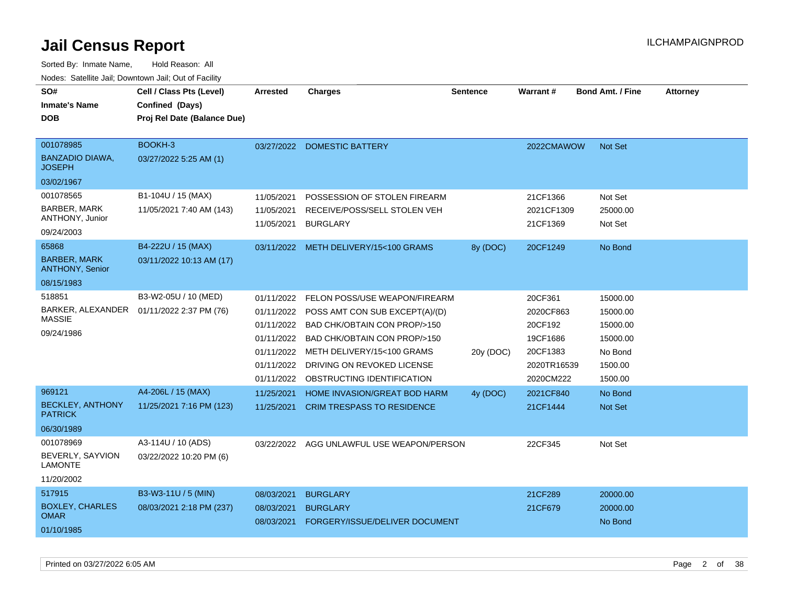| SO#                                           | Cell / Class Pts (Level)    | <b>Arrested</b>          | <b>Charges</b>                                  | <b>Sentence</b> | <b>Warrant#</b>        | <b>Bond Amt. / Fine</b> | <b>Attorney</b> |
|-----------------------------------------------|-----------------------------|--------------------------|-------------------------------------------------|-----------------|------------------------|-------------------------|-----------------|
|                                               |                             |                          |                                                 |                 |                        |                         |                 |
| <b>Inmate's Name</b>                          | Confined (Days)             |                          |                                                 |                 |                        |                         |                 |
| <b>DOB</b>                                    | Proj Rel Date (Balance Due) |                          |                                                 |                 |                        |                         |                 |
| 001078985                                     | BOOKH-3                     |                          |                                                 |                 |                        |                         |                 |
| <b>BANZADIO DIAWA,</b>                        | 03/27/2022 5:25 AM (1)      |                          | 03/27/2022 DOMESTIC BATTERY                     |                 | 2022CMAWOW             | <b>Not Set</b>          |                 |
| <b>JOSEPH</b>                                 |                             |                          |                                                 |                 |                        |                         |                 |
| 03/02/1967                                    |                             |                          |                                                 |                 |                        |                         |                 |
| 001078565                                     | B1-104U / 15 (MAX)          | 11/05/2021               | POSSESSION OF STOLEN FIREARM                    |                 | 21CF1366               | Not Set                 |                 |
| <b>BARBER, MARK</b><br>ANTHONY, Junior        | 11/05/2021 7:40 AM (143)    | 11/05/2021<br>11/05/2021 | RECEIVE/POSS/SELL STOLEN VEH<br><b>BURGLARY</b> |                 | 2021CF1309<br>21CF1369 | 25000.00<br>Not Set     |                 |
| 09/24/2003                                    |                             |                          |                                                 |                 |                        |                         |                 |
| 65868                                         | B4-222U / 15 (MAX)          |                          | 03/11/2022 METH DELIVERY/15<100 GRAMS           | 8y (DOC)        | 20CF1249               | No Bond                 |                 |
| <b>BARBER, MARK</b><br><b>ANTHONY, Senior</b> | 03/11/2022 10:13 AM (17)    |                          |                                                 |                 |                        |                         |                 |
| 08/15/1983                                    |                             |                          |                                                 |                 |                        |                         |                 |
| 518851                                        | B3-W2-05U / 10 (MED)        | 01/11/2022               | FELON POSS/USE WEAPON/FIREARM                   |                 | 20CF361                | 15000.00                |                 |
| BARKER, ALEXANDER  01/11/2022 2:37 PM (76)    |                             | 01/11/2022               | POSS AMT CON SUB EXCEPT(A)/(D)                  |                 | 2020CF863              | 15000.00                |                 |
| <b>MASSIE</b>                                 |                             |                          | 01/11/2022 BAD CHK/OBTAIN CON PROP/>150         |                 | 20CF192                | 15000.00                |                 |
| 09/24/1986                                    |                             |                          | 01/11/2022 BAD CHK/OBTAIN CON PROP/>150         |                 | 19CF1686               | 15000.00                |                 |
|                                               |                             |                          | 01/11/2022 METH DELIVERY/15<100 GRAMS           | 20y (DOC)       | 20CF1383               | No Bond                 |                 |
|                                               |                             | 01/11/2022               | DRIVING ON REVOKED LICENSE                      |                 | 2020TR16539            | 1500.00                 |                 |
|                                               |                             |                          | 01/11/2022 OBSTRUCTING IDENTIFICATION           |                 | 2020CM222              | 1500.00                 |                 |
| 969121                                        | A4-206L / 15 (MAX)          | 11/25/2021               | HOME INVASION/GREAT BOD HARM                    | 4y (DOC)        | 2021CF840              | No Bond                 |                 |
| <b>BECKLEY, ANTHONY</b>                       | 11/25/2021 7:16 PM (123)    | 11/25/2021               | CRIM TRESPASS TO RESIDENCE                      |                 | 21CF1444               | Not Set                 |                 |
| <b>PATRICK</b>                                |                             |                          |                                                 |                 |                        |                         |                 |
| 06/30/1989                                    |                             |                          |                                                 |                 |                        |                         |                 |
| 001078969                                     | A3-114U / 10 (ADS)          |                          | 03/22/2022 AGG UNLAWFUL USE WEAPON/PERSON       |                 | 22CF345                | Not Set                 |                 |
| BEVERLY, SAYVION<br><b>LAMONTE</b>            | 03/22/2022 10:20 PM (6)     |                          |                                                 |                 |                        |                         |                 |
| 11/20/2002                                    |                             |                          |                                                 |                 |                        |                         |                 |
| 517915                                        | B3-W3-11U / 5 (MIN)         | 08/03/2021               | <b>BURGLARY</b>                                 |                 | 21CF289                | 20000.00                |                 |
| <b>BOXLEY, CHARLES</b>                        | 08/03/2021 2:18 PM (237)    | 08/03/2021               | <b>BURGLARY</b>                                 |                 | 21CF679                | 20000.00                |                 |
| <b>OMAR</b>                                   |                             | 08/03/2021               | FORGERY/ISSUE/DELIVER DOCUMENT                  |                 |                        | No Bond                 |                 |
| 01/10/1985                                    |                             |                          |                                                 |                 |                        |                         |                 |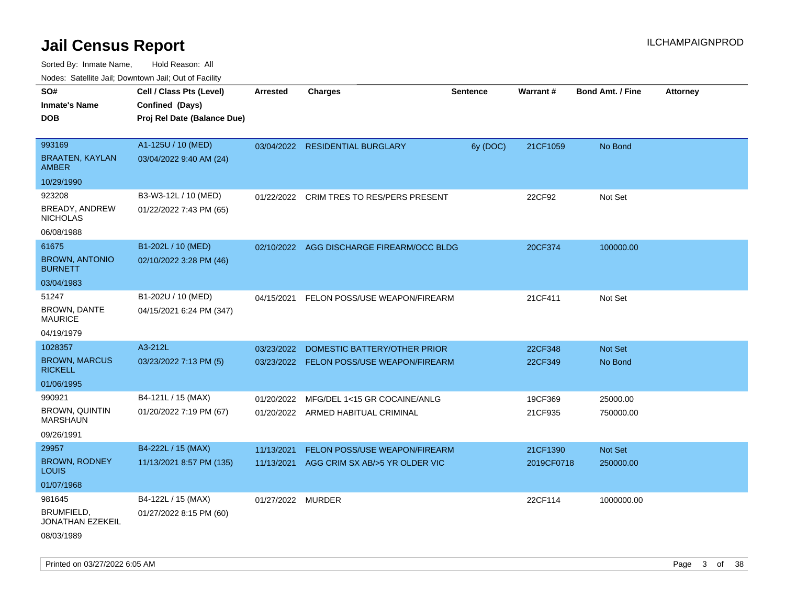Sorted By: Inmate Name, Hold Reason: All

| Nodes: Satellite Jail; Downtown Jail; Out of Facility |                             |                   |                                           |                 |                 |                         |                 |  |  |  |
|-------------------------------------------------------|-----------------------------|-------------------|-------------------------------------------|-----------------|-----------------|-------------------------|-----------------|--|--|--|
| SO#                                                   | Cell / Class Pts (Level)    | <b>Arrested</b>   | <b>Charges</b>                            | <b>Sentence</b> | <b>Warrant#</b> | <b>Bond Amt. / Fine</b> | <b>Attorney</b> |  |  |  |
| <b>Inmate's Name</b>                                  | Confined (Days)             |                   |                                           |                 |                 |                         |                 |  |  |  |
| <b>DOB</b>                                            | Proj Rel Date (Balance Due) |                   |                                           |                 |                 |                         |                 |  |  |  |
|                                                       |                             |                   |                                           |                 |                 |                         |                 |  |  |  |
| 993169                                                | A1-125U / 10 (MED)          |                   | 03/04/2022 RESIDENTIAL BURGLARY           | 6y (DOC)        | 21CF1059        | No Bond                 |                 |  |  |  |
| <b>BRAATEN, KAYLAN</b><br><b>AMBER</b>                | 03/04/2022 9:40 AM (24)     |                   |                                           |                 |                 |                         |                 |  |  |  |
| 10/29/1990                                            |                             |                   |                                           |                 |                 |                         |                 |  |  |  |
| 923208                                                | B3-W3-12L / 10 (MED)        | 01/22/2022        | CRIM TRES TO RES/PERS PRESENT             |                 | 22CF92          | Not Set                 |                 |  |  |  |
| BREADY, ANDREW<br><b>NICHOLAS</b>                     | 01/22/2022 7:43 PM (65)     |                   |                                           |                 |                 |                         |                 |  |  |  |
| 06/08/1988                                            |                             |                   |                                           |                 |                 |                         |                 |  |  |  |
| 61675                                                 | B1-202L / 10 (MED)          |                   | 02/10/2022 AGG DISCHARGE FIREARM/OCC BLDG |                 | 20CF374         | 100000.00               |                 |  |  |  |
| <b>BROWN, ANTONIO</b><br><b>BURNETT</b>               | 02/10/2022 3:28 PM (46)     |                   |                                           |                 |                 |                         |                 |  |  |  |
| 03/04/1983                                            |                             |                   |                                           |                 |                 |                         |                 |  |  |  |
| 51247                                                 | B1-202U / 10 (MED)          | 04/15/2021        | FELON POSS/USE WEAPON/FIREARM             |                 | 21CF411         | Not Set                 |                 |  |  |  |
| BROWN, DANTE<br><b>MAURICE</b>                        | 04/15/2021 6:24 PM (347)    |                   |                                           |                 |                 |                         |                 |  |  |  |
| 04/19/1979                                            |                             |                   |                                           |                 |                 |                         |                 |  |  |  |
| 1028357                                               | A3-212L                     | 03/23/2022        | DOMESTIC BATTERY/OTHER PRIOR              |                 | 22CF348         | Not Set                 |                 |  |  |  |
| <b>BROWN, MARCUS</b><br><b>RICKELL</b>                | 03/23/2022 7:13 PM (5)      |                   | 03/23/2022 FELON POSS/USE WEAPON/FIREARM  |                 | 22CF349         | No Bond                 |                 |  |  |  |
| 01/06/1995                                            |                             |                   |                                           |                 |                 |                         |                 |  |  |  |
| 990921                                                | B4-121L / 15 (MAX)          | 01/20/2022        | MFG/DEL 1<15 GR COCAINE/ANLG              |                 | 19CF369         | 25000.00                |                 |  |  |  |
| <b>BROWN, QUINTIN</b><br><b>MARSHAUN</b>              | 01/20/2022 7:19 PM (67)     |                   | 01/20/2022 ARMED HABITUAL CRIMINAL        |                 | 21CF935         | 750000.00               |                 |  |  |  |
| 09/26/1991                                            |                             |                   |                                           |                 |                 |                         |                 |  |  |  |
| 29957                                                 | B4-222L / 15 (MAX)          | 11/13/2021        | FELON POSS/USE WEAPON/FIREARM             |                 | 21CF1390        | Not Set                 |                 |  |  |  |
| <b>BROWN, RODNEY</b><br><b>LOUIS</b>                  | 11/13/2021 8:57 PM (135)    | 11/13/2021        | AGG CRIM SX AB/>5 YR OLDER VIC            |                 | 2019CF0718      | 250000.00               |                 |  |  |  |
| 01/07/1968                                            |                             |                   |                                           |                 |                 |                         |                 |  |  |  |
| 981645                                                | B4-122L / 15 (MAX)          | 01/27/2022 MURDER |                                           |                 | 22CF114         | 1000000.00              |                 |  |  |  |
| BRUMFIELD,<br><b>JONATHAN EZEKEIL</b>                 | 01/27/2022 8:15 PM (60)     |                   |                                           |                 |                 |                         |                 |  |  |  |
| 08/03/1989                                            |                             |                   |                                           |                 |                 |                         |                 |  |  |  |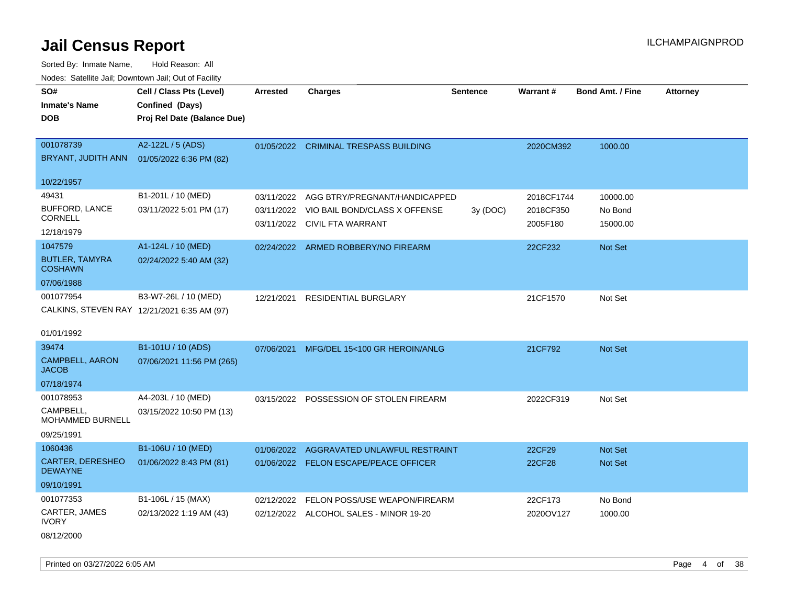Sorted By: Inmate Name, Hold Reason: All

| Nodes: Satellite Jail; Downtown Jail; Out of Facility |                                             |                 |                                          |          |               |                         |          |
|-------------------------------------------------------|---------------------------------------------|-----------------|------------------------------------------|----------|---------------|-------------------------|----------|
| SO#                                                   | Cell / Class Pts (Level)                    | <b>Arrested</b> | <b>Charges</b>                           | Sentence | Warrant#      | <b>Bond Amt. / Fine</b> | Attorney |
| <b>Inmate's Name</b>                                  | Confined (Days)                             |                 |                                          |          |               |                         |          |
| <b>DOB</b>                                            | Proj Rel Date (Balance Due)                 |                 |                                          |          |               |                         |          |
|                                                       |                                             |                 |                                          |          |               |                         |          |
| 001078739                                             | A2-122L / 5 (ADS)                           |                 | 01/05/2022 CRIMINAL TRESPASS BUILDING    |          | 2020CM392     | 1000.00                 |          |
| BRYANT, JUDITH ANN                                    | 01/05/2022 6:36 PM (82)                     |                 |                                          |          |               |                         |          |
|                                                       |                                             |                 |                                          |          |               |                         |          |
| 10/22/1957                                            |                                             |                 |                                          |          |               |                         |          |
| 49431                                                 | B1-201L / 10 (MED)                          | 03/11/2022      | AGG BTRY/PREGNANT/HANDICAPPED            |          | 2018CF1744    | 10000.00                |          |
| BUFFORD, LANCE<br><b>CORNELL</b>                      | 03/11/2022 5:01 PM (17)                     | 03/11/2022      | VIO BAIL BOND/CLASS X OFFENSE            | 3y (DOC) | 2018CF350     | No Bond                 |          |
| 12/18/1979                                            |                                             |                 | 03/11/2022 CIVIL FTA WARRANT             |          | 2005F180      | 15000.00                |          |
| 1047579                                               | A1-124L / 10 (MED)                          |                 |                                          |          |               |                         |          |
| <b>BUTLER, TAMYRA</b>                                 | 02/24/2022 5:40 AM (32)                     |                 | 02/24/2022 ARMED ROBBERY/NO FIREARM      |          | 22CF232       | <b>Not Set</b>          |          |
| <b>COSHAWN</b>                                        |                                             |                 |                                          |          |               |                         |          |
| 07/06/1988                                            |                                             |                 |                                          |          |               |                         |          |
| 001077954                                             | B3-W7-26L / 10 (MED)                        |                 | 12/21/2021 RESIDENTIAL BURGLARY          |          | 21CF1570      | Not Set                 |          |
|                                                       | CALKINS, STEVEN RAY 12/21/2021 6:35 AM (97) |                 |                                          |          |               |                         |          |
|                                                       |                                             |                 |                                          |          |               |                         |          |
| 01/01/1992                                            |                                             |                 |                                          |          |               |                         |          |
| 39474                                                 | B1-101U / 10 (ADS)                          |                 | 07/06/2021 MFG/DEL 15<100 GR HEROIN/ANLG |          | 21CF792       | <b>Not Set</b>          |          |
| <b>CAMPBELL, AARON</b>                                | 07/06/2021 11:56 PM (265)                   |                 |                                          |          |               |                         |          |
| <b>JACOB</b>                                          |                                             |                 |                                          |          |               |                         |          |
| 07/18/1974                                            |                                             |                 |                                          |          |               |                         |          |
| 001078953                                             | A4-203L / 10 (MED)                          | 03/15/2022      | POSSESSION OF STOLEN FIREARM             |          | 2022CF319     | Not Set                 |          |
| CAMPBELL,<br><b>MOHAMMED BURNELL</b>                  | 03/15/2022 10:50 PM (13)                    |                 |                                          |          |               |                         |          |
| 09/25/1991                                            |                                             |                 |                                          |          |               |                         |          |
| 1060436                                               | B1-106U / 10 (MED)                          | 01/06/2022      | AGGRAVATED UNLAWFUL RESTRAINT            |          | 22CF29        | <b>Not Set</b>          |          |
| <b>CARTER, DERESHEO</b>                               | 01/06/2022 8:43 PM (81)                     |                 | 01/06/2022 FELON ESCAPE/PEACE OFFICER    |          | <b>22CF28</b> | <b>Not Set</b>          |          |
| <b>DEWAYNE</b>                                        |                                             |                 |                                          |          |               |                         |          |
| 09/10/1991                                            |                                             |                 |                                          |          |               |                         |          |
| 001077353                                             | B1-106L / 15 (MAX)                          | 02/12/2022      | FELON POSS/USE WEAPON/FIREARM            |          | 22CF173       | No Bond                 |          |
| CARTER, JAMES                                         | 02/13/2022 1:19 AM (43)                     |                 | 02/12/2022 ALCOHOL SALES - MINOR 19-20   |          | 2020OV127     | 1000.00                 |          |
| <b>IVORY</b>                                          |                                             |                 |                                          |          |               |                         |          |
| 08/12/2000                                            |                                             |                 |                                          |          |               |                         |          |

Printed on 03/27/2022 6:05 AM Page 4 of 38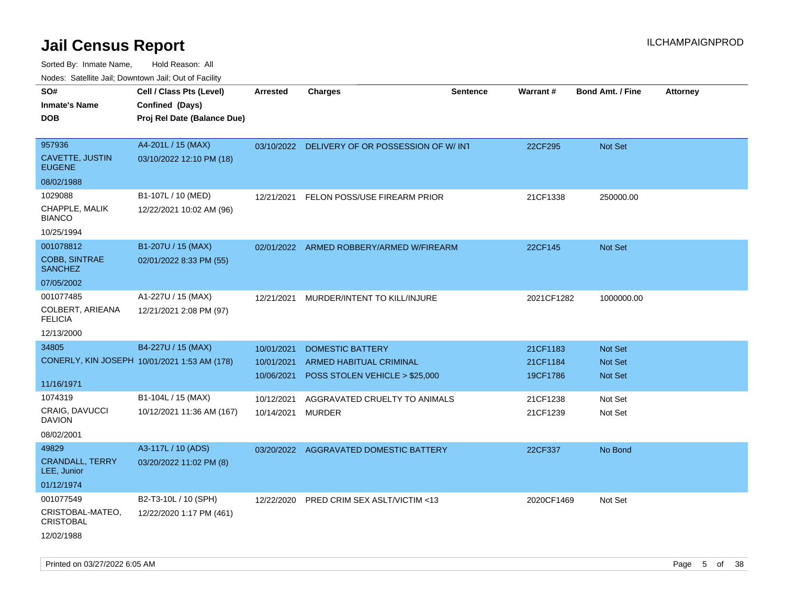| roaco. Calcinio dan, Downtown dan, Oal or Fability |                                              |            |                                               |                 |                 |                         |                 |
|----------------------------------------------------|----------------------------------------------|------------|-----------------------------------------------|-----------------|-----------------|-------------------------|-----------------|
| SO#                                                | Cell / Class Pts (Level)                     | Arrested   | Charges                                       | <b>Sentence</b> | <b>Warrant#</b> | <b>Bond Amt. / Fine</b> | <b>Attorney</b> |
| Inmate's Name                                      | Confined (Days)                              |            |                                               |                 |                 |                         |                 |
| <b>DOB</b>                                         | Proj Rel Date (Balance Due)                  |            |                                               |                 |                 |                         |                 |
|                                                    |                                              |            |                                               |                 |                 |                         |                 |
| 957936                                             | A4-201L / 15 (MAX)                           |            | 03/10/2022 DELIVERY OF OR POSSESSION OF W/INT |                 | 22CF295         | <b>Not Set</b>          |                 |
| <b>CAVETTE, JUSTIN</b><br><b>EUGENE</b>            | 03/10/2022 12:10 PM (18)                     |            |                                               |                 |                 |                         |                 |
| 08/02/1988                                         |                                              |            |                                               |                 |                 |                         |                 |
| 1029088                                            | B1-107L / 10 (MED)                           | 12/21/2021 | FELON POSS/USE FIREARM PRIOR                  |                 | 21CF1338        | 250000.00               |                 |
| CHAPPLE, MALIK<br>BIANCO                           | 12/22/2021 10:02 AM (96)                     |            |                                               |                 |                 |                         |                 |
| 10/25/1994                                         |                                              |            |                                               |                 |                 |                         |                 |
| 001078812                                          | B1-207U / 15 (MAX)                           |            | 02/01/2022 ARMED ROBBERY/ARMED W/FIREARM      |                 | 22CF145         | <b>Not Set</b>          |                 |
| COBB, SINTRAE<br><b>SANCHEZ</b>                    | 02/01/2022 8:33 PM (55)                      |            |                                               |                 |                 |                         |                 |
| 07/05/2002                                         |                                              |            |                                               |                 |                 |                         |                 |
| 001077485                                          | A1-227U / 15 (MAX)                           | 12/21/2021 | MURDER/INTENT TO KILL/INJURE                  |                 | 2021CF1282      | 1000000.00              |                 |
| COLBERT, ARIEANA<br><b>FELICIA</b>                 | 12/21/2021 2:08 PM (97)                      |            |                                               |                 |                 |                         |                 |
| 12/13/2000                                         |                                              |            |                                               |                 |                 |                         |                 |
| 34805                                              | B4-227U / 15 (MAX)                           | 10/01/2021 | DOMESTIC BATTERY                              |                 | 21CF1183        | <b>Not Set</b>          |                 |
|                                                    | CONERLY, KIN JOSEPH 10/01/2021 1:53 AM (178) | 10/01/2021 | ARMED HABITUAL CRIMINAL                       |                 | 21CF1184        | Not Set                 |                 |
|                                                    |                                              | 10/06/2021 | POSS STOLEN VEHICLE > \$25,000                |                 | 19CF1786        | <b>Not Set</b>          |                 |
| 11/16/1971                                         |                                              |            |                                               |                 |                 |                         |                 |
| 1074319                                            | B1-104L / 15 (MAX)                           | 10/12/2021 | AGGRAVATED CRUELTY TO ANIMALS                 |                 | 21CF1238        | Not Set                 |                 |
| CRAIG, DAVUCCI<br>DAVION                           | 10/12/2021 11:36 AM (167)                    | 10/14/2021 | MURDER                                        |                 | 21CF1239        | Not Set                 |                 |
| 08/02/2001                                         |                                              |            |                                               |                 |                 |                         |                 |
| 49829                                              | A3-117L / 10 (ADS)                           | 03/20/2022 | AGGRAVATED DOMESTIC BATTERY                   |                 | 22CF337         | No Bond                 |                 |
| <b>CRANDALL, TERRY</b><br>LEE, Junior              | 03/20/2022 11:02 PM (8)                      |            |                                               |                 |                 |                         |                 |
| 01/12/1974                                         |                                              |            |                                               |                 |                 |                         |                 |
| 001077549                                          | B2-T3-10L / 10 (SPH)                         | 12/22/2020 | PRED CRIM SEX ASLT/VICTIM <13                 |                 | 2020CF1469      | Not Set                 |                 |
| CRISTOBAL-MATEO,<br><b>CRISTOBAL</b>               | 12/22/2020 1:17 PM (461)                     |            |                                               |                 |                 |                         |                 |
| 12/02/1988                                         |                                              |            |                                               |                 |                 |                         |                 |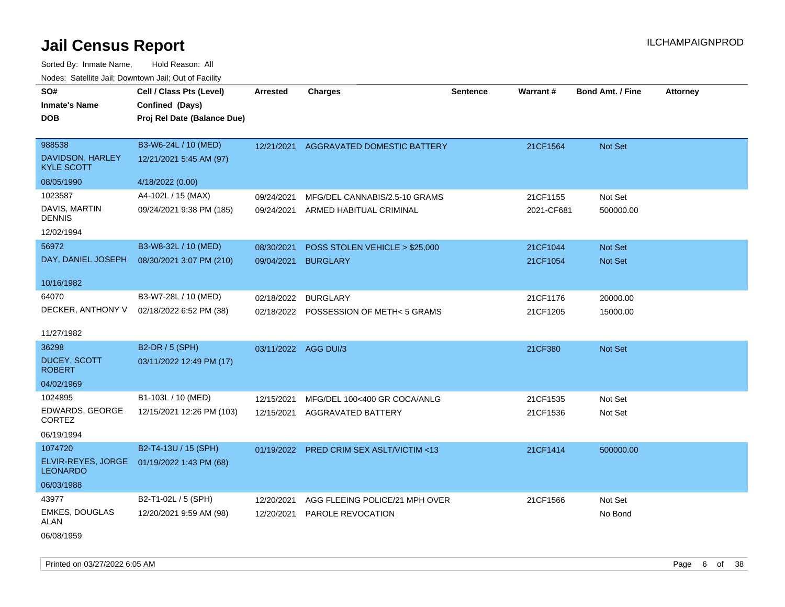Sorted By: Inmate Name, Hold Reason: All Nodes: Satellite Jail; Downtown Jail; Out of Facility

| SO#<br><b>Inmate's Name</b>           | Cell / Class Pts (Level)<br>Confined (Days)     | <b>Arrested</b>      | <b>Charges</b>                         | <b>Sentence</b> | <b>Warrant#</b> | Bond Amt. / Fine | <b>Attorney</b> |
|---------------------------------------|-------------------------------------------------|----------------------|----------------------------------------|-----------------|-----------------|------------------|-----------------|
| <b>DOB</b>                            | Proj Rel Date (Balance Due)                     |                      |                                        |                 |                 |                  |                 |
| 988538<br>DAVIDSON, HARLEY            | B3-W6-24L / 10 (MED)<br>12/21/2021 5:45 AM (97) | 12/21/2021           | AGGRAVATED DOMESTIC BATTERY            |                 | 21CF1564        | Not Set          |                 |
| <b>KYLE SCOTT</b>                     |                                                 |                      |                                        |                 |                 |                  |                 |
| 08/05/1990                            | 4/18/2022 (0.00)                                |                      |                                        |                 |                 |                  |                 |
| 1023587                               | A4-102L / 15 (MAX)                              | 09/24/2021           | MFG/DEL CANNABIS/2.5-10 GRAMS          |                 | 21CF1155        | Not Set          |                 |
| DAVIS, MARTIN<br><b>DENNIS</b>        | 09/24/2021 9:38 PM (185)                        | 09/24/2021           | ARMED HABITUAL CRIMINAL                |                 | 2021-CF681      | 500000.00        |                 |
| 12/02/1994                            |                                                 |                      |                                        |                 |                 |                  |                 |
| 56972                                 | B3-W8-32L / 10 (MED)                            | 08/30/2021           | POSS STOLEN VEHICLE > \$25,000         |                 | 21CF1044        | Not Set          |                 |
| DAY, DANIEL JOSEPH                    | 08/30/2021 3:07 PM (210)                        | 09/04/2021           | <b>BURGLARY</b>                        |                 | 21CF1054        | Not Set          |                 |
| 10/16/1982                            |                                                 |                      |                                        |                 |                 |                  |                 |
| 64070                                 | B3-W7-28L / 10 (MED)                            | 02/18/2022           | <b>BURGLARY</b>                        |                 | 21CF1176        | 20000.00         |                 |
| DECKER, ANTHONY V                     | 02/18/2022 6:52 PM (38)                         |                      | 02/18/2022 POSSESSION OF METH< 5 GRAMS |                 | 21CF1205        | 15000.00         |                 |
| 11/27/1982                            |                                                 |                      |                                        |                 |                 |                  |                 |
| 36298                                 | <b>B2-DR / 5 (SPH)</b>                          | 03/11/2022 AGG DUI/3 |                                        |                 | 21CF380         | Not Set          |                 |
| <b>DUCEY, SCOTT</b><br><b>ROBERT</b>  | 03/11/2022 12:49 PM (17)                        |                      |                                        |                 |                 |                  |                 |
| 04/02/1969                            |                                                 |                      |                                        |                 |                 |                  |                 |
| 1024895                               | B1-103L / 10 (MED)                              | 12/15/2021           | MFG/DEL 100<400 GR COCA/ANLG           |                 | 21CF1535        | Not Set          |                 |
| EDWARDS, GEORGE<br>CORTEZ             | 12/15/2021 12:26 PM (103)                       | 12/15/2021           | <b>AGGRAVATED BATTERY</b>              |                 | 21CF1536        | Not Set          |                 |
| 06/19/1994                            |                                                 |                      |                                        |                 |                 |                  |                 |
| 1074720                               | B2-T4-13U / 15 (SPH)                            | 01/19/2022           | PRED CRIM SEX ASLT/VICTIM <13          |                 | 21CF1414        | 500000.00        |                 |
| ELVIR-REYES, JORGE<br><b>LEONARDO</b> | 01/19/2022 1:43 PM (68)                         |                      |                                        |                 |                 |                  |                 |
| 06/03/1988                            |                                                 |                      |                                        |                 |                 |                  |                 |
| 43977                                 | B2-T1-02L / 5 (SPH)                             | 12/20/2021           | AGG FLEEING POLICE/21 MPH OVER         |                 | 21CF1566        | Not Set          |                 |
| <b>EMKES, DOUGLAS</b><br>ALAN         | 12/20/2021 9:59 AM (98)                         | 12/20/2021           | PAROLE REVOCATION                      |                 |                 | No Bond          |                 |
| 06/08/1959                            |                                                 |                      |                                        |                 |                 |                  |                 |

Printed on 03/27/2022 6:05 AM Page 6 of 38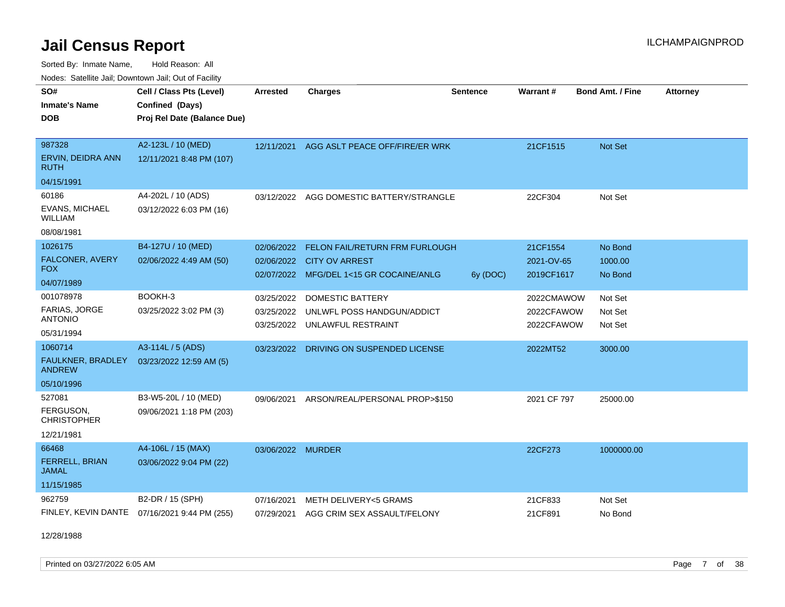Sorted By: Inmate Name, Hold Reason: All

| Nodes: Satellite Jail; Downtown Jail; Out of Facility |  |
|-------------------------------------------------------|--|
|-------------------------------------------------------|--|

| SO#<br><b>Inmate's Name</b><br><b>DOB</b>                             | Cell / Class Pts (Level)<br>Confined (Days)<br>Proj Rel Date (Balance Due) | <b>Arrested</b>          | <b>Charges</b>                                                                                         | <b>Sentence</b> | <b>Warrant#</b>                        | <b>Bond Amt. / Fine</b>       | <b>Attorney</b> |
|-----------------------------------------------------------------------|----------------------------------------------------------------------------|--------------------------|--------------------------------------------------------------------------------------------------------|-----------------|----------------------------------------|-------------------------------|-----------------|
| 987328<br>ERVIN, DEIDRA ANN<br><b>RUTH</b>                            | A2-123L / 10 (MED)<br>12/11/2021 8:48 PM (107)                             | 12/11/2021               | AGG ASLT PEACE OFF/FIRE/ER WRK                                                                         |                 | 21CF1515                               | <b>Not Set</b>                |                 |
| 04/15/1991<br>60186<br>EVANS, MICHAEL<br><b>WILLIAM</b><br>08/08/1981 | A4-202L / 10 (ADS)<br>03/12/2022 6:03 PM (16)                              | 03/12/2022               | AGG DOMESTIC BATTERY/STRANGLE                                                                          |                 | 22CF304                                | Not Set                       |                 |
| 1026175<br><b>FALCONER, AVERY</b><br><b>FOX</b><br>04/07/1989         | B4-127U / 10 (MED)<br>02/06/2022 4:49 AM (50)                              | 02/06/2022               | FELON FAIL/RETURN FRM FURLOUGH<br>02/06/2022 CITY OV ARREST<br>02/07/2022 MFG/DEL 1<15 GR COCAINE/ANLG | 6y (DOC)        | 21CF1554<br>2021-OV-65<br>2019CF1617   | No Bond<br>1000.00<br>No Bond |                 |
| 001078978<br>FARIAS, JORGE<br><b>ANTONIO</b><br>05/31/1994            | BOOKH-3<br>03/25/2022 3:02 PM (3)                                          | 03/25/2022<br>03/25/2022 | <b>DOMESTIC BATTERY</b><br>03/25/2022 UNLWFL POSS HANDGUN/ADDICT<br>UNLAWFUL RESTRAINT                 |                 | 2022CMAWOW<br>2022CFAWOW<br>2022CFAWOW | Not Set<br>Not Set<br>Not Set |                 |
| 1060714<br><b>FAULKNER, BRADLEY</b><br><b>ANDREW</b><br>05/10/1996    | A3-114L / 5 (ADS)<br>03/23/2022 12:59 AM (5)                               | 03/23/2022               | DRIVING ON SUSPENDED LICENSE                                                                           |                 | 2022MT52                               | 3000.00                       |                 |
| 527081<br>FERGUSON,<br><b>CHRISTOPHER</b><br>12/21/1981               | B3-W5-20L / 10 (MED)<br>09/06/2021 1:18 PM (203)                           | 09/06/2021               | ARSON/REAL/PERSONAL PROP>\$150                                                                         |                 | 2021 CF 797                            | 25000.00                      |                 |
| 66468<br><b>FERRELL, BRIAN</b><br><b>JAMAL</b><br>11/15/1985          | A4-106L / 15 (MAX)<br>03/06/2022 9:04 PM (22)                              | 03/06/2022 MURDER        |                                                                                                        |                 | 22CF273                                | 1000000.00                    |                 |
| 962759<br>FINLEY, KEVIN DANTE                                         | B2-DR / 15 (SPH)<br>07/16/2021 9:44 PM (255)                               | 07/16/2021<br>07/29/2021 | METH DELIVERY<5 GRAMS<br>AGG CRIM SEX ASSAULT/FELONY                                                   |                 | 21CF833<br>21CF891                     | Not Set<br>No Bond            |                 |

12/28/1988

Printed on 03/27/2022 6:05 AM **Page 7** of 38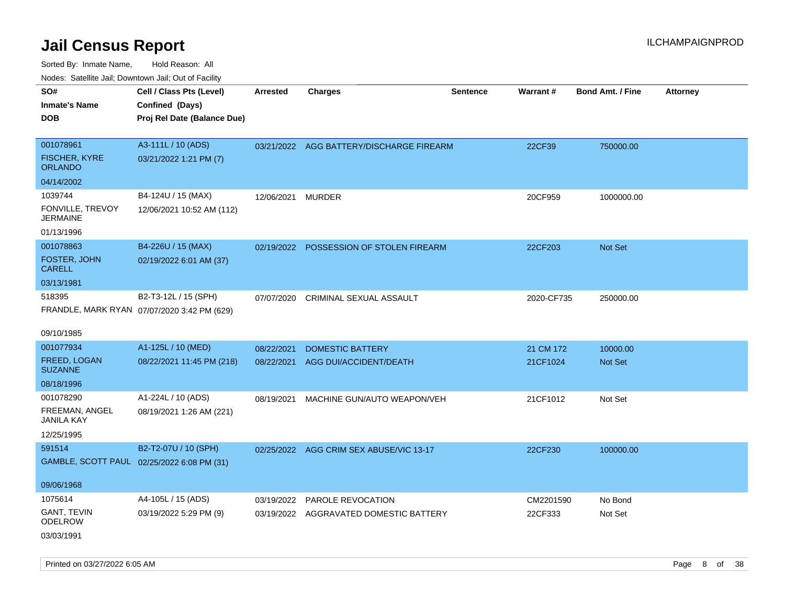| SO#                                    | Cell / Class Pts (Level)                    | <b>Arrested</b> | <b>Charges</b>                           | <b>Sentence</b> | Warrant#   | <b>Bond Amt. / Fine</b> | <b>Attorney</b> |
|----------------------------------------|---------------------------------------------|-----------------|------------------------------------------|-----------------|------------|-------------------------|-----------------|
| <b>Inmate's Name</b>                   | Confined (Days)                             |                 |                                          |                 |            |                         |                 |
| <b>DOB</b>                             | Proj Rel Date (Balance Due)                 |                 |                                          |                 |            |                         |                 |
|                                        |                                             |                 |                                          |                 |            |                         |                 |
| 001078961                              | A3-111L / 10 (ADS)                          |                 | 03/21/2022 AGG BATTERY/DISCHARGE FIREARM |                 | 22CF39     | 750000.00               |                 |
| <b>FISCHER, KYRE</b><br><b>ORLANDO</b> | 03/21/2022 1:21 PM (7)                      |                 |                                          |                 |            |                         |                 |
| 04/14/2002                             |                                             |                 |                                          |                 |            |                         |                 |
| 1039744                                | B4-124U / 15 (MAX)                          | 12/06/2021      | <b>MURDER</b>                            |                 | 20CF959    | 1000000.00              |                 |
| FONVILLE, TREVOY<br><b>JERMAINE</b>    | 12/06/2021 10:52 AM (112)                   |                 |                                          |                 |            |                         |                 |
| 01/13/1996                             |                                             |                 |                                          |                 |            |                         |                 |
| 001078863                              | B4-226U / 15 (MAX)                          |                 | 02/19/2022 POSSESSION OF STOLEN FIREARM  |                 | 22CF203    | Not Set                 |                 |
| FOSTER, JOHN<br><b>CARELL</b>          | 02/19/2022 6:01 AM (37)                     |                 |                                          |                 |            |                         |                 |
| 03/13/1981                             |                                             |                 |                                          |                 |            |                         |                 |
| 518395                                 | B2-T3-12L / 15 (SPH)                        | 07/07/2020      | CRIMINAL SEXUAL ASSAULT                  |                 | 2020-CF735 | 250000.00               |                 |
|                                        | FRANDLE, MARK RYAN 07/07/2020 3:42 PM (629) |                 |                                          |                 |            |                         |                 |
|                                        |                                             |                 |                                          |                 |            |                         |                 |
| 09/10/1985                             |                                             |                 |                                          |                 |            |                         |                 |
| 001077934                              | A1-125L / 10 (MED)                          | 08/22/2021      | <b>DOMESTIC BATTERY</b>                  |                 | 21 CM 172  | 10000.00                |                 |
| FREED, LOGAN<br><b>SUZANNE</b>         | 08/22/2021 11:45 PM (218)                   |                 | 08/22/2021 AGG DUI/ACCIDENT/DEATH        |                 | 21CF1024   | <b>Not Set</b>          |                 |
| 08/18/1996                             |                                             |                 |                                          |                 |            |                         |                 |
| 001078290                              | A1-224L / 10 (ADS)                          | 08/19/2021      | MACHINE GUN/AUTO WEAPON/VEH              |                 | 21CF1012   | Not Set                 |                 |
| FREEMAN, ANGEL<br><b>JANILA KAY</b>    | 08/19/2021 1:26 AM (221)                    |                 |                                          |                 |            |                         |                 |
| 12/25/1995                             |                                             |                 |                                          |                 |            |                         |                 |
| 591514                                 | B2-T2-07U / 10 (SPH)                        |                 | 02/25/2022 AGG CRIM SEX ABUSE/VIC 13-17  |                 | 22CF230    | 100000.00               |                 |
|                                        | GAMBLE, SCOTT PAUL 02/25/2022 6:08 PM (31)  |                 |                                          |                 |            |                         |                 |
|                                        |                                             |                 |                                          |                 |            |                         |                 |
| 09/06/1968                             |                                             |                 |                                          |                 |            |                         |                 |
| 1075614                                | A4-105L / 15 (ADS)                          |                 | 03/19/2022 PAROLE REVOCATION             |                 | CM2201590  | No Bond                 |                 |
| <b>GANT, TEVIN</b><br><b>ODELROW</b>   | 03/19/2022 5:29 PM (9)                      |                 | 03/19/2022 AGGRAVATED DOMESTIC BATTERY   |                 | 22CF333    | Not Set                 |                 |
| 03/03/1991                             |                                             |                 |                                          |                 |            |                         |                 |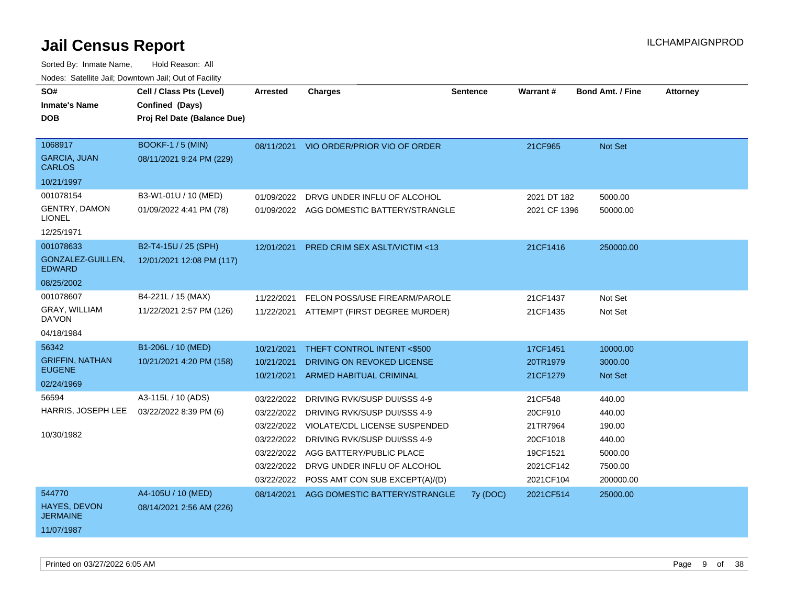| SO#                                    | Cell / Class Pts (Level)    | <b>Arrested</b> | <b>Charges</b>                           | <b>Sentence</b> | Warrant#     | <b>Bond Amt. / Fine</b> | <b>Attorney</b> |
|----------------------------------------|-----------------------------|-----------------|------------------------------------------|-----------------|--------------|-------------------------|-----------------|
| <b>Inmate's Name</b>                   | Confined (Days)             |                 |                                          |                 |              |                         |                 |
| <b>DOB</b>                             | Proj Rel Date (Balance Due) |                 |                                          |                 |              |                         |                 |
|                                        |                             |                 |                                          |                 |              |                         |                 |
| 1068917                                | <b>BOOKF-1 / 5 (MIN)</b>    | 08/11/2021      | VIO ORDER/PRIOR VIO OF ORDER             |                 | 21CF965      | Not Set                 |                 |
| <b>GARCIA, JUAN</b><br><b>CARLOS</b>   | 08/11/2021 9:24 PM (229)    |                 |                                          |                 |              |                         |                 |
| 10/21/1997                             |                             |                 |                                          |                 |              |                         |                 |
| 001078154                              | B3-W1-01U / 10 (MED)        | 01/09/2022      | DRVG UNDER INFLU OF ALCOHOL              |                 | 2021 DT 182  | 5000.00                 |                 |
| <b>GENTRY, DAMON</b><br><b>LIONEL</b>  | 01/09/2022 4:41 PM (78)     |                 | 01/09/2022 AGG DOMESTIC BATTERY/STRANGLE |                 | 2021 CF 1396 | 50000.00                |                 |
| 12/25/1971                             |                             |                 |                                          |                 |              |                         |                 |
| 001078633                              | B2-T4-15U / 25 (SPH)        | 12/01/2021      | PRED CRIM SEX ASLT/VICTIM <13            |                 | 21CF1416     | 250000.00               |                 |
| GONZALEZ-GUILLEN,<br><b>EDWARD</b>     | 12/01/2021 12:08 PM (117)   |                 |                                          |                 |              |                         |                 |
| 08/25/2002                             |                             |                 |                                          |                 |              |                         |                 |
| 001078607                              | B4-221L / 15 (MAX)          | 11/22/2021      | FELON POSS/USE FIREARM/PAROLE            |                 | 21CF1437     | Not Set                 |                 |
| GRAY, WILLIAM<br>DA'VON                | 11/22/2021 2:57 PM (126)    |                 | 11/22/2021 ATTEMPT (FIRST DEGREE MURDER) |                 | 21CF1435     | Not Set                 |                 |
| 04/18/1984                             |                             |                 |                                          |                 |              |                         |                 |
| 56342                                  | B1-206L / 10 (MED)          | 10/21/2021      | THEFT CONTROL INTENT <\$500              |                 | 17CF1451     | 10000.00                |                 |
| <b>GRIFFIN, NATHAN</b>                 | 10/21/2021 4:20 PM (158)    | 10/21/2021      | DRIVING ON REVOKED LICENSE               |                 | 20TR1979     | 3000.00                 |                 |
| <b>EUGENE</b>                          |                             | 10/21/2021      | ARMED HABITUAL CRIMINAL                  |                 | 21CF1279     | <b>Not Set</b>          |                 |
| 02/24/1969                             |                             |                 |                                          |                 |              |                         |                 |
| 56594                                  | A3-115L / 10 (ADS)          | 03/22/2022      | DRIVING RVK/SUSP DUI/SSS 4-9             |                 | 21CF548      | 440.00                  |                 |
| HARRIS, JOSEPH LEE                     | 03/22/2022 8:39 PM (6)      | 03/22/2022      | DRIVING RVK/SUSP DUI/SSS 4-9             |                 | 20CF910      | 440.00                  |                 |
|                                        |                             | 03/22/2022      | <b>VIOLATE/CDL LICENSE SUSPENDED</b>     |                 | 21TR7964     | 190.00                  |                 |
| 10/30/1982                             |                             | 03/22/2022      | DRIVING RVK/SUSP DUI/SSS 4-9             |                 | 20CF1018     | 440.00                  |                 |
|                                        |                             | 03/22/2022      | AGG BATTERY/PUBLIC PLACE                 |                 | 19CF1521     | 5000.00                 |                 |
|                                        |                             | 03/22/2022      | DRVG UNDER INFLU OF ALCOHOL              |                 | 2021CF142    | 7500.00                 |                 |
|                                        |                             | 03/22/2022      | POSS AMT CON SUB EXCEPT(A)/(D)           |                 | 2021CF104    | 200000.00               |                 |
| 544770                                 | A4-105U / 10 (MED)          | 08/14/2021      | AGG DOMESTIC BATTERY/STRANGLE            | $7y$ (DOC)      | 2021CF514    | 25000.00                |                 |
| <b>HAYES, DEVON</b><br><b>JERMAINE</b> | 08/14/2021 2:56 AM (226)    |                 |                                          |                 |              |                         |                 |
| 11/07/1987                             |                             |                 |                                          |                 |              |                         |                 |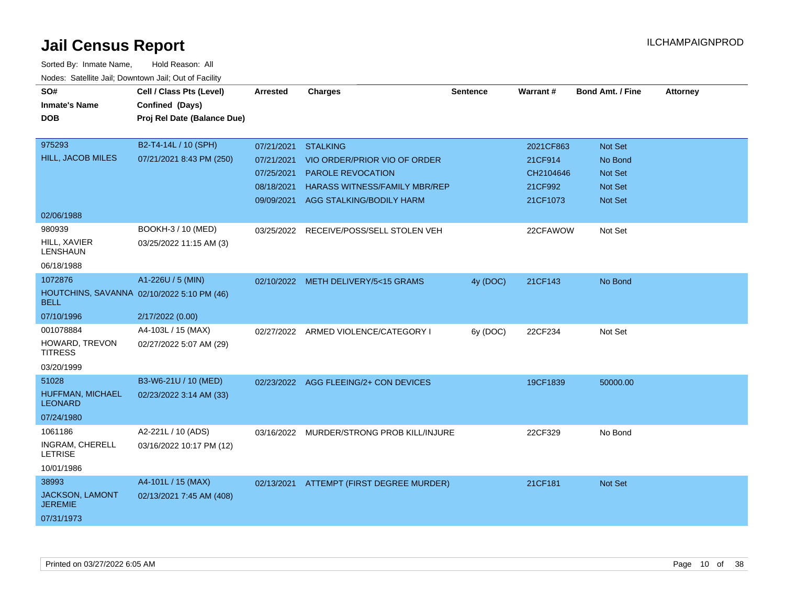| SO#<br><b>Inmate's Name</b><br><b>DOB</b>                                          | Cell / Class Pts (Level)<br>Confined (Days)<br>Proj Rel Date (Balance Due) | <b>Arrested</b>                                               | <b>Charges</b>                                                                                                                          | <b>Sentence</b> | <b>Warrant#</b>                                          | <b>Bond Amt. / Fine</b>                                                  | <b>Attorney</b> |
|------------------------------------------------------------------------------------|----------------------------------------------------------------------------|---------------------------------------------------------------|-----------------------------------------------------------------------------------------------------------------------------------------|-----------------|----------------------------------------------------------|--------------------------------------------------------------------------|-----------------|
| 975293<br>HILL, JACOB MILES                                                        | B2-T4-14L / 10 (SPH)<br>07/21/2021 8:43 PM (250)                           | 07/21/2021 STALKING<br>07/21/2021<br>07/25/2021<br>08/18/2021 | VIO ORDER/PRIOR VIO OF ORDER<br><b>PAROLE REVOCATION</b><br><b>HARASS WITNESS/FAMILY MBR/REP</b><br>09/09/2021 AGG STALKING/BODILY HARM |                 | 2021CF863<br>21CF914<br>CH2104646<br>21CF992<br>21CF1073 | Not Set<br>No Bond<br><b>Not Set</b><br><b>Not Set</b><br><b>Not Set</b> |                 |
| 02/06/1988<br>980939<br>HILL, XAVIER<br><b>LENSHAUN</b><br>06/18/1988              | BOOKH-3 / 10 (MED)<br>03/25/2022 11:15 AM (3)                              |                                                               | 03/25/2022 RECEIVE/POSS/SELL STOLEN VEH                                                                                                 |                 | 22CFAWOW                                                 | Not Set                                                                  |                 |
| 1072876<br>HOUTCHINS, SAVANNA 02/10/2022 5:10 PM (46)<br><b>BELL</b><br>07/10/1996 | A1-226U / 5 (MIN)<br>2/17/2022 (0.00)                                      |                                                               | 02/10/2022 METH DELIVERY/5<15 GRAMS                                                                                                     | 4y (DOC)        | 21CF143                                                  | No Bond                                                                  |                 |
| 001078884<br>HOWARD, TREVON<br><b>TITRESS</b><br>03/20/1999                        | A4-103L / 15 (MAX)<br>02/27/2022 5:07 AM (29)                              |                                                               | 02/27/2022 ARMED VIOLENCE/CATEGORY I                                                                                                    | 6y (DOC)        | 22CF234                                                  | Not Set                                                                  |                 |
| 51028<br>HUFFMAN, MICHAEL<br><b>LEONARD</b><br>07/24/1980                          | B3-W6-21U / 10 (MED)<br>02/23/2022 3:14 AM (33)                            |                                                               | 02/23/2022 AGG FLEEING/2+ CON DEVICES                                                                                                   |                 | 19CF1839                                                 | 50000.00                                                                 |                 |
| 1061186<br>INGRAM, CHERELL<br><b>LETRISE</b><br>10/01/1986                         | A2-221L / 10 (ADS)<br>03/16/2022 10:17 PM (12)                             |                                                               | 03/16/2022 MURDER/STRONG PROB KILL/INJURE                                                                                               |                 | 22CF329                                                  | No Bond                                                                  |                 |
| 38993<br>JACKSON, LAMONT<br><b>JEREMIE</b><br>07/31/1973                           | A4-101L / 15 (MAX)<br>02/13/2021 7:45 AM (408)                             |                                                               | 02/13/2021 ATTEMPT (FIRST DEGREE MURDER)                                                                                                |                 | 21CF181                                                  | <b>Not Set</b>                                                           |                 |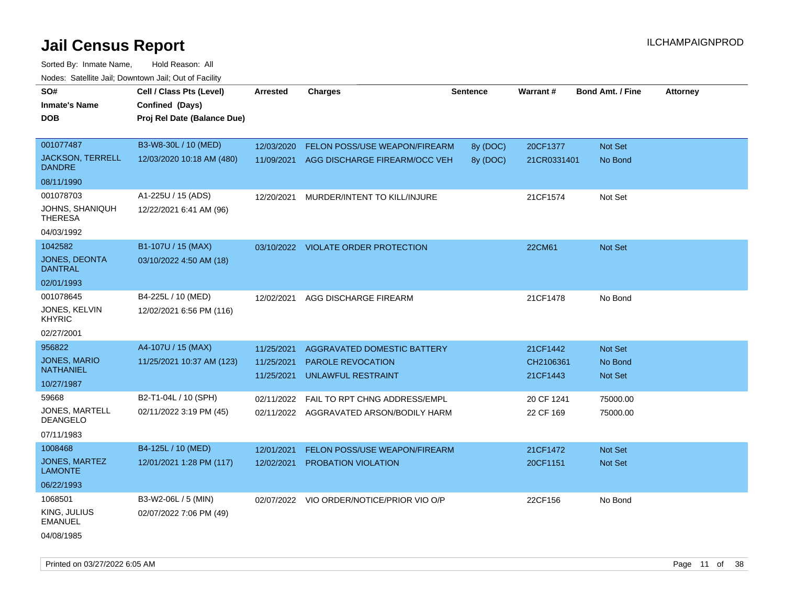| SO#<br><b>Inmate's Name</b><br>DOB                              | Cell / Class Pts (Level)<br>Confined (Days)<br>Proj Rel Date (Balance Due) | <b>Arrested</b>                        | <b>Charges</b>                                                                | <b>Sentence</b>      | Warrant#                          | <b>Bond Amt. / Fine</b>       | <b>Attorney</b> |
|-----------------------------------------------------------------|----------------------------------------------------------------------------|----------------------------------------|-------------------------------------------------------------------------------|----------------------|-----------------------------------|-------------------------------|-----------------|
| 001077487<br><b>JACKSON, TERRELL</b><br><b>DANDRE</b>           | B3-W8-30L / 10 (MED)<br>12/03/2020 10:18 AM (480)                          | 12/03/2020<br>11/09/2021               | <b>FELON POSS/USE WEAPON/FIREARM</b><br>AGG DISCHARGE FIREARM/OCC VEH         | 8y (DOC)<br>8y (DOC) | 20CF1377<br>21CR0331401           | Not Set<br>No Bond            |                 |
| 08/11/1990                                                      |                                                                            |                                        |                                                                               |                      |                                   |                               |                 |
| 001078703<br>JOHNS, SHANIQUH<br><b>THERESA</b><br>04/03/1992    | A1-225U / 15 (ADS)<br>12/22/2021 6:41 AM (96)                              | 12/20/2021                             | MURDER/INTENT TO KILL/INJURE                                                  |                      | 21CF1574                          | Not Set                       |                 |
| 1042582<br><b>JONES, DEONTA</b><br>DANTRAL<br>02/01/1993        | B1-107U / 15 (MAX)<br>03/10/2022 4:50 AM (18)                              |                                        | 03/10/2022 VIOLATE ORDER PROTECTION                                           |                      | 22CM61                            | Not Set                       |                 |
| 001078645<br>JONES, KELVIN<br><b>KHYRIC</b><br>02/27/2001       | B4-225L / 10 (MED)<br>12/02/2021 6:56 PM (116)                             | 12/02/2021                             | AGG DISCHARGE FIREARM                                                         |                      | 21CF1478                          | No Bond                       |                 |
| 956822<br><b>JONES, MARIO</b><br><b>NATHANIEL</b><br>10/27/1987 | A4-107U / 15 (MAX)<br>11/25/2021 10:37 AM (123)                            | 11/25/2021<br>11/25/2021<br>11/25/2021 | AGGRAVATED DOMESTIC BATTERY<br><b>PAROLE REVOCATION</b><br>UNLAWFUL RESTRAINT |                      | 21CF1442<br>CH2106361<br>21CF1443 | Not Set<br>No Bond<br>Not Set |                 |
| 59668<br>JONES, MARTELL<br><b>DEANGELO</b><br>07/11/1983        | B2-T1-04L / 10 (SPH)<br>02/11/2022 3:19 PM (45)                            | 02/11/2022                             | FAIL TO RPT CHNG ADDRESS/EMPL<br>02/11/2022 AGGRAVATED ARSON/BODILY HARM      |                      | 20 CF 1241<br>22 CF 169           | 75000.00<br>75000.00          |                 |
| 1008468<br><b>JONES, MARTEZ</b><br><b>LAMONTE</b><br>06/22/1993 | B4-125L / 10 (MED)<br>12/01/2021 1:28 PM (117)                             | 12/01/2021<br>12/02/2021               | FELON POSS/USE WEAPON/FIREARM<br>PROBATION VIOLATION                          |                      | 21CF1472<br>20CF1151              | Not Set<br>Not Set            |                 |
| 1068501<br>KING, JULIUS<br><b>EMANUEL</b><br>04/08/1985         | B3-W2-06L / 5 (MIN)<br>02/07/2022 7:06 PM (49)                             |                                        | 02/07/2022 VIO ORDER/NOTICE/PRIOR VIO O/P                                     |                      | 22CF156                           | No Bond                       |                 |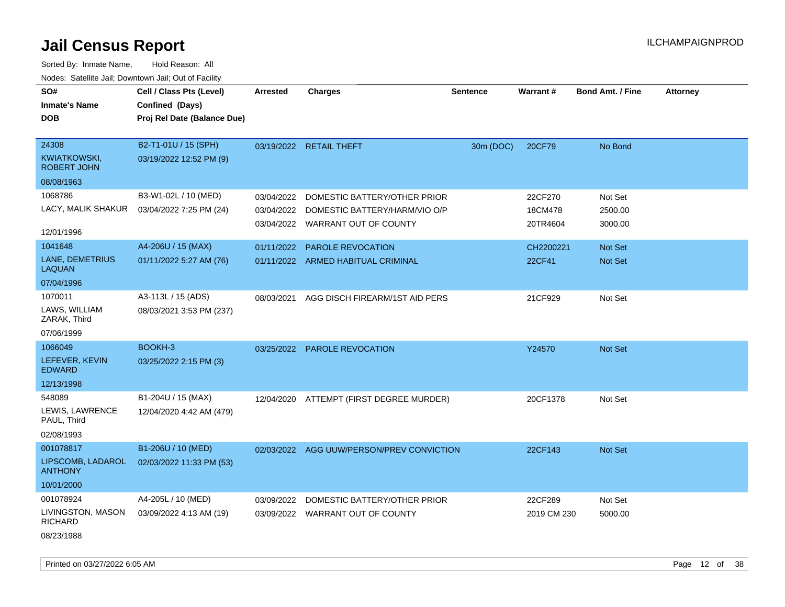| SO#<br>Cell / Class Pts (Level)<br><b>Arrested</b><br><b>Charges</b><br><b>Sentence</b><br><b>Warrant#</b><br><b>Bond Amt. / Fine</b><br><b>Inmate's Name</b><br>Confined (Days)<br><b>DOB</b><br>Proj Rel Date (Balance Due)                                                                      | <b>Attorney</b> |
|----------------------------------------------------------------------------------------------------------------------------------------------------------------------------------------------------------------------------------------------------------------------------------------------------|-----------------|
|                                                                                                                                                                                                                                                                                                    |                 |
|                                                                                                                                                                                                                                                                                                    |                 |
| 24308<br>B2-T1-01U / 15 (SPH)<br>No Bond<br>03/19/2022 RETAIL THEFT<br>30m (DOC)<br>20CF79<br><b>KWIATKOWSKI,</b><br>03/19/2022 12:52 PM (9)<br><b>ROBERT JOHN</b>                                                                                                                                 |                 |
| 08/08/1963                                                                                                                                                                                                                                                                                         |                 |
| 1068786<br>B3-W1-02L / 10 (MED)<br>Not Set<br>03/04/2022<br>DOMESTIC BATTERY/OTHER PRIOR<br>22CF270<br>LACY, MALIK SHAKUR<br>03/04/2022 7:25 PM (24)<br>03/04/2022<br>DOMESTIC BATTERY/HARM/VIO O/P<br>18CM478<br>2500.00<br>03/04/2022 WARRANT OUT OF COUNTY<br>20TR4604<br>3000.00<br>12/01/1996 |                 |
| 1041648<br>A4-206U / 15 (MAX)<br>01/11/2022<br>PAROLE REVOCATION<br>Not Set<br>CH2200221                                                                                                                                                                                                           |                 |
| LANE, DEMETRIUS<br>01/11/2022 5:27 AM (76)<br>22CF41<br>Not Set<br>01/11/2022 ARMED HABITUAL CRIMINAL<br><b>LAQUAN</b>                                                                                                                                                                             |                 |
| 07/04/1996                                                                                                                                                                                                                                                                                         |                 |
| 1070011<br>A3-113L / 15 (ADS)<br>21CF929<br>08/03/2021<br>AGG DISCH FIREARM/1ST AID PERS<br>Not Set<br>LAWS, WILLIAM<br>08/03/2021 3:53 PM (237)<br>ZARAK, Third                                                                                                                                   |                 |
| 07/06/1999                                                                                                                                                                                                                                                                                         |                 |
| 1066049<br>BOOKH-3<br>Y24570<br>Not Set<br>03/25/2022 PAROLE REVOCATION<br>LEFEVER, KEVIN<br>03/25/2022 2:15 PM (3)<br><b>EDWARD</b>                                                                                                                                                               |                 |
| 12/13/1998                                                                                                                                                                                                                                                                                         |                 |
| 548089<br>B1-204U / 15 (MAX)<br>20CF1378<br>Not Set<br>12/04/2020 ATTEMPT (FIRST DEGREE MURDER)<br>LEWIS, LAWRENCE<br>12/04/2020 4:42 AM (479)<br>PAUL, Third<br>02/08/1993                                                                                                                        |                 |
| 001078817<br>B1-206U / 10 (MED)<br>02/03/2022 AGG UUW/PERSON/PREV CONVICTION<br>22CF143<br><b>Not Set</b>                                                                                                                                                                                          |                 |
| LIPSCOMB, LADAROL<br>02/03/2022 11:33 PM (53)<br><b>ANTHONY</b>                                                                                                                                                                                                                                    |                 |
| 10/01/2000                                                                                                                                                                                                                                                                                         |                 |
| 001078924<br>A4-205L / 10 (MED)<br>03/09/2022<br>DOMESTIC BATTERY/OTHER PRIOR<br>22CF289<br>Not Set                                                                                                                                                                                                |                 |
| LIVINGSTON, MASON<br>03/09/2022 4:13 AM (19)<br>03/09/2022 WARRANT OUT OF COUNTY<br>2019 CM 230<br>5000.00<br><b>RICHARD</b><br>08/23/1988                                                                                                                                                         |                 |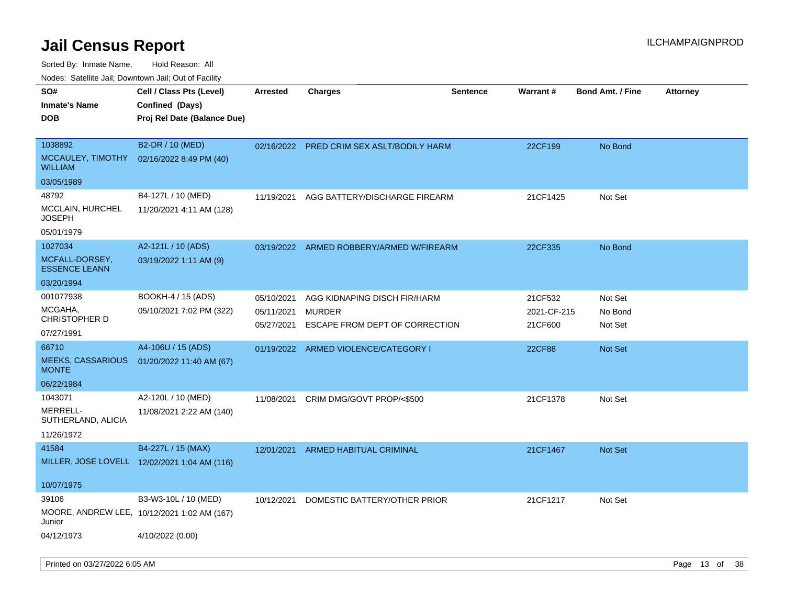Sorted By: Inmate Name, Hold Reason: All

Nodes: Satellite Jail; Downtown Jail; Out of Facility

| SO#<br><b>Inmate's Name</b><br><b>DOB</b>      | Cell / Class Pts (Level)<br>Confined (Days)<br>Proj Rel Date (Balance Due) | <b>Arrested</b>          | <b>Charges</b>                                  | <b>Sentence</b> | Warrant#               | <b>Bond Amt. / Fine</b> | <b>Attorney</b> |
|------------------------------------------------|----------------------------------------------------------------------------|--------------------------|-------------------------------------------------|-----------------|------------------------|-------------------------|-----------------|
| 1038892<br>MCCAULEY, TIMOTHY<br><b>WILLIAM</b> | B2-DR / 10 (MED)<br>02/16/2022 8:49 PM (40)                                |                          | 02/16/2022 PRED CRIM SEX ASLT/BODILY HARM       |                 | 22CF199                | No Bond                 |                 |
| 03/05/1989                                     |                                                                            |                          |                                                 |                 |                        |                         |                 |
| 48792                                          | B4-127L / 10 (MED)                                                         | 11/19/2021               | AGG BATTERY/DISCHARGE FIREARM                   |                 | 21CF1425               | Not Set                 |                 |
| <b>MCCLAIN, HURCHEL</b><br>JOSEPH              | 11/20/2021 4:11 AM (128)                                                   |                          |                                                 |                 |                        |                         |                 |
| 05/01/1979                                     |                                                                            |                          |                                                 |                 |                        |                         |                 |
| 1027034                                        | A2-121L / 10 (ADS)                                                         |                          | 03/19/2022 ARMED ROBBERY/ARMED W/FIREARM        |                 | 22CF335                | No Bond                 |                 |
| MCFALL-DORSEY,<br><b>ESSENCE LEANN</b>         | 03/19/2022 1:11 AM (9)                                                     |                          |                                                 |                 |                        |                         |                 |
| 03/20/1994                                     |                                                                            |                          |                                                 |                 |                        |                         |                 |
| 001077938                                      | BOOKH-4 / 15 (ADS)                                                         | 05/10/2021               | AGG KIDNAPING DISCH FIR/HARM                    |                 | 21CF532                | Not Set                 |                 |
| MCGAHA,<br>CHRISTOPHER D                       | 05/10/2021 7:02 PM (322)                                                   | 05/11/2021<br>05/27/2021 | <b>MURDER</b><br>ESCAPE FROM DEPT OF CORRECTION |                 | 2021-CF-215<br>21CF600 | No Bond<br>Not Set      |                 |
| 07/27/1991                                     |                                                                            |                          |                                                 |                 |                        |                         |                 |
| 66710                                          | A4-106U / 15 (ADS)                                                         |                          | 01/19/2022 ARMED VIOLENCE/CATEGORY I            |                 | <b>22CF88</b>          | <b>Not Set</b>          |                 |
| <b>MEEKS, CASSARIOUS</b><br><b>MONTE</b>       | 01/20/2022 11:40 AM (67)                                                   |                          |                                                 |                 |                        |                         |                 |
| 06/22/1984                                     |                                                                            |                          |                                                 |                 |                        |                         |                 |
| 1043071                                        | A2-120L / 10 (MED)                                                         | 11/08/2021               | CRIM DMG/GOVT PROP/<\$500                       |                 | 21CF1378               | Not Set                 |                 |
| MERRELL-<br>SUTHERLAND, ALICIA                 | 11/08/2021 2:22 AM (140)                                                   |                          |                                                 |                 |                        |                         |                 |
| 11/26/1972                                     |                                                                            |                          |                                                 |                 |                        |                         |                 |
| 41584                                          | B4-227L / 15 (MAX)                                                         | 12/01/2021               | ARMED HABITUAL CRIMINAL                         |                 | 21CF1467               | <b>Not Set</b>          |                 |
|                                                | MILLER, JOSE LOVELL 12/02/2021 1:04 AM (116)                               |                          |                                                 |                 |                        |                         |                 |
| 10/07/1975                                     |                                                                            |                          |                                                 |                 |                        |                         |                 |
| 39106                                          | B3-W3-10L / 10 (MED)                                                       | 10/12/2021               | DOMESTIC BATTERY/OTHER PRIOR                    |                 | 21CF1217               | Not Set                 |                 |
| Junior                                         | MOORE, ANDREW LEE, 10/12/2021 1:02 AM (167)                                |                          |                                                 |                 |                        |                         |                 |
| 04/12/1973                                     | 4/10/2022 (0.00)                                                           |                          |                                                 |                 |                        |                         |                 |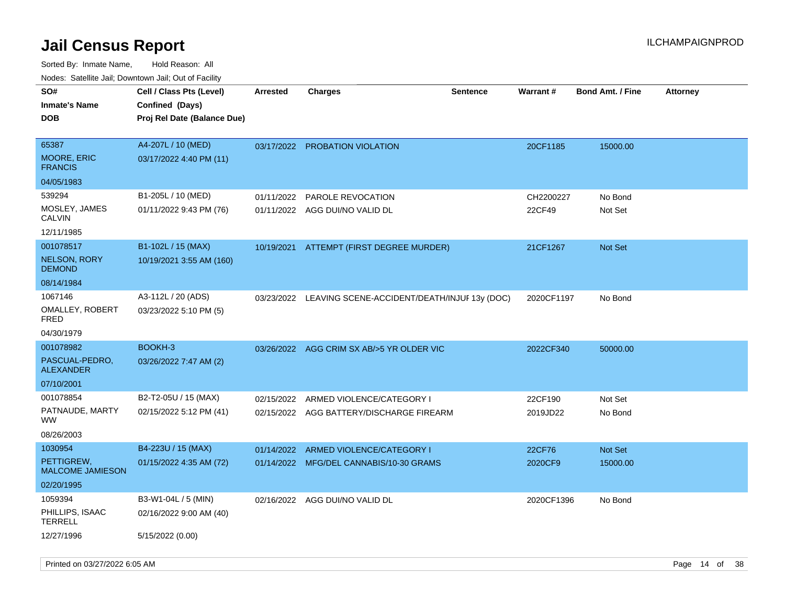| rouco. Calcillo Jali, Downtown Jali, Out of Facility |                             |                 |                                              |                 |            |                         |                 |
|------------------------------------------------------|-----------------------------|-----------------|----------------------------------------------|-----------------|------------|-------------------------|-----------------|
| SO#                                                  | Cell / Class Pts (Level)    | <b>Arrested</b> | Charges                                      | <b>Sentence</b> | Warrant#   | <b>Bond Amt. / Fine</b> | <b>Attorney</b> |
| <b>Inmate's Name</b>                                 | Confined (Days)             |                 |                                              |                 |            |                         |                 |
| <b>DOB</b>                                           | Proj Rel Date (Balance Due) |                 |                                              |                 |            |                         |                 |
|                                                      |                             |                 |                                              |                 |            |                         |                 |
| 65387                                                | A4-207L / 10 (MED)          |                 | 03/17/2022 PROBATION VIOLATION               |                 | 20CF1185   | 15000.00                |                 |
| <b>MOORE, ERIC</b><br><b>FRANCIS</b>                 | 03/17/2022 4:40 PM (11)     |                 |                                              |                 |            |                         |                 |
| 04/05/1983                                           |                             |                 |                                              |                 |            |                         |                 |
| 539294                                               | B1-205L / 10 (MED)          | 01/11/2022      | PAROLE REVOCATION                            |                 | CH2200227  | No Bond                 |                 |
| MOSLEY, JAMES<br>CALVIN                              | 01/11/2022 9:43 PM (76)     |                 | 01/11/2022 AGG DUI/NO VALID DL               |                 | 22CF49     | Not Set                 |                 |
| 12/11/1985                                           |                             |                 |                                              |                 |            |                         |                 |
| 001078517                                            | B1-102L / 15 (MAX)          |                 | 10/19/2021 ATTEMPT (FIRST DEGREE MURDER)     |                 | 21CF1267   | <b>Not Set</b>          |                 |
| NELSON, RORY<br><b>DEMOND</b>                        | 10/19/2021 3:55 AM (160)    |                 |                                              |                 |            |                         |                 |
| 08/14/1984                                           |                             |                 |                                              |                 |            |                         |                 |
| 1067146                                              | A3-112L / 20 (ADS)          | 03/23/2022      | LEAVING SCENE-ACCIDENT/DEATH/INJUF 13y (DOC) |                 | 2020CF1197 | No Bond                 |                 |
| OMALLEY, ROBERT<br>FRED                              | 03/23/2022 5:10 PM (5)      |                 |                                              |                 |            |                         |                 |
| 04/30/1979                                           |                             |                 |                                              |                 |            |                         |                 |
| 001078982                                            | BOOKH-3                     | 03/26/2022      | AGG CRIM SX AB/>5 YR OLDER VIC               |                 | 2022CF340  | 50000.00                |                 |
| PASCUAL-PEDRO,<br>ALEXANDER                          | 03/26/2022 7:47 AM (2)      |                 |                                              |                 |            |                         |                 |
| 07/10/2001                                           |                             |                 |                                              |                 |            |                         |                 |
| 001078854                                            | B2-T2-05U / 15 (MAX)        | 02/15/2022      | ARMED VIOLENCE/CATEGORY I                    |                 | 22CF190    | Not Set                 |                 |
| PATNAUDE, MARTY<br>WW.                               | 02/15/2022 5:12 PM (41)     |                 | 02/15/2022 AGG BATTERY/DISCHARGE FIREARM     |                 | 2019JD22   | No Bond                 |                 |
| 08/26/2003                                           |                             |                 |                                              |                 |            |                         |                 |
| 1030954                                              | B4-223U / 15 (MAX)          | 01/14/2022      | ARMED VIOLENCE/CATEGORY I                    |                 | 22CF76     | Not Set                 |                 |
| PETTIGREW,<br><b>MALCOME JAMIESON</b>                | 01/15/2022 4:35 AM (72)     |                 | 01/14/2022 MFG/DEL CANNABIS/10-30 GRAMS      |                 | 2020CF9    | 15000.00                |                 |
| 02/20/1995                                           |                             |                 |                                              |                 |            |                         |                 |
| 1059394                                              | B3-W1-04L / 5 (MIN)         |                 | 02/16/2022 AGG DUI/NO VALID DL               |                 | 2020CF1396 | No Bond                 |                 |
| PHILLIPS, ISAAC<br>TERRELL                           | 02/16/2022 9:00 AM (40)     |                 |                                              |                 |            |                         |                 |
| 12/27/1996                                           | 5/15/2022 (0.00)            |                 |                                              |                 |            |                         |                 |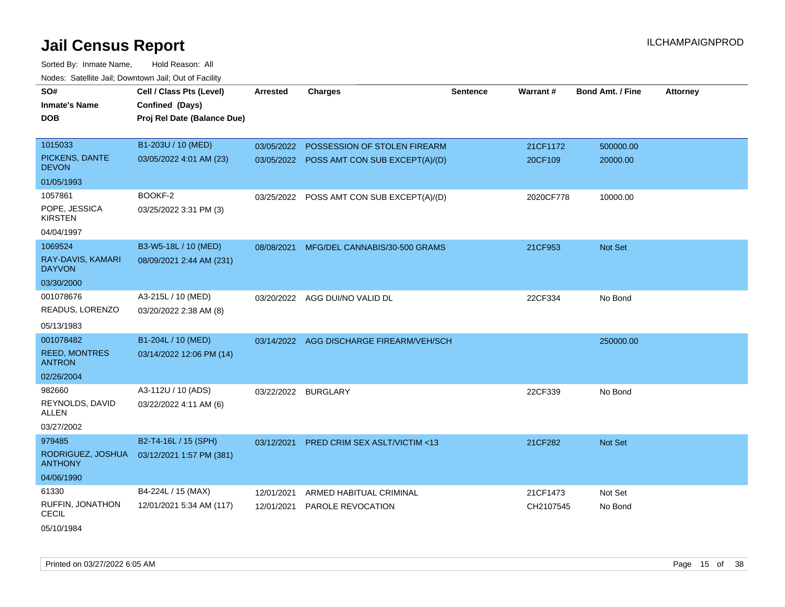| SO#                                   | Cell / Class Pts (Level)    | <b>Arrested</b> | <b>Charges</b>                            | <b>Sentence</b> | Warrant#  | <b>Bond Amt. / Fine</b> | <b>Attorney</b> |
|---------------------------------------|-----------------------------|-----------------|-------------------------------------------|-----------------|-----------|-------------------------|-----------------|
| <b>Inmate's Name</b>                  | Confined (Days)             |                 |                                           |                 |           |                         |                 |
| <b>DOB</b>                            | Proj Rel Date (Balance Due) |                 |                                           |                 |           |                         |                 |
|                                       |                             |                 |                                           |                 |           |                         |                 |
| 1015033                               | B1-203U / 10 (MED)          |                 | 03/05/2022 POSSESSION OF STOLEN FIREARM   |                 | 21CF1172  | 500000.00               |                 |
| PICKENS, DANTE<br><b>DEVON</b>        | 03/05/2022 4:01 AM (23)     |                 | 03/05/2022 POSS AMT CON SUB EXCEPT(A)/(D) |                 | 20CF109   | 20000.00                |                 |
| 01/05/1993                            |                             |                 |                                           |                 |           |                         |                 |
| 1057861                               | BOOKF-2                     |                 | 03/25/2022 POSS AMT CON SUB EXCEPT(A)/(D) |                 | 2020CF778 | 10000.00                |                 |
| POPE, JESSICA<br><b>KIRSTEN</b>       | 03/25/2022 3:31 PM (3)      |                 |                                           |                 |           |                         |                 |
| 04/04/1997                            |                             |                 |                                           |                 |           |                         |                 |
| 1069524                               | B3-W5-18L / 10 (MED)        | 08/08/2021      | MFG/DEL CANNABIS/30-500 GRAMS             |                 | 21CF953   | Not Set                 |                 |
| RAY-DAVIS, KAMARI<br><b>DAYVON</b>    | 08/09/2021 2:44 AM (231)    |                 |                                           |                 |           |                         |                 |
| 03/30/2000                            |                             |                 |                                           |                 |           |                         |                 |
| 001078676                             | A3-215L / 10 (MED)          |                 | 03/20/2022 AGG DUI/NO VALID DL            |                 | 22CF334   | No Bond                 |                 |
| READUS, LORENZO                       | 03/20/2022 2:38 AM (8)      |                 |                                           |                 |           |                         |                 |
| 05/13/1983                            |                             |                 |                                           |                 |           |                         |                 |
| 001078482                             | B1-204L / 10 (MED)          |                 | 03/14/2022 AGG DISCHARGE FIREARM/VEH/SCH  |                 |           | 250000.00               |                 |
| <b>REED, MONTRES</b><br><b>ANTRON</b> | 03/14/2022 12:06 PM (14)    |                 |                                           |                 |           |                         |                 |
| 02/26/2004                            |                             |                 |                                           |                 |           |                         |                 |
| 982660                                | A3-112U / 10 (ADS)          |                 | 03/22/2022 BURGLARY                       |                 | 22CF339   | No Bond                 |                 |
| REYNOLDS, DAVID<br>ALLEN              | 03/22/2022 4:11 AM (6)      |                 |                                           |                 |           |                         |                 |
| 03/27/2002                            |                             |                 |                                           |                 |           |                         |                 |
| 979485                                | B2-T4-16L / 15 (SPH)        | 03/12/2021      | <b>PRED CRIM SEX ASLT/VICTIM &lt;13</b>   |                 | 21CF282   | Not Set                 |                 |
| RODRIGUEZ, JOSHUA<br><b>ANTHONY</b>   | 03/12/2021 1:57 PM (381)    |                 |                                           |                 |           |                         |                 |
| 04/06/1990                            |                             |                 |                                           |                 |           |                         |                 |
| 61330                                 | B4-224L / 15 (MAX)          | 12/01/2021      | ARMED HABITUAL CRIMINAL                   |                 | 21CF1473  | Not Set                 |                 |
| RUFFIN, JONATHON<br>CECIL             | 12/01/2021 5:34 AM (117)    | 12/01/2021      | PAROLE REVOCATION                         |                 | CH2107545 | No Bond                 |                 |
| 05/10/1984                            |                             |                 |                                           |                 |           |                         |                 |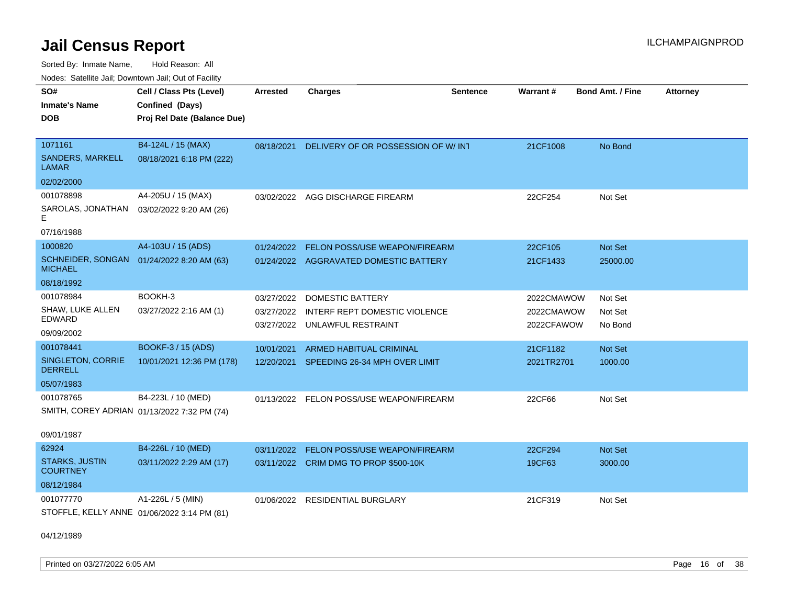Sorted By: Inmate Name, Hold Reason: All Nodes: Satellite Jail; Downtown Jail; Out of Facility

| SO#<br><b>Inmate's Name</b><br><b>DOB</b><br>1071161<br><b>SANDERS, MARKELL</b><br>LAMAR | Cell / Class Pts (Level)<br>Confined (Days)<br>Proj Rel Date (Balance Due)<br>B4-124L / 15 (MAX)<br>08/18/2021 6:18 PM (222) | <b>Arrested</b><br>08/18/2021          | <b>Charges</b><br>DELIVERY OF OR POSSESSION OF W/INT                           | <b>Sentence</b> | Warrant#<br>21CF1008                   | <b>Bond Amt. / Fine</b><br>No Bond | <b>Attorney</b> |
|------------------------------------------------------------------------------------------|------------------------------------------------------------------------------------------------------------------------------|----------------------------------------|--------------------------------------------------------------------------------|-----------------|----------------------------------------|------------------------------------|-----------------|
| 02/02/2000<br>001078898<br>SAROLAS, JONATHAN  03/02/2022 9:20 AM (26)<br>Е<br>07/16/1988 | A4-205U / 15 (MAX)                                                                                                           |                                        | 03/02/2022 AGG DISCHARGE FIREARM                                               |                 | 22CF254                                | Not Set                            |                 |
| 1000820<br>SCHNEIDER, SONGAN 01/24/2022 8:20 AM (63)<br><b>MICHAEL</b><br>08/18/1992     | A4-103U / 15 (ADS)                                                                                                           | 01/24/2022                             | FELON POSS/USE WEAPON/FIREARM<br>01/24/2022 AGGRAVATED DOMESTIC BATTERY        |                 | 22CF105<br>21CF1433                    | Not Set<br>25000.00                |                 |
| 001078984<br>SHAW, LUKE ALLEN<br><b>EDWARD</b><br>09/09/2002                             | BOOKH-3<br>03/27/2022 2:16 AM (1)                                                                                            | 03/27/2022<br>03/27/2022<br>03/27/2022 | <b>DOMESTIC BATTERY</b><br>INTERF REPT DOMESTIC VIOLENCE<br>UNLAWFUL RESTRAINT |                 | 2022CMAWOW<br>2022CMAWOW<br>2022CFAWOW | Not Set<br>Not Set<br>No Bond      |                 |
| 001078441<br>SINGLETON, CORRIE<br><b>DERRELL</b><br>05/07/1983                           | <b>BOOKF-3 / 15 (ADS)</b><br>10/01/2021 12:36 PM (178)                                                                       | 10/01/2021                             | <b>ARMED HABITUAL CRIMINAL</b><br>12/20/2021 SPEEDING 26-34 MPH OVER LIMIT     |                 | 21CF1182<br>2021TR2701                 | <b>Not Set</b><br>1000.00          |                 |
| 001078765<br>SMITH, COREY ADRIAN 01/13/2022 7:32 PM (74)<br>09/01/1987                   | B4-223L / 10 (MED)                                                                                                           |                                        | 01/13/2022 FELON POSS/USE WEAPON/FIREARM                                       |                 | 22CF66                                 | Not Set                            |                 |
| 62924<br><b>STARKS, JUSTIN</b><br><b>COURTNEY</b><br>08/12/1984                          | B4-226L / 10 (MED)<br>03/11/2022 2:29 AM (17)                                                                                | 03/11/2022                             | <b>FELON POSS/USE WEAPON/FIREARM</b><br>03/11/2022 CRIM DMG TO PROP \$500-10K  |                 | 22CF294<br>19CF63                      | Not Set<br>3000.00                 |                 |
| 001077770<br>STOFFLE, KELLY ANNE 01/06/2022 3:14 PM (81)                                 | A1-226L / 5 (MIN)                                                                                                            | 01/06/2022                             | <b>RESIDENTIAL BURGLARY</b>                                                    |                 | 21CF319                                | Not Set                            |                 |

04/12/1989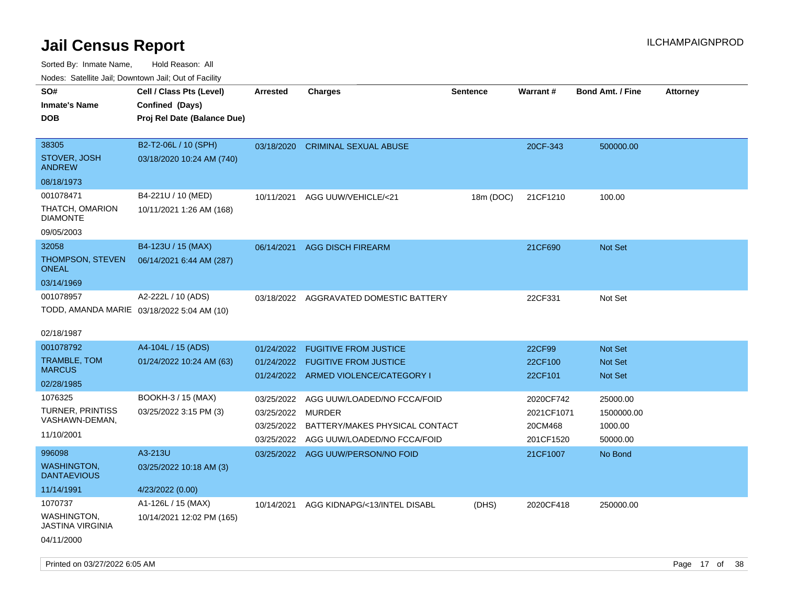| Nodes. Satellite Jali, Downtown Jali, Out of Facility |                             |                 |                                      |                 |            |                         |                 |
|-------------------------------------------------------|-----------------------------|-----------------|--------------------------------------|-----------------|------------|-------------------------|-----------------|
| SO#                                                   | Cell / Class Pts (Level)    | <b>Arrested</b> | <b>Charges</b>                       | <b>Sentence</b> | Warrant#   | <b>Bond Amt. / Fine</b> | <b>Attorney</b> |
| <b>Inmate's Name</b>                                  | Confined (Days)             |                 |                                      |                 |            |                         |                 |
| <b>DOB</b>                                            | Proj Rel Date (Balance Due) |                 |                                      |                 |            |                         |                 |
|                                                       |                             |                 |                                      |                 |            |                         |                 |
| 38305                                                 | B2-T2-06L / 10 (SPH)        | 03/18/2020      | <b>CRIMINAL SEXUAL ABUSE</b>         |                 | 20CF-343   | 500000.00               |                 |
| STOVER, JOSH<br>ANDREW                                | 03/18/2020 10:24 AM (740)   |                 |                                      |                 |            |                         |                 |
| 08/18/1973                                            |                             |                 |                                      |                 |            |                         |                 |
| 001078471                                             | B4-221U / 10 (MED)          | 10/11/2021      | AGG UUW/VEHICLE/<21                  | 18m (DOC)       | 21CF1210   | 100.00                  |                 |
| THATCH, OMARION<br><b>DIAMONTE</b>                    | 10/11/2021 1:26 AM (168)    |                 |                                      |                 |            |                         |                 |
| 09/05/2003                                            |                             |                 |                                      |                 |            |                         |                 |
| 32058                                                 | B4-123U / 15 (MAX)          | 06/14/2021      | <b>AGG DISCH FIREARM</b>             |                 | 21CF690    | Not Set                 |                 |
| <b>THOMPSON, STEVEN</b><br><b>ONEAL</b>               | 06/14/2021 6:44 AM (287)    |                 |                                      |                 |            |                         |                 |
| 03/14/1969                                            |                             |                 |                                      |                 |            |                         |                 |
| 001078957                                             | A2-222L / 10 (ADS)          | 03/18/2022      | AGGRAVATED DOMESTIC BATTERY          |                 | 22CF331    | Not Set                 |                 |
| TODD, AMANDA MARIE 03/18/2022 5:04 AM (10)            |                             |                 |                                      |                 |            |                         |                 |
| 02/18/1987                                            |                             |                 |                                      |                 |            |                         |                 |
| 001078792                                             | A4-104L / 15 (ADS)          | 01/24/2022      | <b>FUGITIVE FROM JUSTICE</b>         |                 | 22CF99     | <b>Not Set</b>          |                 |
| TRAMBLE, TOM                                          | 01/24/2022 10:24 AM (63)    | 01/24/2022      | <b>FUGITIVE FROM JUSTICE</b>         |                 | 22CF100    | <b>Not Set</b>          |                 |
| <b>MARCUS</b>                                         |                             |                 | 01/24/2022 ARMED VIOLENCE/CATEGORY I |                 | 22CF101    | Not Set                 |                 |
| 02/28/1985                                            |                             |                 |                                      |                 |            |                         |                 |
| 1076325                                               | BOOKH-3 / 15 (MAX)          | 03/25/2022      | AGG UUW/LOADED/NO FCCA/FOID          |                 | 2020CF742  | 25000.00                |                 |
| <b>TURNER, PRINTISS</b><br>VASHAWN-DEMAN,             | 03/25/2022 3:15 PM (3)      | 03/25/2022      | <b>MURDER</b>                        |                 | 2021CF1071 | 1500000.00              |                 |
| 11/10/2001                                            |                             | 03/25/2022      | BATTERY/MAKES PHYSICAL CONTACT       |                 | 20CM468    | 1000.00                 |                 |
|                                                       |                             | 03/25/2022      | AGG UUW/LOADED/NO FCCA/FOID          |                 | 201CF1520  | 50000.00                |                 |
| 996098                                                | A3-213U                     | 03/25/2022      | AGG UUW/PERSON/NO FOID               |                 | 21CF1007   | No Bond                 |                 |
| <b>WASHINGTON,</b><br><b>DANTAEVIOUS</b>              | 03/25/2022 10:18 AM (3)     |                 |                                      |                 |            |                         |                 |
| 11/14/1991                                            | 4/23/2022 (0.00)            |                 |                                      |                 |            |                         |                 |
| 1070737                                               | A1-126L / 15 (MAX)          | 10/14/2021      | AGG KIDNAPG/<13/INTEL DISABL         | (DHS)           | 2020CF418  | 250000.00               |                 |
| WASHINGTON,<br>JASTINA VIRGINIA                       | 10/14/2021 12:02 PM (165)   |                 |                                      |                 |            |                         |                 |
| 04/11/2000                                            |                             |                 |                                      |                 |            |                         |                 |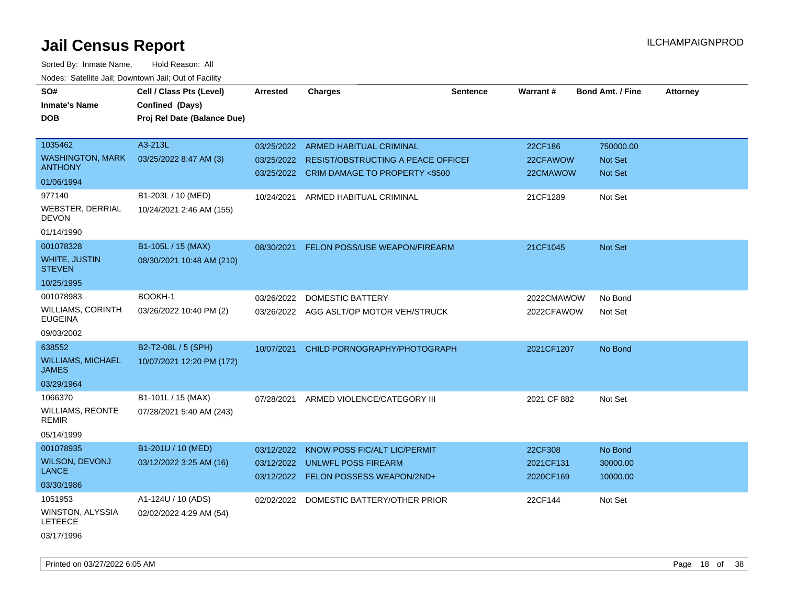| SO#<br><b>Inmate's Name</b><br>DOB.   | Cell / Class Pts (Level)<br>Confined (Days)<br>Proj Rel Date (Balance Due) | <b>Arrested</b>          | <b>Charges</b>                                                              | <b>Sentence</b> | Warrant#               | <b>Bond Amt. / Fine</b>     | <b>Attorney</b> |
|---------------------------------------|----------------------------------------------------------------------------|--------------------------|-----------------------------------------------------------------------------|-----------------|------------------------|-----------------------------|-----------------|
| 1035462<br><b>WASHINGTON, MARK</b>    | A3-213L<br>03/25/2022 8:47 AM (3)                                          | 03/25/2022<br>03/25/2022 | <b>ARMED HABITUAL CRIMINAL</b><br><b>RESIST/OBSTRUCTING A PEACE OFFICEF</b> |                 | 22CF186<br>22CFAWOW    | 750000.00<br><b>Not Set</b> |                 |
| <b>ANTHONY</b>                        |                                                                            |                          | 03/25/2022 CRIM DAMAGE TO PROPERTY <\$500                                   |                 | 22CMAWOW               | Not Set                     |                 |
| 01/06/1994                            |                                                                            |                          |                                                                             |                 |                        |                             |                 |
| 977140                                | B1-203L / 10 (MED)                                                         | 10/24/2021               | ARMED HABITUAL CRIMINAL                                                     |                 | 21CF1289               | Not Set                     |                 |
| WEBSTER, DERRIAL<br><b>DEVON</b>      | 10/24/2021 2:46 AM (155)                                                   |                          |                                                                             |                 |                        |                             |                 |
| 01/14/1990                            |                                                                            |                          |                                                                             |                 |                        |                             |                 |
| 001078328                             | B1-105L / 15 (MAX)                                                         | 08/30/2021               | FELON POSS/USE WEAPON/FIREARM                                               |                 | 21CF1045               | <b>Not Set</b>              |                 |
| <b>WHITE, JUSTIN</b><br><b>STEVEN</b> | 08/30/2021 10:48 AM (210)                                                  |                          |                                                                             |                 |                        |                             |                 |
| 10/25/1995                            |                                                                            |                          |                                                                             |                 |                        |                             |                 |
| 001078983                             | BOOKH-1                                                                    | 03/26/2022               | <b>DOMESTIC BATTERY</b>                                                     |                 | 2022CMAWOW             | No Bond                     |                 |
| WILLIAMS, CORINTH<br><b>EUGEINA</b>   | 03/26/2022 10:40 PM (2)                                                    |                          | 03/26/2022 AGG ASLT/OP MOTOR VEH/STRUCK                                     |                 | 2022CFAWOW             | Not Set                     |                 |
| 09/03/2002                            |                                                                            |                          |                                                                             |                 |                        |                             |                 |
| 638552                                | B2-T2-08L / 5 (SPH)                                                        | 10/07/2021               | CHILD PORNOGRAPHY/PHOTOGRAPH                                                |                 | 2021CF1207             | No Bond                     |                 |
| <b>WILLIAMS, MICHAEL</b><br>JAMES     | 10/07/2021 12:20 PM (172)                                                  |                          |                                                                             |                 |                        |                             |                 |
| 03/29/1964                            |                                                                            |                          |                                                                             |                 |                        |                             |                 |
| 1066370                               | B1-101L / 15 (MAX)                                                         | 07/28/2021               | ARMED VIOLENCE/CATEGORY III                                                 |                 | 2021 CF 882            | Not Set                     |                 |
| WILLIAMS, REONTE<br>REMIR             | 07/28/2021 5:40 AM (243)                                                   |                          |                                                                             |                 |                        |                             |                 |
| 05/14/1999                            |                                                                            |                          |                                                                             |                 |                        |                             |                 |
| 001078935                             | B1-201U / 10 (MED)                                                         | 03/12/2022               | KNOW POSS FIC/ALT LIC/PERMIT                                                |                 | 22CF308                | No Bond                     |                 |
| <b>WILSON, DEVONJ</b><br><b>LANCE</b> | 03/12/2022 3:25 AM (16)                                                    | 03/12/2022               | UNLWFL POSS FIREARM<br>03/12/2022 FELON POSSESS WEAPON/2ND+                 |                 | 2021CF131<br>2020CF169 | 30000.00<br>10000.00        |                 |
| 03/30/1986                            |                                                                            |                          |                                                                             |                 |                        |                             |                 |
| 1051953                               | A1-124U / 10 (ADS)                                                         |                          | 02/02/2022 DOMESTIC BATTERY/OTHER PRIOR                                     |                 | 22CF144                | Not Set                     |                 |
| WINSTON, ALYSSIA<br><b>LETEECE</b>    | 02/02/2022 4:29 AM (54)                                                    |                          |                                                                             |                 |                        |                             |                 |
| 03/17/1996                            |                                                                            |                          |                                                                             |                 |                        |                             |                 |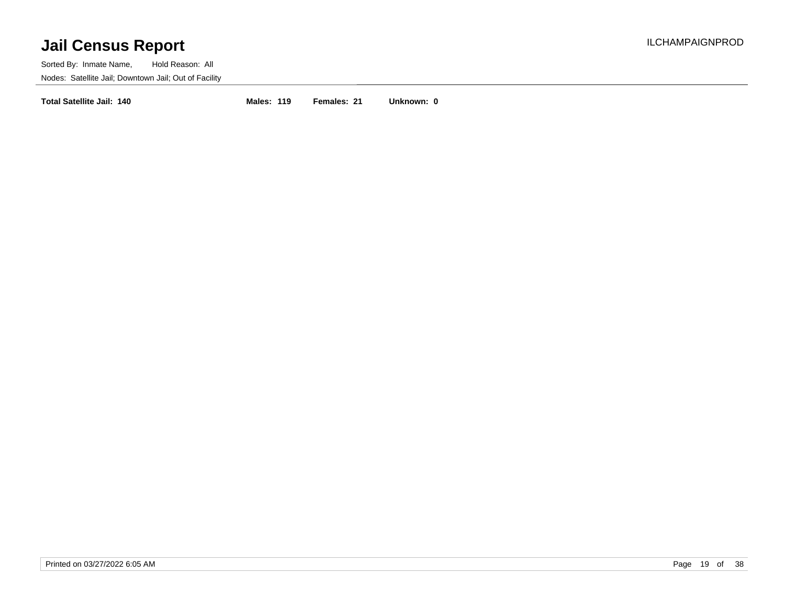Sorted By: Inmate Name, Hold Reason: All Nodes: Satellite Jail; Downtown Jail; Out of Facility

**Total Satellite Jail: 140 Males: 119 Females: 21 Unknown: 0**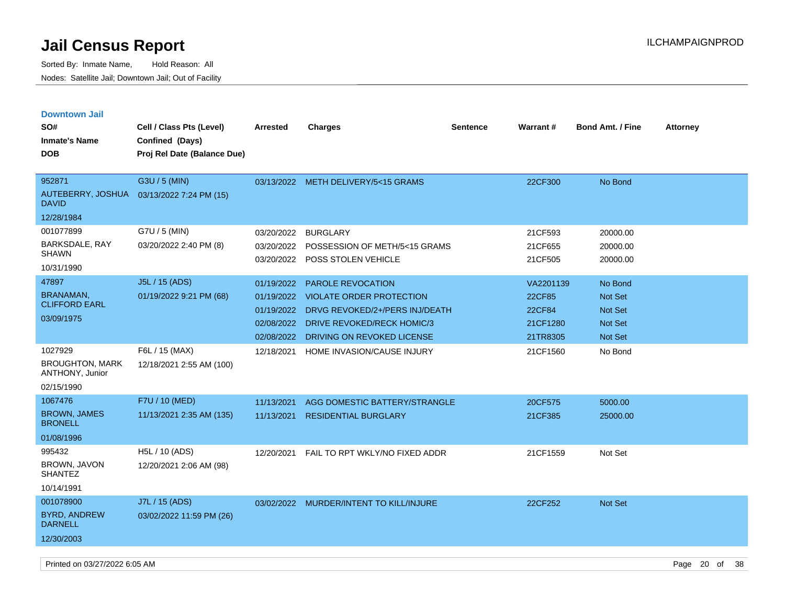| <b>Downtown Jail</b>                      |                             |                 |                                     |                 |           |                         |                 |
|-------------------------------------------|-----------------------------|-----------------|-------------------------------------|-----------------|-----------|-------------------------|-----------------|
| SO#                                       | Cell / Class Pts (Level)    | <b>Arrested</b> | <b>Charges</b>                      | <b>Sentence</b> | Warrant#  | <b>Bond Amt. / Fine</b> | <b>Attorney</b> |
| <b>Inmate's Name</b>                      | Confined (Days)             |                 |                                     |                 |           |                         |                 |
| <b>DOB</b>                                | Proj Rel Date (Balance Due) |                 |                                     |                 |           |                         |                 |
|                                           |                             |                 |                                     |                 |           |                         |                 |
| 952871                                    | G3U / 5 (MIN)               |                 | 03/13/2022 METH DELIVERY/5<15 GRAMS |                 | 22CF300   | No Bond                 |                 |
| AUTEBERRY, JOSHUA<br><b>DAVID</b>         | 03/13/2022 7:24 PM (15)     |                 |                                     |                 |           |                         |                 |
| 12/28/1984                                |                             |                 |                                     |                 |           |                         |                 |
| 001077899                                 | G7U / 5 (MIN)               | 03/20/2022      | <b>BURGLARY</b>                     |                 | 21CF593   | 20000.00                |                 |
| BARKSDALE, RAY                            | 03/20/2022 2:40 PM (8)      | 03/20/2022      | POSSESSION OF METH/5<15 GRAMS       |                 | 21CF655   | 20000.00                |                 |
| <b>SHAWN</b>                              |                             | 03/20/2022      | POSS STOLEN VEHICLE                 |                 | 21CF505   | 20000.00                |                 |
| 10/31/1990                                |                             |                 |                                     |                 |           |                         |                 |
| 47897                                     | J5L / 15 (ADS)              | 01/19/2022      | PAROLE REVOCATION                   |                 | VA2201139 | No Bond                 |                 |
| <b>BRANAMAN</b><br><b>CLIFFORD EARL</b>   | 01/19/2022 9:21 PM (68)     | 01/19/2022      | <b>VIOLATE ORDER PROTECTION</b>     |                 | 22CF85    | Not Set                 |                 |
| 03/09/1975                                |                             | 01/19/2022      | DRVG REVOKED/2+/PERS INJ/DEATH      |                 | 22CF84    | <b>Not Set</b>          |                 |
|                                           |                             | 02/08/2022      | <b>DRIVE REVOKED/RECK HOMIC/3</b>   |                 | 21CF1280  | <b>Not Set</b>          |                 |
|                                           |                             | 02/08/2022      | DRIVING ON REVOKED LICENSE          |                 | 21TR8305  | <b>Not Set</b>          |                 |
| 1027929                                   | F6L / 15 (MAX)              | 12/18/2021      | HOME INVASION/CAUSE INJURY          |                 | 21CF1560  | No Bond                 |                 |
| <b>BROUGHTON, MARK</b><br>ANTHONY, Junior | 12/18/2021 2:55 AM (100)    |                 |                                     |                 |           |                         |                 |
| 02/15/1990                                |                             |                 |                                     |                 |           |                         |                 |
| 1067476                                   | F7U / 10 (MED)              | 11/13/2021      | AGG DOMESTIC BATTERY/STRANGLE       |                 | 20CF575   | 5000.00                 |                 |
| <b>BROWN, JAMES</b><br><b>BRONELL</b>     | 11/13/2021 2:35 AM (135)    | 11/13/2021      | <b>RESIDENTIAL BURGLARY</b>         |                 | 21CF385   | 25000.00                |                 |
| 01/08/1996                                |                             |                 |                                     |                 |           |                         |                 |
| 995432                                    | H5L / 10 (ADS)              | 12/20/2021      | FAIL TO RPT WKLY/NO FIXED ADDR      |                 | 21CF1559  | Not Set                 |                 |
| BROWN, JAVON<br><b>SHANTEZ</b>            | 12/20/2021 2:06 AM (98)     |                 |                                     |                 |           |                         |                 |
| 10/14/1991                                |                             |                 |                                     |                 |           |                         |                 |
| 001078900                                 | J7L / 15 (ADS)              | 03/02/2022      | MURDER/INTENT TO KILL/INJURE        |                 | 22CF252   | Not Set                 |                 |
| <b>BYRD, ANDREW</b><br><b>DARNELL</b>     | 03/02/2022 11:59 PM (26)    |                 |                                     |                 |           |                         |                 |
| 12/30/2003                                |                             |                 |                                     |                 |           |                         |                 |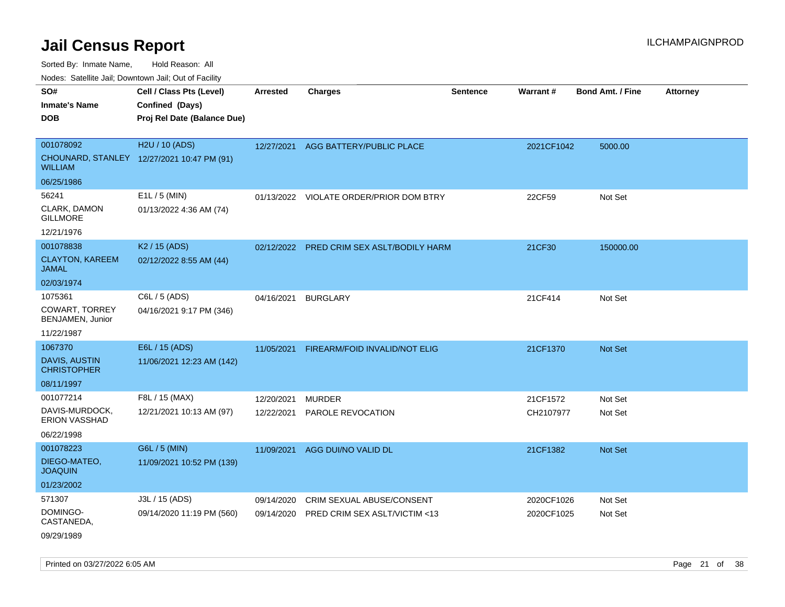Sorted By: Inmate Name, Hold Reason: All

Nodes: Satellite Jail; Downtown Jail; Out of Facility

| SO#<br><b>Inmate's Name</b><br><b>DOB</b>                         | Cell / Class Pts (Level)<br>Confined (Days)<br>Proj Rel Date (Balance Due) | <b>Arrested</b>          | <b>Charges</b>                            | <b>Sentence</b> | <b>Warrant#</b>       | <b>Bond Amt. / Fine</b> | <b>Attorney</b> |
|-------------------------------------------------------------------|----------------------------------------------------------------------------|--------------------------|-------------------------------------------|-----------------|-----------------------|-------------------------|-----------------|
| 001078092<br><b>WILLIAM</b>                                       | H2U / 10 (ADS)<br>CHOUNARD, STANLEY 12/27/2021 10:47 PM (91)               | 12/27/2021               | AGG BATTERY/PUBLIC PLACE                  |                 | 2021CF1042            | 5000.00                 |                 |
| 06/25/1986                                                        |                                                                            |                          |                                           |                 |                       |                         |                 |
| 56241<br>CLARK, DAMON<br><b>GILLMORE</b><br>12/21/1976            | E1L / 5 (MIN)<br>01/13/2022 4:36 AM (74)                                   |                          | 01/13/2022 VIOLATE ORDER/PRIOR DOM BTRY   |                 | 22CF59                | Not Set                 |                 |
| 001078838                                                         | K <sub>2</sub> / 15 (ADS)                                                  |                          | 02/12/2022 PRED CRIM SEX ASLT/BODILY HARM |                 | 21CF30                | 150000.00               |                 |
| <b>CLAYTON, KAREEM</b><br><b>JAMAL</b>                            | 02/12/2022 8:55 AM (44)                                                    |                          |                                           |                 |                       |                         |                 |
| 02/03/1974                                                        |                                                                            |                          |                                           |                 |                       |                         |                 |
| 1075361<br>COWART, TORREY<br>BENJAMEN, Junior<br>11/22/1987       | C6L / 5 (ADS)<br>04/16/2021 9:17 PM (346)                                  | 04/16/2021               | <b>BURGLARY</b>                           |                 | 21CF414               | Not Set                 |                 |
| 1067370                                                           | E6L / 15 (ADS)                                                             | 11/05/2021               | FIREARM/FOID INVALID/NOT ELIG             |                 | 21CF1370              | Not Set                 |                 |
| DAVIS, AUSTIN<br><b>CHRISTOPHER</b>                               | 11/06/2021 12:23 AM (142)                                                  |                          |                                           |                 |                       |                         |                 |
| 08/11/1997                                                        |                                                                            |                          |                                           |                 |                       |                         |                 |
| 001077214<br>DAVIS-MURDOCK,<br><b>ERION VASSHAD</b><br>06/22/1998 | F8L / 15 (MAX)<br>12/21/2021 10:13 AM (97)                                 | 12/20/2021<br>12/22/2021 | <b>MURDER</b><br>PAROLE REVOCATION        |                 | 21CF1572<br>CH2107977 | Not Set<br>Not Set      |                 |
| 001078223                                                         | G6L / 5 (MIN)                                                              | 11/09/2021               | AGG DUI/NO VALID DL                       |                 | 21CF1382              | Not Set                 |                 |
| DIEGO-MATEO,<br><b>JOAQUIN</b>                                    | 11/09/2021 10:52 PM (139)                                                  |                          |                                           |                 |                       |                         |                 |
| 01/23/2002                                                        |                                                                            |                          |                                           |                 |                       |                         |                 |
| 571307                                                            | J3L / 15 (ADS)                                                             | 09/14/2020               | CRIM SEXUAL ABUSE/CONSENT                 |                 | 2020CF1026            | Not Set                 |                 |
| DOMINGO-<br>CASTANEDA,                                            | 09/14/2020 11:19 PM (560)                                                  | 09/14/2020               | PRED CRIM SEX ASLT/VICTIM <13             |                 | 2020CF1025            | Not Set                 |                 |
| 09/29/1989                                                        |                                                                            |                          |                                           |                 |                       |                         |                 |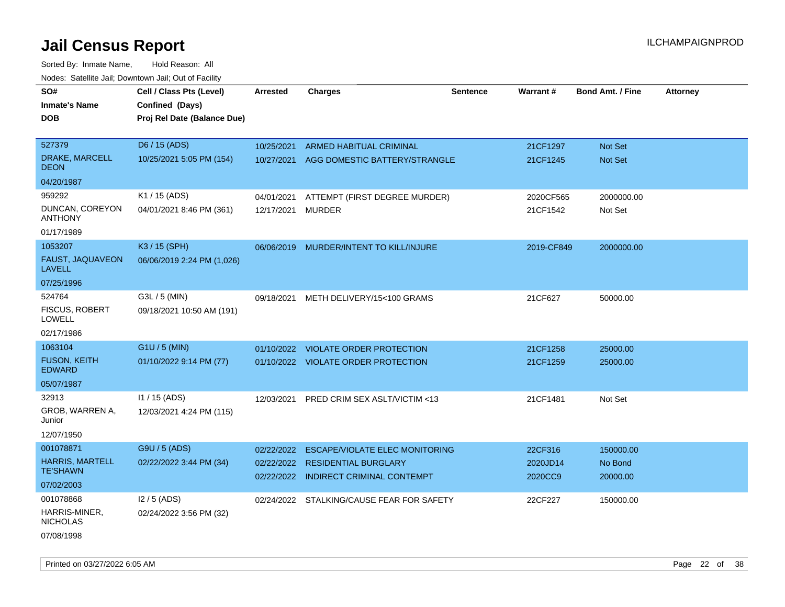| rougs. Calcing Jan, Downtown Jan, Out of Facinty                     |                                                                            |                                        |                                                                                                           |                 |                                |                                  |                 |
|----------------------------------------------------------------------|----------------------------------------------------------------------------|----------------------------------------|-----------------------------------------------------------------------------------------------------------|-----------------|--------------------------------|----------------------------------|-----------------|
| SO#<br><b>Inmate's Name</b><br><b>DOB</b>                            | Cell / Class Pts (Level)<br>Confined (Days)<br>Proj Rel Date (Balance Due) | <b>Arrested</b>                        | <b>Charges</b>                                                                                            | <b>Sentence</b> | Warrant#                       | <b>Bond Amt. / Fine</b>          | <b>Attorney</b> |
| 527379<br>DRAKE, MARCELL<br><b>DEON</b>                              | D6 / 15 (ADS)<br>10/25/2021 5:05 PM (154)                                  | 10/25/2021<br>10/27/2021               | <b>ARMED HABITUAL CRIMINAL</b><br>AGG DOMESTIC BATTERY/STRANGLE                                           |                 | 21CF1297<br>21CF1245           | <b>Not Set</b><br><b>Not Set</b> |                 |
| 04/20/1987                                                           |                                                                            |                                        |                                                                                                           |                 |                                |                                  |                 |
| 959292<br>DUNCAN, COREYON<br><b>ANTHONY</b><br>01/17/1989            | K1 / 15 (ADS)<br>04/01/2021 8:46 PM (361)                                  | 04/01/2021<br>12/17/2021 MURDER        | ATTEMPT (FIRST DEGREE MURDER)                                                                             |                 | 2020CF565<br>21CF1542          | 2000000.00<br>Not Set            |                 |
| 1053207<br><b>FAUST, JAQUAVEON</b><br>LAVELL<br>07/25/1996           | K3 / 15 (SPH)<br>06/06/2019 2:24 PM (1,026)                                | 06/06/2019                             | MURDER/INTENT TO KILL/INJURE                                                                              |                 | 2019-CF849                     | 2000000.00                       |                 |
| 524764<br><b>FISCUS, ROBERT</b><br>LOWELL<br>02/17/1986              | G3L / 5 (MIN)<br>09/18/2021 10:50 AM (191)                                 | 09/18/2021                             | METH DELIVERY/15<100 GRAMS                                                                                |                 | 21CF627                        | 50000.00                         |                 |
| 1063104<br><b>FUSON, KEITH</b><br><b>EDWARD</b><br>05/07/1987        | G1U / 5 (MIN)<br>01/10/2022 9:14 PM (77)                                   | 01/10/2022                             | <b>VIOLATE ORDER PROTECTION</b><br>01/10/2022 VIOLATE ORDER PROTECTION                                    |                 | 21CF1258<br>21CF1259           | 25000.00<br>25000.00             |                 |
| 32913<br>GROB, WARREN A,<br>Junior<br>12/07/1950                     | 11 / 15 (ADS)<br>12/03/2021 4:24 PM (115)                                  | 12/03/2021                             | PRED CRIM SEX ASLT/VICTIM <13                                                                             |                 | 21CF1481                       | Not Set                          |                 |
| 001078871<br><b>HARRIS, MARTELL</b><br><b>TE'SHAWN</b><br>07/02/2003 | G9U / 5 (ADS)<br>02/22/2022 3:44 PM (34)                                   | 02/22/2022<br>02/22/2022<br>02/22/2022 | <b>ESCAPE/VIOLATE ELEC MONITORING</b><br><b>RESIDENTIAL BURGLARY</b><br><b>INDIRECT CRIMINAL CONTEMPT</b> |                 | 22CF316<br>2020JD14<br>2020CC9 | 150000.00<br>No Bond<br>20000.00 |                 |
| 001078868<br>HARRIS-MINER,<br><b>NICHOLAS</b><br>07/08/1998          | $12/5$ (ADS)<br>02/24/2022 3:56 PM (32)                                    |                                        | 02/24/2022 STALKING/CAUSE FEAR FOR SAFETY                                                                 |                 | 22CF227                        | 150000.00                        |                 |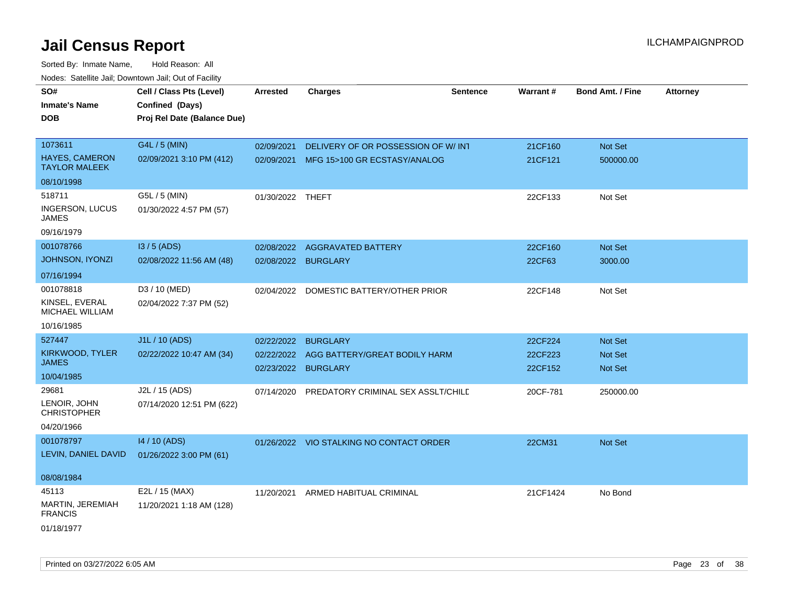| 10000. Catolino can, Domntonn can, Cat or I doint |                                                                            |                  |                                          |                 |          |                         |                 |
|---------------------------------------------------|----------------------------------------------------------------------------|------------------|------------------------------------------|-----------------|----------|-------------------------|-----------------|
| SO#<br><b>Inmate's Name</b><br><b>DOB</b>         | Cell / Class Pts (Level)<br>Confined (Days)<br>Proj Rel Date (Balance Due) | <b>Arrested</b>  | <b>Charges</b>                           | <b>Sentence</b> | Warrant# | <b>Bond Amt. / Fine</b> | <b>Attorney</b> |
| 1073611                                           | G4L / 5 (MIN)                                                              | 02/09/2021       | DELIVERY OF OR POSSESSION OF W/ INT      |                 | 21CF160  | Not Set                 |                 |
| <b>HAYES, CAMERON</b><br><b>TAYLOR MALEEK</b>     | 02/09/2021 3:10 PM (412)                                                   |                  | 02/09/2021 MFG 15>100 GR ECSTASY/ANALOG  |                 | 21CF121  | 500000.00               |                 |
| 08/10/1998                                        |                                                                            |                  |                                          |                 |          |                         |                 |
| 518711                                            | G5L / 5 (MIN)                                                              | 01/30/2022 THEFT |                                          |                 | 22CF133  | Not Set                 |                 |
| <b>INGERSON, LUCUS</b><br>JAMES                   | 01/30/2022 4:57 PM (57)                                                    |                  |                                          |                 |          |                         |                 |
| 09/16/1979                                        |                                                                            |                  |                                          |                 |          |                         |                 |
| 001078766                                         | $13/5$ (ADS)                                                               | 02/08/2022       | <b>AGGRAVATED BATTERY</b>                |                 | 22CF160  | <b>Not Set</b>          |                 |
| JOHNSON, IYONZI                                   | 02/08/2022 11:56 AM (48)                                                   | 02/08/2022       | <b>BURGLARY</b>                          |                 | 22CF63   | 3000.00                 |                 |
| 07/16/1994                                        |                                                                            |                  |                                          |                 |          |                         |                 |
| 001078818                                         | D3 / 10 (MED)                                                              | 02/04/2022       | DOMESTIC BATTERY/OTHER PRIOR             |                 | 22CF148  | Not Set                 |                 |
| KINSEL, EVERAL<br>MICHAEL WILLIAM                 | 02/04/2022 7:37 PM (52)                                                    |                  |                                          |                 |          |                         |                 |
| 10/16/1985                                        |                                                                            |                  |                                          |                 |          |                         |                 |
| 527447                                            | J1L / 10 (ADS)                                                             | 02/22/2022       | <b>BURGLARY</b>                          |                 | 22CF224  | <b>Not Set</b>          |                 |
| KIRKWOOD, TYLER                                   | 02/22/2022 10:47 AM (34)                                                   | 02/22/2022       | AGG BATTERY/GREAT BODILY HARM            |                 | 22CF223  | <b>Not Set</b>          |                 |
| JAMES                                             |                                                                            | 02/23/2022       | <b>BURGLARY</b>                          |                 | 22CF152  | Not Set                 |                 |
| 10/04/1985                                        |                                                                            |                  |                                          |                 |          |                         |                 |
| 29681                                             | J2L / 15 (ADS)                                                             | 07/14/2020       | PREDATORY CRIMINAL SEX ASSLT/CHILD       |                 | 20CF-781 | 250000.00               |                 |
| LENOIR, JOHN<br><b>CHRISTOPHER</b>                | 07/14/2020 12:51 PM (622)                                                  |                  |                                          |                 |          |                         |                 |
| 04/20/1966                                        |                                                                            |                  |                                          |                 |          |                         |                 |
| 001078797                                         | 14 / 10 (ADS)                                                              |                  | 01/26/2022 VIO STALKING NO CONTACT ORDER |                 | 22CM31   | <b>Not Set</b>          |                 |
| LEVIN, DANIEL DAVID                               | 01/26/2022 3:00 PM (61)                                                    |                  |                                          |                 |          |                         |                 |
| 08/08/1984                                        |                                                                            |                  |                                          |                 |          |                         |                 |
| 45113                                             | E2L / 15 (MAX)                                                             | 11/20/2021       | ARMED HABITUAL CRIMINAL                  |                 | 21CF1424 | No Bond                 |                 |
| MARTIN, JEREMIAH<br><b>FRANCIS</b>                | 11/20/2021 1:18 AM (128)                                                   |                  |                                          |                 |          |                         |                 |
| 01/18/1977                                        |                                                                            |                  |                                          |                 |          |                         |                 |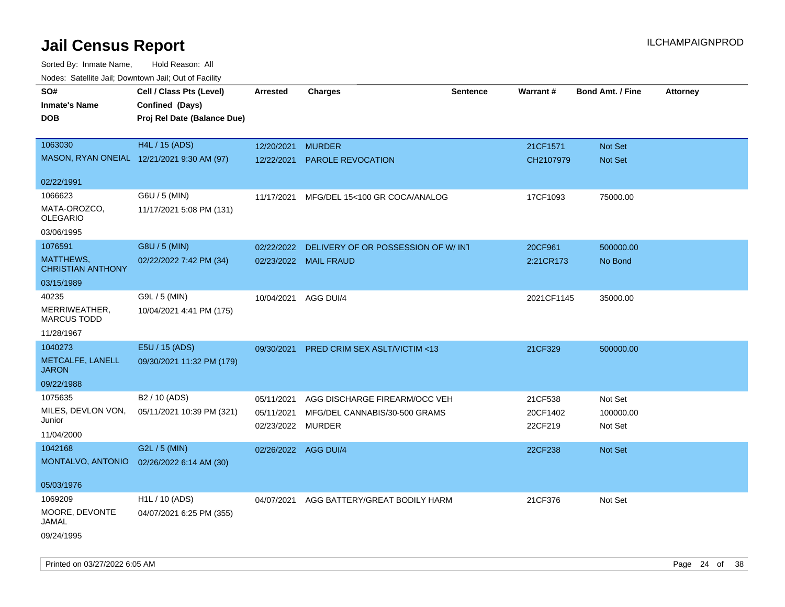| Noues. Salenne Jan, Downlown Jan, Out or Facility |                             |                      |                                         |                 |            |                         |                 |
|---------------------------------------------------|-----------------------------|----------------------|-----------------------------------------|-----------------|------------|-------------------------|-----------------|
| SO#                                               | Cell / Class Pts (Level)    | Arrested             | <b>Charges</b>                          | <b>Sentence</b> | Warrant#   | <b>Bond Amt. / Fine</b> | <b>Attorney</b> |
| <b>Inmate's Name</b>                              | Confined (Days)             |                      |                                         |                 |            |                         |                 |
| <b>DOB</b>                                        | Proj Rel Date (Balance Due) |                      |                                         |                 |            |                         |                 |
|                                                   |                             |                      |                                         |                 |            |                         |                 |
| 1063030                                           | H4L / 15 (ADS)              | 12/20/2021           | <b>MURDER</b>                           |                 | 21CF1571   | Not Set                 |                 |
| MASON, RYAN ONEIAL 12/21/2021 9:30 AM (97)        |                             | 12/22/2021           | PAROLE REVOCATION                       |                 | CH2107979  | Not Set                 |                 |
|                                                   |                             |                      |                                         |                 |            |                         |                 |
| 02/22/1991                                        |                             |                      |                                         |                 |            |                         |                 |
| 1066623                                           | G6U / 5 (MIN)               | 11/17/2021           | MFG/DEL 15<100 GR COCA/ANALOG           |                 | 17CF1093   | 75000.00                |                 |
| MATA-OROZCO,<br><b>OLEGARIO</b>                   | 11/17/2021 5:08 PM (131)    |                      |                                         |                 |            |                         |                 |
| 03/06/1995                                        |                             |                      |                                         |                 |            |                         |                 |
| 1076591                                           | G8U / 5 (MIN)               | 02/22/2022           | DELIVERY OF OR POSSESSION OF W/INT      |                 | 20CF961    | 500000.00               |                 |
| <b>MATTHEWS,</b><br><b>CHRISTIAN ANTHONY</b>      | 02/22/2022 7:42 PM (34)     |                      | 02/23/2022 MAIL FRAUD                   |                 | 2:21CR173  | No Bond                 |                 |
| 03/15/1989                                        |                             |                      |                                         |                 |            |                         |                 |
| 40235                                             | G9L / 5 (MIN)               | 10/04/2021 AGG DUI/4 |                                         |                 | 2021CF1145 | 35000.00                |                 |
| MERRIWEATHER,<br><b>MARCUS TODD</b>               | 10/04/2021 4:41 PM (175)    |                      |                                         |                 |            |                         |                 |
| 11/28/1967                                        |                             |                      |                                         |                 |            |                         |                 |
| 1040273                                           | E5U / 15 (ADS)              | 09/30/2021           | <b>PRED CRIM SEX ASLT/VICTIM &lt;13</b> |                 | 21CF329    | 500000.00               |                 |
| METCALFE, LANELL<br><b>JARON</b>                  | 09/30/2021 11:32 PM (179)   |                      |                                         |                 |            |                         |                 |
| 09/22/1988                                        |                             |                      |                                         |                 |            |                         |                 |
| 1075635                                           | B2 / 10 (ADS)               | 05/11/2021           | AGG DISCHARGE FIREARM/OCC VEH           |                 | 21CF538    | Not Set                 |                 |
| MILES, DEVLON VON,                                | 05/11/2021 10:39 PM (321)   | 05/11/2021           | MFG/DEL CANNABIS/30-500 GRAMS           |                 | 20CF1402   | 100000.00               |                 |
| Junior                                            |                             | 02/23/2022 MURDER    |                                         |                 | 22CF219    | Not Set                 |                 |
| 11/04/2000                                        |                             |                      |                                         |                 |            |                         |                 |
| 1042168                                           | G2L / 5 (MIN)               | 02/26/2022 AGG DUI/4 |                                         |                 | 22CF238    | Not Set                 |                 |
| MONTALVO, ANTONIO                                 | 02/26/2022 6:14 AM (30)     |                      |                                         |                 |            |                         |                 |
| 05/03/1976                                        |                             |                      |                                         |                 |            |                         |                 |
| 1069209                                           | H <sub>1</sub> L / 10 (ADS) | 04/07/2021           | AGG BATTERY/GREAT BODILY HARM           |                 | 21CF376    | Not Set                 |                 |
| MOORE, DEVONTE<br>JAMAL                           | 04/07/2021 6:25 PM (355)    |                      |                                         |                 |            |                         |                 |
| 09/24/1995                                        |                             |                      |                                         |                 |            |                         |                 |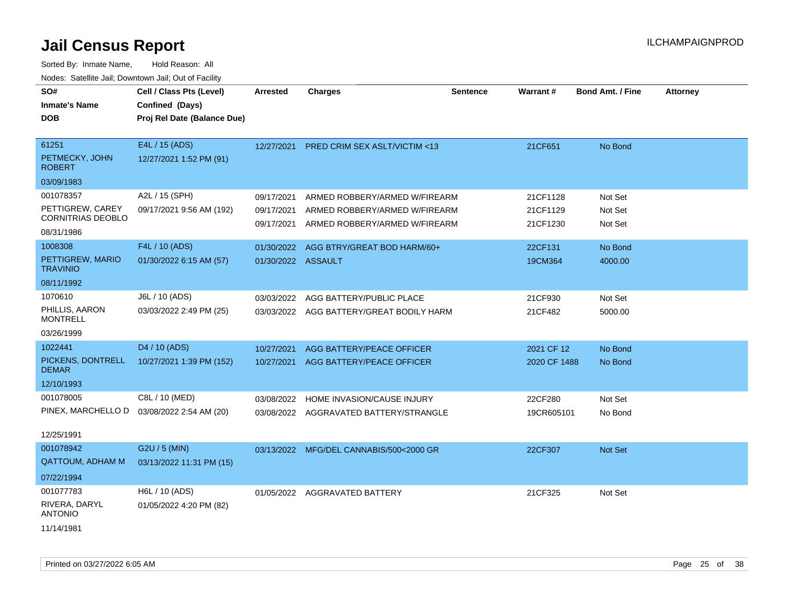| SO#<br><b>Inmate's Name</b><br><b>DOB</b>                                             | Cell / Class Pts (Level)<br>Confined (Days)<br>Proj Rel Date (Balance Due) | <b>Arrested</b>                        | <b>Charges</b>                                                                                  | <b>Sentence</b> | Warrant#                         | <b>Bond Amt. / Fine</b>       | <b>Attorney</b> |
|---------------------------------------------------------------------------------------|----------------------------------------------------------------------------|----------------------------------------|-------------------------------------------------------------------------------------------------|-----------------|----------------------------------|-------------------------------|-----------------|
| 61251<br>PETMECKY, JOHN<br><b>ROBERT</b>                                              | E4L / 15 (ADS)<br>12/27/2021 1:52 PM (91)                                  | 12/27/2021                             | PRED CRIM SEX ASLT/VICTIM <13                                                                   |                 | 21CF651                          | No Bond                       |                 |
| 03/09/1983<br>001078357<br>PETTIGREW, CAREY<br><b>CORNITRIAS DEOBLO</b><br>08/31/1986 | A2L / 15 (SPH)<br>09/17/2021 9:56 AM (192)                                 | 09/17/2021<br>09/17/2021<br>09/17/2021 | ARMED ROBBERY/ARMED W/FIREARM<br>ARMED ROBBERY/ARMED W/FIREARM<br>ARMED ROBBERY/ARMED W/FIREARM |                 | 21CF1128<br>21CF1129<br>21CF1230 | Not Set<br>Not Set<br>Not Set |                 |
| 1008308<br>PETTIGREW, MARIO<br><b>TRAVINIO</b><br>08/11/1992                          | F4L / 10 (ADS)<br>01/30/2022 6:15 AM (57)                                  | 01/30/2022<br>01/30/2022 ASSAULT       | AGG BTRY/GREAT BOD HARM/60+                                                                     |                 | 22CF131<br>19CM364               | No Bond<br>4000.00            |                 |
| 1070610<br>PHILLIS, AARON<br><b>MONTRELL</b><br>03/26/1999                            | J6L / 10 (ADS)<br>03/03/2022 2:49 PM (25)                                  | 03/03/2022                             | AGG BATTERY/PUBLIC PLACE<br>03/03/2022 AGG BATTERY/GREAT BODILY HARM                            |                 | 21CF930<br>21CF482               | Not Set<br>5000.00            |                 |
| 1022441<br>PICKENS, DONTRELL<br><b>DEMAR</b><br>12/10/1993                            | D <sub>4</sub> / 10 (ADS)<br>10/27/2021 1:39 PM (152)                      | 10/27/2021<br>10/27/2021               | AGG BATTERY/PEACE OFFICER<br>AGG BATTERY/PEACE OFFICER                                          |                 | 2021 CF 12<br>2020 CF 1488       | No Bond<br>No Bond            |                 |
| 001078005<br>PINEX, MARCHELLO D<br>12/25/1991                                         | C8L / 10 (MED)<br>03/08/2022 2:54 AM (20)                                  | 03/08/2022                             | HOME INVASION/CAUSE INJURY<br>03/08/2022 AGGRAVATED BATTERY/STRANGLE                            |                 | 22CF280<br>19CR605101            | Not Set<br>No Bond            |                 |
| 001078942<br><b>QATTOUM, ADHAM M</b><br>07/22/1994                                    | G2U / 5 (MIN)<br>03/13/2022 11:31 PM (15)                                  |                                        | 03/13/2022 MFG/DEL CANNABIS/500<2000 GR                                                         |                 | 22CF307                          | Not Set                       |                 |
| 001077783<br>RIVERA, DARYL<br><b>ANTONIO</b><br>11/14/1981                            | H6L / 10 (ADS)<br>01/05/2022 4:20 PM (82)                                  | 01/05/2022                             | AGGRAVATED BATTERY                                                                              |                 | 21CF325                          | Not Set                       |                 |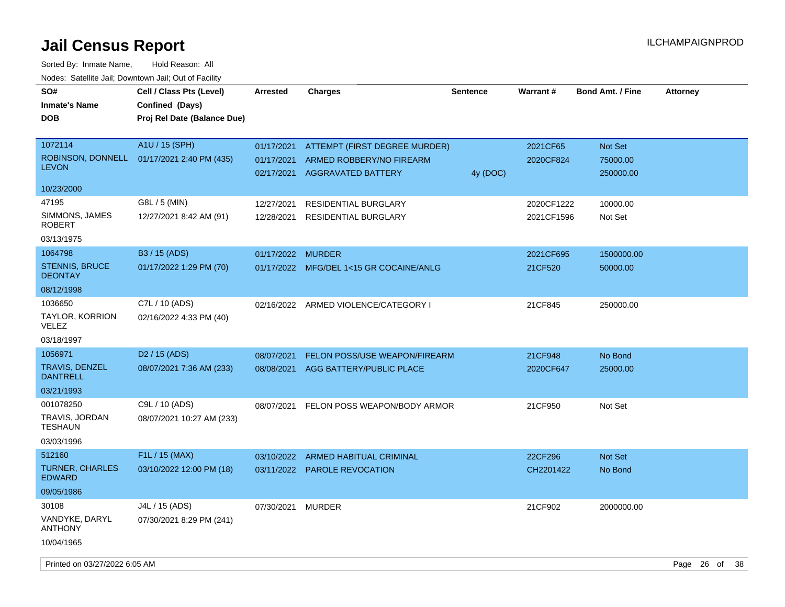| SO#<br><b>Inmate's Name</b>              | Cell / Class Pts (Level)<br>Confined (Days) | <b>Arrested</b>          | <b>Charges</b>                                        | <b>Sentence</b> | Warrant#   | <b>Bond Amt. / Fine</b> | <b>Attorney</b> |
|------------------------------------------|---------------------------------------------|--------------------------|-------------------------------------------------------|-----------------|------------|-------------------------|-----------------|
| <b>DOB</b>                               | Proj Rel Date (Balance Due)                 |                          |                                                       |                 |            |                         |                 |
| 1072114                                  | A1U / 15 (SPH)                              | 01/17/2021               | ATTEMPT (FIRST DEGREE MURDER)                         |                 | 2021CF65   | Not Set                 |                 |
| <b>LEVON</b>                             | ROBINSON, DONNELL 01/17/2021 2:40 PM (435)  | 01/17/2021<br>02/17/2021 | ARMED ROBBERY/NO FIREARM<br><b>AGGRAVATED BATTERY</b> | 4y (DOC)        | 2020CF824  | 75000.00<br>250000.00   |                 |
| 10/23/2000                               |                                             |                          |                                                       |                 |            |                         |                 |
| 47195                                    | G8L / 5 (MIN)                               | 12/27/2021               | RESIDENTIAL BURGLARY                                  |                 | 2020CF1222 | 10000.00                |                 |
| SIMMONS, JAMES<br>ROBERT                 | 12/27/2021 8:42 AM (91)                     | 12/28/2021               | <b>RESIDENTIAL BURGLARY</b>                           |                 | 2021CF1596 | Not Set                 |                 |
| 03/13/1975                               |                                             |                          |                                                       |                 |            |                         |                 |
| 1064798                                  | B <sub>3</sub> / 15 (ADS)                   | 01/17/2022 MURDER        |                                                       |                 | 2021CF695  | 1500000.00              |                 |
| <b>STENNIS, BRUCE</b><br><b>DEONTAY</b>  | 01/17/2022 1:29 PM (70)                     |                          | 01/17/2022 MFG/DEL 1<15 GR COCAINE/ANLG               |                 | 21CF520    | 50000.00                |                 |
| 08/12/1998                               |                                             |                          |                                                       |                 |            |                         |                 |
| 1036650                                  | C7L / 10 (ADS)                              |                          | 02/16/2022 ARMED VIOLENCE/CATEGORY I                  |                 | 21CF845    | 250000.00               |                 |
| <b>TAYLOR, KORRION</b><br>VELEZ          | 02/16/2022 4:33 PM (40)                     |                          |                                                       |                 |            |                         |                 |
| 03/18/1997                               |                                             |                          |                                                       |                 |            |                         |                 |
| 1056971                                  | D <sub>2</sub> / 15 (ADS)                   | 08/07/2021               | FELON POSS/USE WEAPON/FIREARM                         |                 | 21CF948    | No Bond                 |                 |
| <b>TRAVIS, DENZEL</b><br><b>DANTRELL</b> | 08/07/2021 7:36 AM (233)                    | 08/08/2021               | AGG BATTERY/PUBLIC PLACE                              |                 | 2020CF647  | 25000.00                |                 |
| 03/21/1993                               |                                             |                          |                                                       |                 |            |                         |                 |
| 001078250                                | C9L / 10 (ADS)                              | 08/07/2021               | FELON POSS WEAPON/BODY ARMOR                          |                 | 21CF950    | Not Set                 |                 |
| TRAVIS, JORDAN<br><b>TESHAUN</b>         | 08/07/2021 10:27 AM (233)                   |                          |                                                       |                 |            |                         |                 |
| 03/03/1996                               |                                             |                          |                                                       |                 |            |                         |                 |
| 512160                                   | F <sub>1</sub> L / 15 (MAX)                 | 03/10/2022               | ARMED HABITUAL CRIMINAL                               |                 | 22CF296    | Not Set                 |                 |
| <b>TURNER, CHARLES</b><br><b>EDWARD</b>  | 03/10/2022 12:00 PM (18)                    |                          | 03/11/2022 PAROLE REVOCATION                          |                 | CH2201422  | No Bond                 |                 |
| 09/05/1986                               |                                             |                          |                                                       |                 |            |                         |                 |
| 30108                                    | J4L / 15 (ADS)                              | 07/30/2021               | <b>MURDER</b>                                         |                 | 21CF902    | 2000000.00              |                 |
| VANDYKE, DARYL<br><b>ANTHONY</b>         | 07/30/2021 8:29 PM (241)                    |                          |                                                       |                 |            |                         |                 |
| 10/04/1965                               |                                             |                          |                                                       |                 |            |                         |                 |
| Printed on 03/27/2022 6:05 AM            |                                             |                          |                                                       |                 |            |                         | Page 26 of 38   |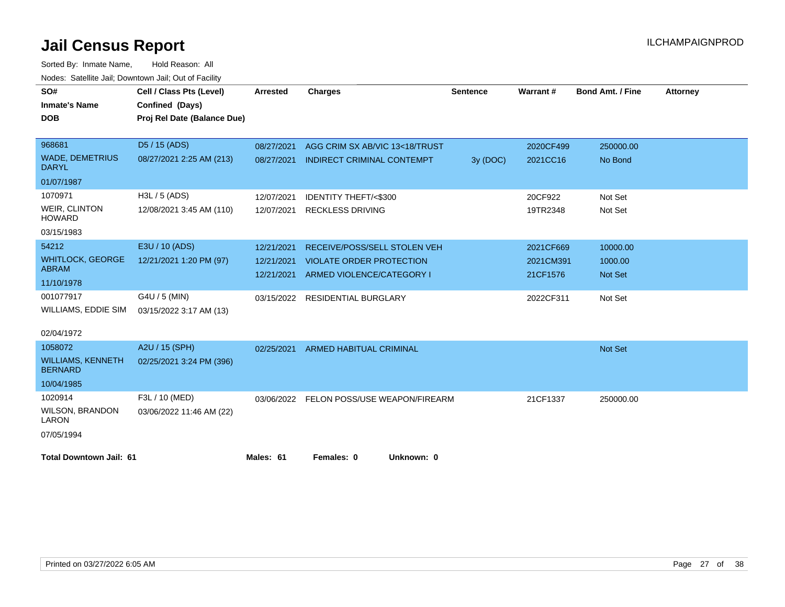| SO#                                        | Cell / Class Pts (Level)    | <b>Arrested</b> | <b>Charges</b>                    | <b>Sentence</b> | <b>Warrant#</b> | <b>Bond Amt. / Fine</b> | <b>Attorney</b> |
|--------------------------------------------|-----------------------------|-----------------|-----------------------------------|-----------------|-----------------|-------------------------|-----------------|
| <b>Inmate's Name</b>                       | Confined (Days)             |                 |                                   |                 |                 |                         |                 |
| <b>DOB</b>                                 | Proj Rel Date (Balance Due) |                 |                                   |                 |                 |                         |                 |
|                                            |                             |                 |                                   |                 |                 |                         |                 |
| 968681                                     | D5 / 15 (ADS)               | 08/27/2021      | AGG CRIM SX AB/VIC 13<18/TRUST    |                 | 2020CF499       | 250000.00               |                 |
| <b>WADE, DEMETRIUS</b><br><b>DARYL</b>     | 08/27/2021 2:25 AM (213)    | 08/27/2021      | <b>INDIRECT CRIMINAL CONTEMPT</b> | 3y (DOC)        | 2021CC16        | No Bond                 |                 |
| 01/07/1987                                 |                             |                 |                                   |                 |                 |                         |                 |
| 1070971                                    | H3L / 5 (ADS)               | 12/07/2021      | <b>IDENTITY THEFT/&lt;\$300</b>   |                 | 20CF922         | Not Set                 |                 |
| <b>WEIR, CLINTON</b><br><b>HOWARD</b>      | 12/08/2021 3:45 AM (110)    | 12/07/2021      | <b>RECKLESS DRIVING</b>           |                 | 19TR2348        | Not Set                 |                 |
| 03/15/1983                                 |                             |                 |                                   |                 |                 |                         |                 |
| 54212                                      | E3U / 10 (ADS)              | 12/21/2021      | RECEIVE/POSS/SELL STOLEN VEH      |                 | 2021CF669       | 10000.00                |                 |
| <b>WHITLOCK, GEORGE</b>                    | 12/21/2021 1:20 PM (97)     | 12/21/2021      | <b>VIOLATE ORDER PROTECTION</b>   |                 | 2021CM391       | 1000.00                 |                 |
| <b>ABRAM</b>                               |                             | 12/21/2021      | ARMED VIOLENCE/CATEGORY I         |                 | 21CF1576        | <b>Not Set</b>          |                 |
| 11/10/1978                                 |                             |                 |                                   |                 |                 |                         |                 |
| 001077917                                  | G4U / 5 (MIN)               | 03/15/2022      | RESIDENTIAL BURGLARY              |                 | 2022CF311       | Not Set                 |                 |
| <b>WILLIAMS, EDDIE SIM</b>                 | 03/15/2022 3:17 AM (13)     |                 |                                   |                 |                 |                         |                 |
| 02/04/1972                                 |                             |                 |                                   |                 |                 |                         |                 |
| 1058072                                    | A2U / 15 (SPH)              | 02/25/2021      | <b>ARMED HABITUAL CRIMINAL</b>    |                 |                 | Not Set                 |                 |
| <b>WILLIAMS, KENNETH</b><br><b>BERNARD</b> | 02/25/2021 3:24 PM (396)    |                 |                                   |                 |                 |                         |                 |
| 10/04/1985                                 |                             |                 |                                   |                 |                 |                         |                 |
| 1020914                                    | F3L / 10 (MED)              | 03/06/2022      | FELON POSS/USE WEAPON/FIREARM     |                 | 21CF1337        | 250000.00               |                 |
| WILSON, BRANDON<br><b>LARON</b>            | 03/06/2022 11:46 AM (22)    |                 |                                   |                 |                 |                         |                 |
| 07/05/1994                                 |                             |                 |                                   |                 |                 |                         |                 |
| <b>Total Downtown Jail: 61</b>             |                             | Males: 61       | Females: 0<br>Unknown: 0          |                 |                 |                         |                 |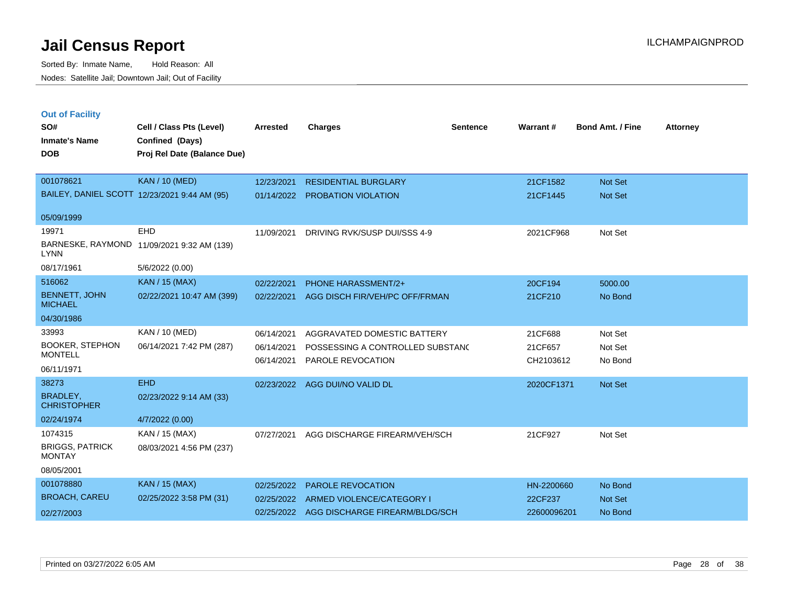| <b>Out of Facility</b><br>SO#<br><b>Inmate's Name</b><br><b>DOB</b> | Cell / Class Pts (Level)<br>Confined (Days)<br>Proj Rel Date (Balance Due) | <b>Arrested</b> | <b>Charges</b>                   | <b>Sentence</b> | Warrant#   | <b>Bond Amt. / Fine</b> | <b>Attorney</b> |
|---------------------------------------------------------------------|----------------------------------------------------------------------------|-----------------|----------------------------------|-----------------|------------|-------------------------|-----------------|
| 001078621                                                           | <b>KAN / 10 (MED)</b>                                                      | 12/23/2021      | <b>RESIDENTIAL BURGLARY</b>      |                 | 21CF1582   | Not Set                 |                 |
|                                                                     | BAILEY, DANIEL SCOTT 12/23/2021 9:44 AM (95)                               |                 | 01/14/2022 PROBATION VIOLATION   |                 | 21CF1445   | <b>Not Set</b>          |                 |
| 05/09/1999                                                          |                                                                            |                 |                                  |                 |            |                         |                 |
| 19971                                                               | EHD                                                                        | 11/09/2021      | DRIVING RVK/SUSP DUI/SSS 4-9     |                 | 2021CF968  | Not Set                 |                 |
| <b>LYNN</b>                                                         | BARNESKE, RAYMOND 11/09/2021 9:32 AM (139)                                 |                 |                                  |                 |            |                         |                 |
| 08/17/1961                                                          | 5/6/2022 (0.00)                                                            |                 |                                  |                 |            |                         |                 |
| 516062                                                              | <b>KAN / 15 (MAX)</b>                                                      | 02/22/2021      | <b>PHONE HARASSMENT/2+</b>       |                 | 20CF194    | 5000.00                 |                 |
| <b>BENNETT, JOHN</b><br><b>MICHAEL</b>                              | 02/22/2021 10:47 AM (399)                                                  | 02/22/2021      | AGG DISCH FIR/VEH/PC OFF/FRMAN   |                 | 21CF210    | No Bond                 |                 |
| 04/30/1986                                                          |                                                                            |                 |                                  |                 |            |                         |                 |
| 33993                                                               | KAN / 10 (MED)                                                             | 06/14/2021      | AGGRAVATED DOMESTIC BATTERY      |                 | 21CF688    | Not Set                 |                 |
| <b>BOOKER, STEPHON</b><br><b>MONTELL</b>                            | 06/14/2021 7:42 PM (287)                                                   | 06/14/2021      | POSSESSING A CONTROLLED SUBSTANC |                 | 21CF657    | Not Set                 |                 |
|                                                                     |                                                                            | 06/14/2021      | PAROLE REVOCATION                |                 | CH2103612  | No Bond                 |                 |
| 06/11/1971                                                          |                                                                            |                 |                                  |                 |            |                         |                 |
| 38273                                                               | <b>EHD</b>                                                                 | 02/23/2022      | AGG DUI/NO VALID DL              |                 | 2020CF1371 | <b>Not Set</b>          |                 |
| <b>BRADLEY.</b><br><b>CHRISTOPHER</b>                               | 02/23/2022 9:14 AM (33)                                                    |                 |                                  |                 |            |                         |                 |
| 02/24/1974                                                          | 4/7/2022 (0.00)                                                            |                 |                                  |                 |            |                         |                 |
| 1074315                                                             | KAN / 15 (MAX)                                                             | 07/27/2021      | AGG DISCHARGE FIREARM/VEH/SCH    |                 | 21CF927    | Not Set                 |                 |
| <b>BRIGGS, PATRICK</b><br><b>MONTAY</b>                             | 08/03/2021 4:56 PM (237)                                                   |                 |                                  |                 |            |                         |                 |
| 08/05/2001                                                          |                                                                            |                 |                                  |                 |            |                         |                 |
| 001078880                                                           | <b>KAN / 15 (MAX)</b>                                                      | 02/25/2022      | <b>PAROLE REVOCATION</b>         |                 | HN-2200660 | No Bond                 |                 |
| <b>DOOLOU OLDEU</b>                                                 |                                                                            |                 |                                  |                 |            |                         |                 |

| .                    |                                  | <u>ULILUILULE IIINIULEINEVUUNIIUIV</u>    | $1.11$ $1.1.1$ | 119 PVIIV      |
|----------------------|----------------------------------|-------------------------------------------|----------------|----------------|
| <b>BROACH, CAREU</b> | $02/25/20223:58 \text{ PM} (31)$ | 02/25/2022 ARMED VIOLENCE/CATEGORY I      | 22CF237        | <b>Not Set</b> |
| 02/27/2003           |                                  | 02/25/2022 AGG DISCHARGE FIREARM/BLDG/SCH | 22600096201    | No Bond        |
|                      |                                  |                                           |                |                |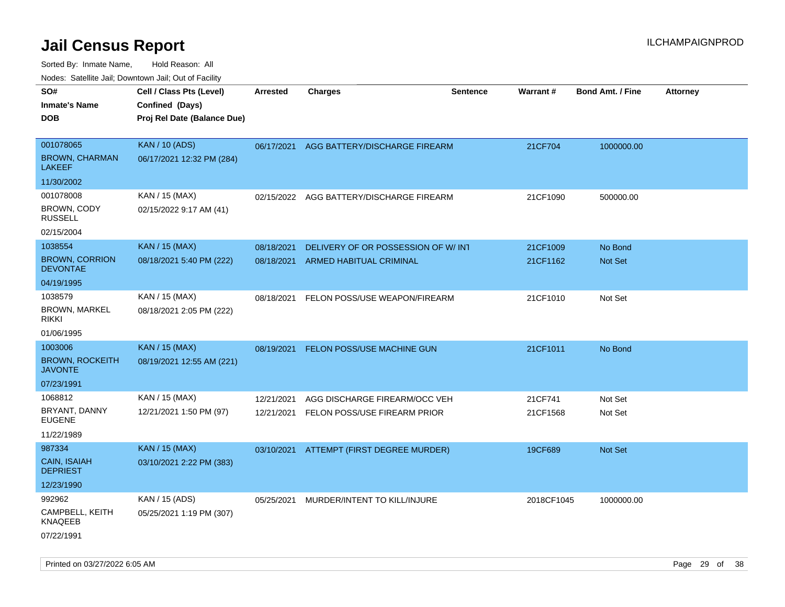| Nudes. Salenne Jan, Downlown Jan, Out of Facility |                             |            |                                          |                 |            |                         |                 |
|---------------------------------------------------|-----------------------------|------------|------------------------------------------|-----------------|------------|-------------------------|-----------------|
| SO#                                               | Cell / Class Pts (Level)    | Arrested   | <b>Charges</b>                           | <b>Sentence</b> | Warrant#   | <b>Bond Amt. / Fine</b> | <b>Attorney</b> |
| <b>Inmate's Name</b>                              | Confined (Days)             |            |                                          |                 |            |                         |                 |
| DOB                                               | Proj Rel Date (Balance Due) |            |                                          |                 |            |                         |                 |
|                                                   |                             |            |                                          |                 |            |                         |                 |
| 001078065                                         | <b>KAN / 10 (ADS)</b>       | 06/17/2021 | AGG BATTERY/DISCHARGE FIREARM            |                 | 21CF704    | 1000000.00              |                 |
| <b>BROWN, CHARMAN</b><br>LAKEEF                   | 06/17/2021 12:32 PM (284)   |            |                                          |                 |            |                         |                 |
| 11/30/2002                                        |                             |            |                                          |                 |            |                         |                 |
| 001078008                                         | KAN / 15 (MAX)              | 02/15/2022 | AGG BATTERY/DISCHARGE FIREARM            |                 | 21CF1090   | 500000.00               |                 |
| BROWN, CODY<br><b>RUSSELL</b>                     | 02/15/2022 9:17 AM (41)     |            |                                          |                 |            |                         |                 |
| 02/15/2004                                        |                             |            |                                          |                 |            |                         |                 |
| 1038554                                           | <b>KAN / 15 (MAX)</b>       | 08/18/2021 | DELIVERY OF OR POSSESSION OF W/INT       |                 | 21CF1009   | No Bond                 |                 |
| <b>BROWN, CORRION</b><br><b>DEVONTAE</b>          | 08/18/2021 5:40 PM (222)    | 08/18/2021 | ARMED HABITUAL CRIMINAL                  |                 | 21CF1162   | Not Set                 |                 |
| 04/19/1995                                        |                             |            |                                          |                 |            |                         |                 |
| 1038579                                           | KAN / 15 (MAX)              | 08/18/2021 | FELON POSS/USE WEAPON/FIREARM            |                 | 21CF1010   | Not Set                 |                 |
| <b>BROWN, MARKEL</b><br>rikki                     | 08/18/2021 2:05 PM (222)    |            |                                          |                 |            |                         |                 |
| 01/06/1995                                        |                             |            |                                          |                 |            |                         |                 |
| 1003006                                           | <b>KAN / 15 (MAX)</b>       | 08/19/2021 | <b>FELON POSS/USE MACHINE GUN</b>        |                 | 21CF1011   | No Bond                 |                 |
| <b>BROWN, ROCKEITH</b><br>JAVONTE                 | 08/19/2021 12:55 AM (221)   |            |                                          |                 |            |                         |                 |
| 07/23/1991                                        |                             |            |                                          |                 |            |                         |                 |
| 1068812                                           | KAN / 15 (MAX)              | 12/21/2021 | AGG DISCHARGE FIREARM/OCC VEH            |                 | 21CF741    | Not Set                 |                 |
| BRYANT, DANNY<br>EUGENE                           | 12/21/2021 1:50 PM (97)     | 12/21/2021 | FELON POSS/USE FIREARM PRIOR             |                 | 21CF1568   | Not Set                 |                 |
| 11/22/1989                                        |                             |            |                                          |                 |            |                         |                 |
| 987334                                            | <b>KAN / 15 (MAX)</b>       |            | 03/10/2021 ATTEMPT (FIRST DEGREE MURDER) |                 | 19CF689    | <b>Not Set</b>          |                 |
| <b>CAIN, ISAIAH</b><br><b>DEPRIEST</b>            | 03/10/2021 2:22 PM (383)    |            |                                          |                 |            |                         |                 |
| 12/23/1990                                        |                             |            |                                          |                 |            |                         |                 |
| 992962                                            | KAN / 15 (ADS)              | 05/25/2021 | MURDER/INTENT TO KILL/INJURE             |                 | 2018CF1045 | 1000000.00              |                 |
| CAMPBELL, KEITH<br>KNAQEEB                        | 05/25/2021 1:19 PM (307)    |            |                                          |                 |            |                         |                 |
| 07/22/1991                                        |                             |            |                                          |                 |            |                         |                 |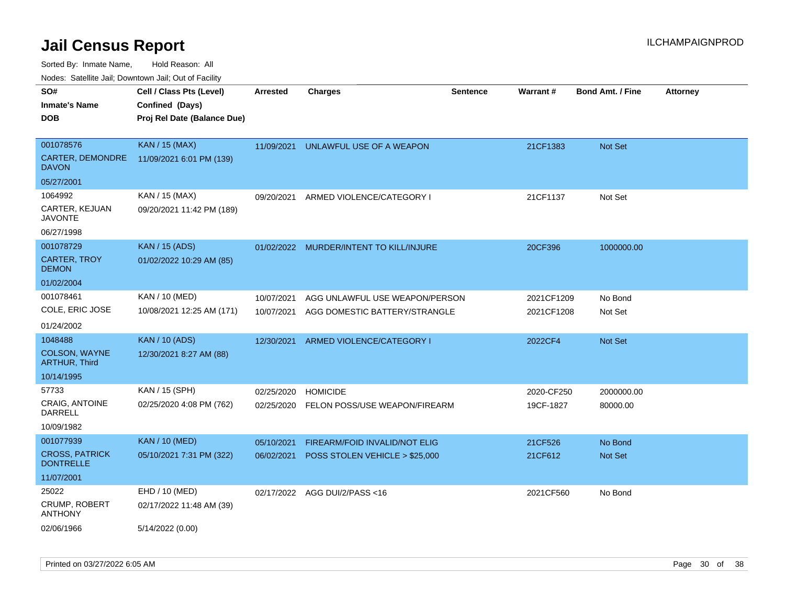Sorted By: Inmate Name, Hold Reason: All

Nodes: Satellite Jail; Downtown Jail; Out of Facility

| SO#                                       | Cell / Class Pts (Level)    | <b>Arrested</b> | <b>Charges</b>                       | <b>Sentence</b> | Warrant#   | <b>Bond Amt. / Fine</b> | <b>Attorney</b> |
|-------------------------------------------|-----------------------------|-----------------|--------------------------------------|-----------------|------------|-------------------------|-----------------|
| <b>Inmate's Name</b>                      | Confined (Days)             |                 |                                      |                 |            |                         |                 |
| <b>DOB</b>                                | Proj Rel Date (Balance Due) |                 |                                      |                 |            |                         |                 |
|                                           |                             |                 |                                      |                 |            |                         |                 |
| 001078576                                 | <b>KAN / 15 (MAX)</b>       | 11/09/2021      | UNLAWFUL USE OF A WEAPON             |                 | 21CF1383   | Not Set                 |                 |
| CARTER, DEMONDRE<br><b>DAVON</b>          | 11/09/2021 6:01 PM (139)    |                 |                                      |                 |            |                         |                 |
| 05/27/2001                                |                             |                 |                                      |                 |            |                         |                 |
| 1064992                                   | KAN / 15 (MAX)              | 09/20/2021      | ARMED VIOLENCE/CATEGORY I            |                 | 21CF1137   | Not Set                 |                 |
| CARTER, KEJUAN<br><b>JAVONTE</b>          | 09/20/2021 11:42 PM (189)   |                 |                                      |                 |            |                         |                 |
| 06/27/1998                                |                             |                 |                                      |                 |            |                         |                 |
| 001078729                                 | <b>KAN / 15 (ADS)</b>       | 01/02/2022      | MURDER/INTENT TO KILL/INJURE         |                 | 20CF396    | 1000000.00              |                 |
| <b>CARTER, TROY</b><br><b>DEMON</b>       | 01/02/2022 10:29 AM (85)    |                 |                                      |                 |            |                         |                 |
| 01/02/2004                                |                             |                 |                                      |                 |            |                         |                 |
| 001078461                                 | KAN / 10 (MED)              | 10/07/2021      | AGG UNLAWFUL USE WEAPON/PERSON       |                 | 2021CF1209 | No Bond                 |                 |
| COLE, ERIC JOSE                           | 10/08/2021 12:25 AM (171)   | 10/07/2021      | AGG DOMESTIC BATTERY/STRANGLE        |                 | 2021CF1208 | Not Set                 |                 |
| 01/24/2002                                |                             |                 |                                      |                 |            |                         |                 |
| 1048488                                   | <b>KAN / 10 (ADS)</b>       | 12/30/2021      | ARMED VIOLENCE/CATEGORY I            |                 | 2022CF4    | Not Set                 |                 |
| COLSON, WAYNE<br><b>ARTHUR, Third</b>     | 12/30/2021 8:27 AM (88)     |                 |                                      |                 |            |                         |                 |
| 10/14/1995                                |                             |                 |                                      |                 |            |                         |                 |
| 57733                                     | KAN / 15 (SPH)              | 02/25/2020      | <b>HOMICIDE</b>                      |                 | 2020-CF250 | 2000000.00              |                 |
| CRAIG, ANTOINE<br><b>DARRELL</b>          | 02/25/2020 4:08 PM (762)    | 02/25/2020      | FELON POSS/USE WEAPON/FIREARM        |                 | 19CF-1827  | 80000.00                |                 |
| 10/09/1982                                |                             |                 |                                      |                 |            |                         |                 |
| 001077939                                 | <b>KAN / 10 (MED)</b>       | 05/10/2021      | <b>FIREARM/FOID INVALID/NOT ELIG</b> |                 | 21CF526    | No Bond                 |                 |
| <b>CROSS, PATRICK</b><br><b>DONTRELLE</b> | 05/10/2021 7:31 PM (322)    | 06/02/2021      | POSS STOLEN VEHICLE > \$25,000       |                 | 21CF612    | Not Set                 |                 |
| 11/07/2001                                |                             |                 |                                      |                 |            |                         |                 |
| 25022                                     | EHD / 10 (MED)              |                 | 02/17/2022 AGG DUI/2/PASS<16         |                 | 2021CF560  | No Bond                 |                 |
| CRUMP, ROBERT<br><b>ANTHONY</b>           | 02/17/2022 11:48 AM (39)    |                 |                                      |                 |            |                         |                 |
| 02/06/1966                                | 5/14/2022 (0.00)            |                 |                                      |                 |            |                         |                 |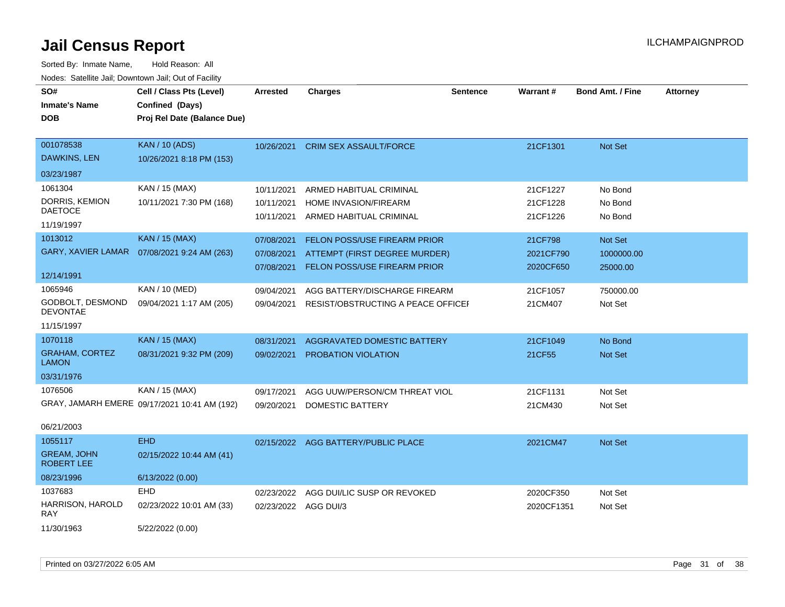| rougs. Calcing Jan, Downtown Jan, Out of Facinty |                                              |                      |                                     |                 |            |                         |                 |
|--------------------------------------------------|----------------------------------------------|----------------------|-------------------------------------|-----------------|------------|-------------------------|-----------------|
| SO#                                              | Cell / Class Pts (Level)                     | <b>Arrested</b>      | <b>Charges</b>                      | <b>Sentence</b> | Warrant#   | <b>Bond Amt. / Fine</b> | <b>Attorney</b> |
| <b>Inmate's Name</b>                             | Confined (Days)                              |                      |                                     |                 |            |                         |                 |
| <b>DOB</b>                                       | Proj Rel Date (Balance Due)                  |                      |                                     |                 |            |                         |                 |
|                                                  |                                              |                      |                                     |                 |            |                         |                 |
| 001078538                                        | <b>KAN / 10 (ADS)</b>                        | 10/26/2021           | <b>CRIM SEX ASSAULT/FORCE</b>       |                 | 21CF1301   | <b>Not Set</b>          |                 |
| DAWKINS, LEN                                     | 10/26/2021 8:18 PM (153)                     |                      |                                     |                 |            |                         |                 |
| 03/23/1987                                       |                                              |                      |                                     |                 |            |                         |                 |
| 1061304                                          | KAN / 15 (MAX)                               | 10/11/2021           | ARMED HABITUAL CRIMINAL             |                 | 21CF1227   | No Bond                 |                 |
| DORRIS, KEMION                                   | 10/11/2021 7:30 PM (168)                     | 10/11/2021           | <b>HOME INVASION/FIREARM</b>        |                 | 21CF1228   | No Bond                 |                 |
| <b>DAETOCE</b>                                   |                                              | 10/11/2021           | ARMED HABITUAL CRIMINAL             |                 | 21CF1226   | No Bond                 |                 |
| 11/19/1997                                       |                                              |                      |                                     |                 |            |                         |                 |
| 1013012                                          | <b>KAN / 15 (MAX)</b>                        | 07/08/2021           | FELON POSS/USE FIREARM PRIOR        |                 | 21CF798    | Not Set                 |                 |
| <b>GARY, XAVIER LAMAR</b>                        | 07/08/2021 9:24 AM (263)                     | 07/08/2021           | ATTEMPT (FIRST DEGREE MURDER)       |                 | 2021CF790  | 1000000.00              |                 |
|                                                  |                                              | 07/08/2021           | FELON POSS/USE FIREARM PRIOR        |                 | 2020CF650  | 25000.00                |                 |
| 12/14/1991                                       |                                              |                      |                                     |                 |            |                         |                 |
| 1065946                                          | KAN / 10 (MED)                               | 09/04/2021           | AGG BATTERY/DISCHARGE FIREARM       |                 | 21CF1057   | 750000.00               |                 |
| GODBOLT, DESMOND<br><b>DEVONTAE</b>              | 09/04/2021 1:17 AM (205)                     | 09/04/2021           | RESIST/OBSTRUCTING A PEACE OFFICEL  |                 | 21CM407    | Not Set                 |                 |
| 11/15/1997                                       |                                              |                      |                                     |                 |            |                         |                 |
| 1070118                                          | <b>KAN / 15 (MAX)</b>                        | 08/31/2021           | AGGRAVATED DOMESTIC BATTERY         |                 | 21CF1049   | No Bond                 |                 |
| <b>GRAHAM, CORTEZ</b><br><b>LAMON</b>            | 08/31/2021 9:32 PM (209)                     | 09/02/2021           | <b>PROBATION VIOLATION</b>          |                 | 21CF55     | <b>Not Set</b>          |                 |
| 03/31/1976                                       |                                              |                      |                                     |                 |            |                         |                 |
| 1076506                                          | KAN / 15 (MAX)                               | 09/17/2021           | AGG UUW/PERSON/CM THREAT VIOL       |                 | 21CF1131   | Not Set                 |                 |
|                                                  | GRAY, JAMARH EMERE 09/17/2021 10:41 AM (192) | 09/20/2021           | DOMESTIC BATTERY                    |                 | 21CM430    | Not Set                 |                 |
|                                                  |                                              |                      |                                     |                 |            |                         |                 |
| 06/21/2003                                       |                                              |                      |                                     |                 |            |                         |                 |
| 1055117                                          | <b>EHD</b>                                   |                      | 02/15/2022 AGG BATTERY/PUBLIC PLACE |                 | 2021CM47   | Not Set                 |                 |
| <b>GREAM, JOHN</b><br><b>ROBERT LEE</b>          | 02/15/2022 10:44 AM (41)                     |                      |                                     |                 |            |                         |                 |
| 08/23/1996                                       | 6/13/2022 (0.00)                             |                      |                                     |                 |            |                         |                 |
| 1037683                                          | EHD                                          | 02/23/2022           | AGG DUI/LIC SUSP OR REVOKED         |                 | 2020CF350  | Not Set                 |                 |
| HARRISON, HAROLD<br><b>RAY</b>                   | 02/23/2022 10:01 AM (33)                     | 02/23/2022 AGG DUI/3 |                                     |                 | 2020CF1351 | Not Set                 |                 |
| 11/30/1963                                       | 5/22/2022 (0.00)                             |                      |                                     |                 |            |                         |                 |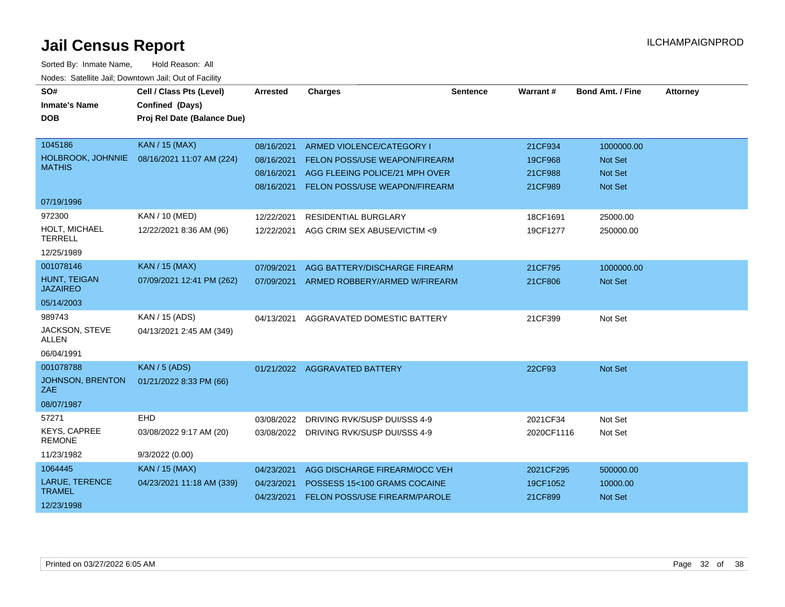| SO#                                  | Cell / Class Pts (Level)    | <b>Arrested</b> | <b>Charges</b>                           | <b>Sentence</b> | Warrant #  | <b>Bond Amt. / Fine</b> | <b>Attorney</b> |
|--------------------------------------|-----------------------------|-----------------|------------------------------------------|-----------------|------------|-------------------------|-----------------|
| <b>Inmate's Name</b>                 | Confined (Days)             |                 |                                          |                 |            |                         |                 |
| <b>DOB</b>                           | Proj Rel Date (Balance Due) |                 |                                          |                 |            |                         |                 |
|                                      |                             |                 |                                          |                 |            |                         |                 |
| 1045186                              | <b>KAN / 15 (MAX)</b>       | 08/16/2021      | ARMED VIOLENCE/CATEGORY I                |                 | 21CF934    | 1000000.00              |                 |
| HOLBROOK, JOHNNIE                    | 08/16/2021 11:07 AM (224)   | 08/16/2021      | FELON POSS/USE WEAPON/FIREARM            |                 | 19CF968    | Not Set                 |                 |
| <b>MATHIS</b>                        |                             | 08/16/2021      | AGG FLEEING POLICE/21 MPH OVER           |                 | 21CF988    | <b>Not Set</b>          |                 |
|                                      |                             | 08/16/2021      | FELON POSS/USE WEAPON/FIREARM            |                 | 21CF989    | Not Set                 |                 |
| 07/19/1996                           |                             |                 |                                          |                 |            |                         |                 |
| 972300                               | KAN / 10 (MED)              | 12/22/2021      | <b>RESIDENTIAL BURGLARY</b>              |                 | 18CF1691   | 25000.00                |                 |
| HOLT, MICHAEL<br><b>TERRELL</b>      | 12/22/2021 8:36 AM (96)     | 12/22/2021      | AGG CRIM SEX ABUSE/VICTIM <9             |                 | 19CF1277   | 250000.00               |                 |
| 12/25/1989                           |                             |                 |                                          |                 |            |                         |                 |
| 001078146                            | <b>KAN / 15 (MAX)</b>       | 07/09/2021      | AGG BATTERY/DISCHARGE FIREARM            |                 | 21CF795    | 1000000.00              |                 |
| HUNT, TEIGAN<br><b>JAZAIREO</b>      | 07/09/2021 12:41 PM (262)   |                 | 07/09/2021 ARMED ROBBERY/ARMED W/FIREARM |                 | 21CF806    | <b>Not Set</b>          |                 |
| 05/14/2003                           |                             |                 |                                          |                 |            |                         |                 |
| 989743                               | KAN / 15 (ADS)              | 04/13/2021      | AGGRAVATED DOMESTIC BATTERY              |                 | 21CF399    | Not Set                 |                 |
| JACKSON, STEVE<br><b>ALLEN</b>       | 04/13/2021 2:45 AM (349)    |                 |                                          |                 |            |                         |                 |
| 06/04/1991                           |                             |                 |                                          |                 |            |                         |                 |
| 001078788                            | <b>KAN / 5 (ADS)</b>        |                 | 01/21/2022 AGGRAVATED BATTERY            |                 | 22CF93     | Not Set                 |                 |
| <b>JOHNSON, BRENTON</b><br>ZAE       | 01/21/2022 8:33 PM (66)     |                 |                                          |                 |            |                         |                 |
| 08/07/1987                           |                             |                 |                                          |                 |            |                         |                 |
| 57271                                | EHD                         | 03/08/2022      | DRIVING RVK/SUSP DUI/SSS 4-9             |                 | 2021CF34   | Not Set                 |                 |
| <b>KEYS, CAPREE</b><br><b>REMONE</b> | 03/08/2022 9:17 AM (20)     | 03/08/2022      | DRIVING RVK/SUSP DUI/SSS 4-9             |                 | 2020CF1116 | Not Set                 |                 |
| 11/23/1982                           | 9/3/2022 (0.00)             |                 |                                          |                 |            |                         |                 |
| 1064445                              | <b>KAN / 15 (MAX)</b>       | 04/23/2021      | AGG DISCHARGE FIREARM/OCC VEH            |                 | 2021CF295  | 500000.00               |                 |
| LARUE, TERENCE                       | 04/23/2021 11:18 AM (339)   | 04/23/2021      | POSSESS 15<100 GRAMS COCAINE             |                 | 19CF1052   | 10000.00                |                 |
| <b>TRAMEL</b>                        |                             | 04/23/2021      | FELON POSS/USE FIREARM/PAROLE            |                 | 21CF899    | Not Set                 |                 |
| 12/23/1998                           |                             |                 |                                          |                 |            |                         |                 |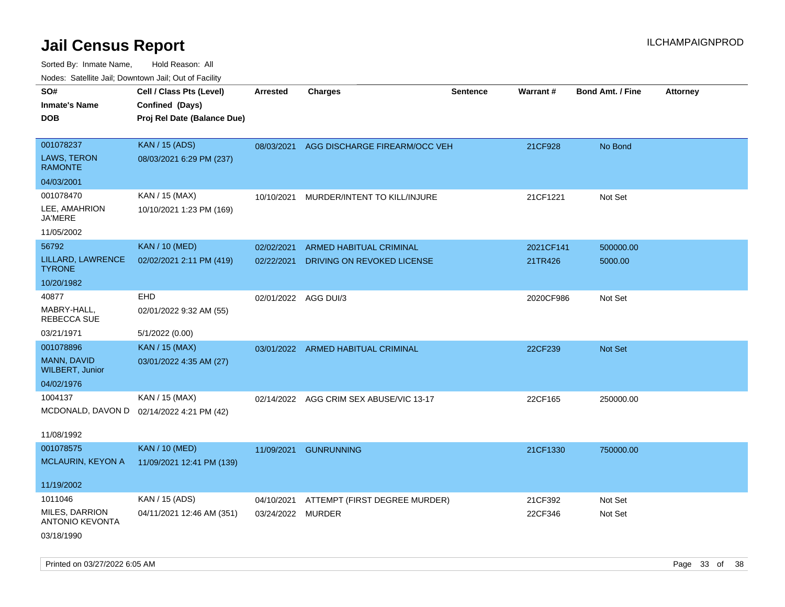| roaco. Catolino dall, Downtown dall, Out of Fability |                                           |                      |                                          |                 |                 |                         |                 |
|------------------------------------------------------|-------------------------------------------|----------------------|------------------------------------------|-----------------|-----------------|-------------------------|-----------------|
| SO#                                                  | Cell / Class Pts (Level)                  | <b>Arrested</b>      | Charges                                  | <b>Sentence</b> | <b>Warrant#</b> | <b>Bond Amt. / Fine</b> | <b>Attorney</b> |
| <b>Inmate's Name</b>                                 | Confined (Days)                           |                      |                                          |                 |                 |                         |                 |
| <b>DOB</b>                                           | Proj Rel Date (Balance Due)               |                      |                                          |                 |                 |                         |                 |
|                                                      |                                           |                      |                                          |                 |                 |                         |                 |
| 001078237                                            | <b>KAN / 15 (ADS)</b>                     |                      | 08/03/2021 AGG DISCHARGE FIREARM/OCC VEH |                 | 21CF928         | No Bond                 |                 |
| <b>LAWS, TERON</b><br><b>RAMONTE</b>                 | 08/03/2021 6:29 PM (237)                  |                      |                                          |                 |                 |                         |                 |
| 04/03/2001                                           |                                           |                      |                                          |                 |                 |                         |                 |
| 001078470                                            | KAN / 15 (MAX)                            | 10/10/2021           | MURDER/INTENT TO KILL/INJURE             |                 | 21CF1221        | Not Set                 |                 |
| LEE, AMAHRION<br><b>JA'MERE</b>                      | 10/10/2021 1:23 PM (169)                  |                      |                                          |                 |                 |                         |                 |
| 11/05/2002                                           |                                           |                      |                                          |                 |                 |                         |                 |
| 56792                                                | <b>KAN / 10 (MED)</b>                     | 02/02/2021           | <b>ARMED HABITUAL CRIMINAL</b>           |                 | 2021CF141       | 500000.00               |                 |
| LILLARD, LAWRENCE<br><b>TYRONE</b>                   | 02/02/2021 2:11 PM (419)                  | 02/22/2021           | DRIVING ON REVOKED LICENSE               |                 | 21TR426         | 5000.00                 |                 |
| 10/20/1982                                           |                                           |                      |                                          |                 |                 |                         |                 |
| 40877                                                | <b>EHD</b>                                | 02/01/2022 AGG DUI/3 |                                          |                 | 2020CF986       | Not Set                 |                 |
| MABRY-HALL,<br>REBECCA SUE                           | 02/01/2022 9:32 AM (55)                   |                      |                                          |                 |                 |                         |                 |
| 03/21/1971                                           | 5/1/2022 (0.00)                           |                      |                                          |                 |                 |                         |                 |
| 001078896                                            | <b>KAN / 15 (MAX)</b>                     | 03/01/2022           | ARMED HABITUAL CRIMINAL                  |                 | 22CF239         | <b>Not Set</b>          |                 |
| MANN, DAVID<br><b>WILBERT, Junior</b>                | 03/01/2022 4:35 AM (27)                   |                      |                                          |                 |                 |                         |                 |
| 04/02/1976                                           |                                           |                      |                                          |                 |                 |                         |                 |
| 1004137                                              | KAN / 15 (MAX)                            | 02/14/2022           | AGG CRIM SEX ABUSE/VIC 13-17             |                 | 22CF165         | 250000.00               |                 |
|                                                      | MCDONALD, DAVON D 02/14/2022 4:21 PM (42) |                      |                                          |                 |                 |                         |                 |
|                                                      |                                           |                      |                                          |                 |                 |                         |                 |
| 11/08/1992                                           |                                           |                      |                                          |                 |                 |                         |                 |
| 001078575                                            | <b>KAN / 10 (MED)</b>                     | 11/09/2021           | <b>GUNRUNNING</b>                        |                 | 21CF1330        | 750000.00               |                 |
| MCLAURIN, KEYON A                                    | 11/09/2021 12:41 PM (139)                 |                      |                                          |                 |                 |                         |                 |
| 11/19/2002                                           |                                           |                      |                                          |                 |                 |                         |                 |
| 1011046                                              | KAN / 15 (ADS)                            | 04/10/2021           | ATTEMPT (FIRST DEGREE MURDER)            |                 | 21CF392         | Not Set                 |                 |
| MILES, DARRION<br><b>ANTONIO KEVONTA</b>             | 04/11/2021 12:46 AM (351)                 | 03/24/2022 MURDER    |                                          |                 | 22CF346         | Not Set                 |                 |
| 03/18/1990                                           |                                           |                      |                                          |                 |                 |                         |                 |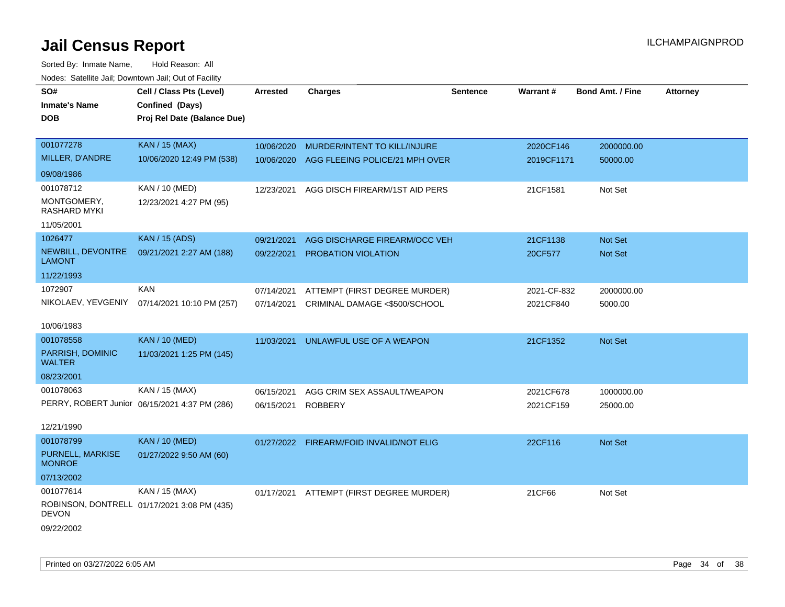| SO#                               | Cell / Class Pts (Level)                      | <b>Arrested</b> | <b>Charges</b>                           | <b>Sentence</b> | Warrant#    | <b>Bond Amt. / Fine</b> | <b>Attorney</b> |
|-----------------------------------|-----------------------------------------------|-----------------|------------------------------------------|-----------------|-------------|-------------------------|-----------------|
| <b>Inmate's Name</b>              | Confined (Days)                               |                 |                                          |                 |             |                         |                 |
| <b>DOB</b>                        | Proj Rel Date (Balance Due)                   |                 |                                          |                 |             |                         |                 |
|                                   |                                               |                 |                                          |                 |             |                         |                 |
| 001077278                         | <b>KAN / 15 (MAX)</b>                         | 10/06/2020      | MURDER/INTENT TO KILL/INJURE             |                 | 2020CF146   | 2000000.00              |                 |
| MILLER, D'ANDRE                   | 10/06/2020 12:49 PM (538)                     | 10/06/2020      | AGG FLEEING POLICE/21 MPH OVER           |                 | 2019CF1171  | 50000.00                |                 |
| 09/08/1986                        |                                               |                 |                                          |                 |             |                         |                 |
| 001078712                         | KAN / 10 (MED)                                | 12/23/2021      | AGG DISCH FIREARM/1ST AID PERS           |                 | 21CF1581    | Not Set                 |                 |
| MONTGOMERY,<br>RASHARD MYKI       | 12/23/2021 4:27 PM (95)                       |                 |                                          |                 |             |                         |                 |
| 11/05/2001                        |                                               |                 |                                          |                 |             |                         |                 |
| 1026477                           | <b>KAN / 15 (ADS)</b>                         | 09/21/2021      | AGG DISCHARGE FIREARM/OCC VEH            |                 | 21CF1138    | Not Set                 |                 |
| NEWBILL, DEVONTRE<br>LAMONT       | 09/21/2021 2:27 AM (188)                      | 09/22/2021      | PROBATION VIOLATION                      |                 | 20CF577     | <b>Not Set</b>          |                 |
| 11/22/1993                        |                                               |                 |                                          |                 |             |                         |                 |
| 1072907                           | <b>KAN</b>                                    | 07/14/2021      | ATTEMPT (FIRST DEGREE MURDER)            |                 | 2021-CF-832 | 2000000.00              |                 |
| NIKOLAEV, YEVGENIY                | 07/14/2021 10:10 PM (257)                     | 07/14/2021      | CRIMINAL DAMAGE <\$500/SCHOOL            |                 | 2021CF840   | 5000.00                 |                 |
| 10/06/1983                        |                                               |                 |                                          |                 |             |                         |                 |
| 001078558                         | <b>KAN / 10 (MED)</b>                         | 11/03/2021      | UNLAWFUL USE OF A WEAPON                 |                 | 21CF1352    | <b>Not Set</b>          |                 |
| PARRISH, DOMINIC<br><b>WALTER</b> | 11/03/2021 1:25 PM (145)                      |                 |                                          |                 |             |                         |                 |
| 08/23/2001                        |                                               |                 |                                          |                 |             |                         |                 |
| 001078063                         | KAN / 15 (MAX)                                | 06/15/2021      | AGG CRIM SEX ASSAULT/WEAPON              |                 | 2021CF678   | 1000000.00              |                 |
|                                   | PERRY, ROBERT Junior 06/15/2021 4:37 PM (286) | 06/15/2021      | <b>ROBBERY</b>                           |                 | 2021CF159   | 25000.00                |                 |
| 12/21/1990                        |                                               |                 |                                          |                 |             |                         |                 |
| 001078799                         | <b>KAN / 10 (MED)</b>                         |                 | 01/27/2022 FIREARM/FOID INVALID/NOT ELIG |                 | 22CF116     | Not Set                 |                 |
| PURNELL, MARKISE<br><b>MONROE</b> | 01/27/2022 9:50 AM (60)                       |                 |                                          |                 |             |                         |                 |
| 07/13/2002                        |                                               |                 |                                          |                 |             |                         |                 |
| 001077614                         | KAN / 15 (MAX)                                | 01/17/2021      | ATTEMPT (FIRST DEGREE MURDER)            |                 | 21CF66      | Not Set                 |                 |
| <b>DEVON</b>                      | ROBINSON, DONTRELL 01/17/2021 3:08 PM (435)   |                 |                                          |                 |             |                         |                 |
| 09/22/2002                        |                                               |                 |                                          |                 |             |                         |                 |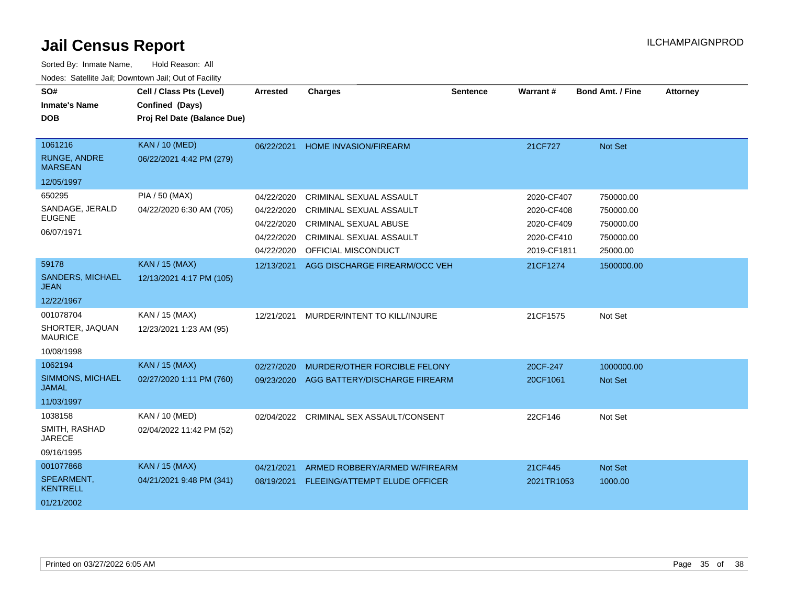| SO#<br><b>Inmate's Name</b><br><b>DOB</b> | Cell / Class Pts (Level)<br>Confined (Days)<br>Proj Rel Date (Balance Due) | Arrested   | <b>Charges</b>                       | <b>Sentence</b> | Warrant#    | <b>Bond Amt. / Fine</b> | <b>Attorney</b> |
|-------------------------------------------|----------------------------------------------------------------------------|------------|--------------------------------------|-----------------|-------------|-------------------------|-----------------|
|                                           |                                                                            |            |                                      |                 |             |                         |                 |
| 1061216                                   | <b>KAN / 10 (MED)</b>                                                      | 06/22/2021 | <b>HOME INVASION/FIREARM</b>         |                 | 21CF727     | Not Set                 |                 |
| <b>RUNGE, ANDRE</b><br><b>MARSEAN</b>     | 06/22/2021 4:42 PM (279)                                                   |            |                                      |                 |             |                         |                 |
| 12/05/1997                                |                                                                            |            |                                      |                 |             |                         |                 |
| 650295                                    | PIA / 50 (MAX)                                                             | 04/22/2020 | CRIMINAL SEXUAL ASSAULT              |                 | 2020-CF407  | 750000.00               |                 |
| SANDAGE, JERALD                           | 04/22/2020 6:30 AM (705)                                                   | 04/22/2020 | <b>CRIMINAL SEXUAL ASSAULT</b>       |                 | 2020-CF408  | 750000.00               |                 |
| <b>EUGENE</b>                             |                                                                            | 04/22/2020 | <b>CRIMINAL SEXUAL ABUSE</b>         |                 | 2020-CF409  | 750000.00               |                 |
| 06/07/1971                                |                                                                            | 04/22/2020 | CRIMINAL SEXUAL ASSAULT              |                 | 2020-CF410  | 750000.00               |                 |
|                                           |                                                                            | 04/22/2020 | OFFICIAL MISCONDUCT                  |                 | 2019-CF1811 | 25000.00                |                 |
| 59178                                     | <b>KAN / 15 (MAX)</b>                                                      | 12/13/2021 | AGG DISCHARGE FIREARM/OCC VEH        |                 | 21CF1274    | 1500000.00              |                 |
| SANDERS, MICHAEL<br>JEAN                  | 12/13/2021 4:17 PM (105)                                                   |            |                                      |                 |             |                         |                 |
| 12/22/1967                                |                                                                            |            |                                      |                 |             |                         |                 |
| 001078704                                 | KAN / 15 (MAX)                                                             | 12/21/2021 | MURDER/INTENT TO KILL/INJURE         |                 | 21CF1575    | Not Set                 |                 |
| SHORTER, JAQUAN<br><b>MAURICE</b>         | 12/23/2021 1:23 AM (95)                                                    |            |                                      |                 |             |                         |                 |
| 10/08/1998                                |                                                                            |            |                                      |                 |             |                         |                 |
| 1062194                                   | <b>KAN / 15 (MAX)</b>                                                      | 02/27/2020 | MURDER/OTHER FORCIBLE FELONY         |                 | 20CF-247    | 1000000.00              |                 |
| SIMMONS, MICHAEL<br><b>JAMAL</b>          | 02/27/2020 1:11 PM (760)                                                   | 09/23/2020 | AGG BATTERY/DISCHARGE FIREARM        |                 | 20CF1061    | <b>Not Set</b>          |                 |
| 11/03/1997                                |                                                                            |            |                                      |                 |             |                         |                 |
| 1038158                                   | KAN / 10 (MED)                                                             | 02/04/2022 | CRIMINAL SEX ASSAULT/CONSENT         |                 | 22CF146     | Not Set                 |                 |
| SMITH, RASHAD<br><b>JARECE</b>            | 02/04/2022 11:42 PM (52)                                                   |            |                                      |                 |             |                         |                 |
| 09/16/1995                                |                                                                            |            |                                      |                 |             |                         |                 |
| 001077868                                 | <b>KAN / 15 (MAX)</b>                                                      | 04/21/2021 | ARMED ROBBERY/ARMED W/FIREARM        |                 | 21CF445     | Not Set                 |                 |
| SPEARMENT,<br><b>KENTRELL</b>             | 04/21/2021 9:48 PM (341)                                                   | 08/19/2021 | <b>FLEEING/ATTEMPT ELUDE OFFICER</b> |                 | 2021TR1053  | 1000.00                 |                 |
| 01/21/2002                                |                                                                            |            |                                      |                 |             |                         |                 |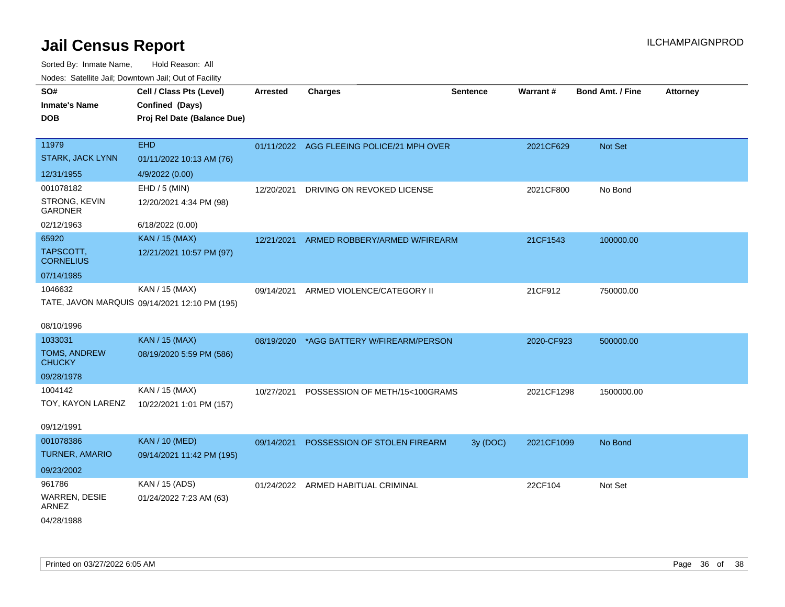| ivuutos. Saltiilit Jali, Duwilluwii Jali, Oul of Facility |                                               |                 |                                           |                 |            |                  |                 |  |
|-----------------------------------------------------------|-----------------------------------------------|-----------------|-------------------------------------------|-----------------|------------|------------------|-----------------|--|
| SO#                                                       | Cell / Class Pts (Level)                      | <b>Arrested</b> | <b>Charges</b>                            | <b>Sentence</b> | Warrant#   | Bond Amt. / Fine | <b>Attorney</b> |  |
| <b>Inmate's Name</b>                                      | Confined (Days)                               |                 |                                           |                 |            |                  |                 |  |
| <b>DOB</b>                                                | Proj Rel Date (Balance Due)                   |                 |                                           |                 |            |                  |                 |  |
|                                                           |                                               |                 |                                           |                 |            |                  |                 |  |
| 11979                                                     | <b>EHD</b>                                    |                 | 01/11/2022 AGG FLEEING POLICE/21 MPH OVER |                 | 2021CF629  | <b>Not Set</b>   |                 |  |
| STARK, JACK LYNN                                          | 01/11/2022 10:13 AM (76)                      |                 |                                           |                 |            |                  |                 |  |
| 12/31/1955                                                | 4/9/2022 (0.00)                               |                 |                                           |                 |            |                  |                 |  |
| 001078182                                                 | EHD / 5 (MIN)                                 | 12/20/2021      | DRIVING ON REVOKED LICENSE                |                 | 2021CF800  | No Bond          |                 |  |
| STRONG, KEVIN<br><b>GARDNER</b>                           | 12/20/2021 4:34 PM (98)                       |                 |                                           |                 |            |                  |                 |  |
| 02/12/1963                                                | 6/18/2022 (0.00)                              |                 |                                           |                 |            |                  |                 |  |
| 65920                                                     | <b>KAN / 15 (MAX)</b>                         | 12/21/2021      | ARMED ROBBERY/ARMED W/FIREARM             |                 | 21CF1543   | 100000.00        |                 |  |
| TAPSCOTT,<br><b>CORNELIUS</b>                             | 12/21/2021 10:57 PM (97)                      |                 |                                           |                 |            |                  |                 |  |
| 07/14/1985                                                |                                               |                 |                                           |                 |            |                  |                 |  |
| 1046632                                                   | KAN / 15 (MAX)                                | 09/14/2021      | ARMED VIOLENCE/CATEGORY II                |                 | 21CF912    | 750000.00        |                 |  |
|                                                           | TATE, JAVON MARQUIS 09/14/2021 12:10 PM (195) |                 |                                           |                 |            |                  |                 |  |
|                                                           |                                               |                 |                                           |                 |            |                  |                 |  |
| 08/10/1996                                                |                                               |                 |                                           |                 |            |                  |                 |  |
| 1033031                                                   | <b>KAN / 15 (MAX)</b>                         |                 | 08/19/2020 *AGG BATTERY W/FIREARM/PERSON  |                 | 2020-CF923 | 500000.00        |                 |  |
| <b>TOMS, ANDREW</b><br><b>CHUCKY</b>                      | 08/19/2020 5:59 PM (586)                      |                 |                                           |                 |            |                  |                 |  |
| 09/28/1978                                                |                                               |                 |                                           |                 |            |                  |                 |  |
| 1004142                                                   | KAN / 15 (MAX)                                | 10/27/2021      | POSSESSION OF METH/15<100GRAMS            |                 | 2021CF1298 | 1500000.00       |                 |  |
| TOY, KAYON LARENZ                                         | 10/22/2021 1:01 PM (157)                      |                 |                                           |                 |            |                  |                 |  |
| 09/12/1991                                                |                                               |                 |                                           |                 |            |                  |                 |  |
| 001078386                                                 | <b>KAN / 10 (MED)</b>                         | 09/14/2021      | POSSESSION OF STOLEN FIREARM              | 3y (DOC)        | 2021CF1099 | No Bond          |                 |  |
| <b>TURNER, AMARIO</b>                                     | 09/14/2021 11:42 PM (195)                     |                 |                                           |                 |            |                  |                 |  |
| 09/23/2002                                                |                                               |                 |                                           |                 |            |                  |                 |  |
| 961786                                                    | KAN / 15 (ADS)                                |                 | 01/24/2022 ARMED HABITUAL CRIMINAL        |                 | 22CF104    | Not Set          |                 |  |
| WARREN, DESIE<br><b>ARNEZ</b>                             | 01/24/2022 7:23 AM (63)                       |                 |                                           |                 |            |                  |                 |  |
| 04/28/1988                                                |                                               |                 |                                           |                 |            |                  |                 |  |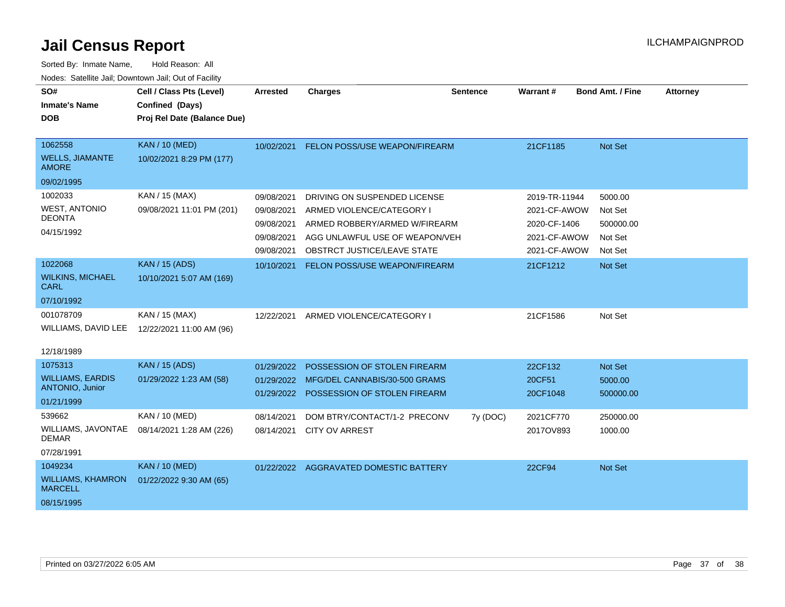| SO#                                               | Cell / Class Pts (Level)    | <b>Arrested</b> | <b>Charges</b>                          | <b>Sentence</b> | <b>Warrant#</b> | <b>Bond Amt. / Fine</b> | <b>Attorney</b> |
|---------------------------------------------------|-----------------------------|-----------------|-----------------------------------------|-----------------|-----------------|-------------------------|-----------------|
| <b>Inmate's Name</b>                              | Confined (Days)             |                 |                                         |                 |                 |                         |                 |
| <b>DOB</b>                                        | Proj Rel Date (Balance Due) |                 |                                         |                 |                 |                         |                 |
|                                                   |                             |                 |                                         |                 |                 |                         |                 |
| 1062558                                           | <b>KAN / 10 (MED)</b>       | 10/02/2021      | FELON POSS/USE WEAPON/FIREARM           |                 | 21CF1185        | Not Set                 |                 |
| <b>WELLS, JIAMANTE</b><br><b>AMORE</b>            | 10/02/2021 8:29 PM (177)    |                 |                                         |                 |                 |                         |                 |
| 09/02/1995                                        |                             |                 |                                         |                 |                 |                         |                 |
| 1002033                                           | KAN / 15 (MAX)              | 09/08/2021      | DRIVING ON SUSPENDED LICENSE            |                 | 2019-TR-11944   | 5000.00                 |                 |
| <b>WEST, ANTONIO</b>                              | 09/08/2021 11:01 PM (201)   | 09/08/2021      | ARMED VIOLENCE/CATEGORY I               |                 | 2021-CF-AWOW    | Not Set                 |                 |
| <b>DEONTA</b>                                     |                             | 09/08/2021      | ARMED ROBBERY/ARMED W/FIREARM           |                 | 2020-CF-1406    | 500000.00               |                 |
| 04/15/1992                                        |                             | 09/08/2021      | AGG UNLAWFUL USE OF WEAPON/VEH          |                 | 2021-CF-AWOW    | Not Set                 |                 |
|                                                   |                             | 09/08/2021      | <b>OBSTRCT JUSTICE/LEAVE STATE</b>      |                 | 2021-CF-AWOW    | Not Set                 |                 |
| 1022068                                           | <b>KAN / 15 (ADS)</b>       | 10/10/2021      | FELON POSS/USE WEAPON/FIREARM           |                 | 21CF1212        | Not Set                 |                 |
| <b>WILKINS, MICHAEL</b><br>CARL                   | 10/10/2021 5:07 AM (169)    |                 |                                         |                 |                 |                         |                 |
| 07/10/1992                                        |                             |                 |                                         |                 |                 |                         |                 |
| 001078709                                         | KAN / 15 (MAX)              | 12/22/2021      | ARMED VIOLENCE/CATEGORY I               |                 | 21CF1586        | Not Set                 |                 |
| WILLIAMS, DAVID LEE                               | 12/22/2021 11:00 AM (96)    |                 |                                         |                 |                 |                         |                 |
|                                                   |                             |                 |                                         |                 |                 |                         |                 |
| 12/18/1989                                        |                             |                 |                                         |                 |                 |                         |                 |
| 1075313                                           | <b>KAN / 15 (ADS)</b>       | 01/29/2022      | POSSESSION OF STOLEN FIREARM            |                 | 22CF132         | Not Set                 |                 |
| <b>WILLIAMS, EARDIS</b><br><b>ANTONIO, Junior</b> | 01/29/2022 1:23 AM (58)     | 01/29/2022      | MFG/DEL CANNABIS/30-500 GRAMS           |                 | 20CF51          | 5000.00                 |                 |
| 01/21/1999                                        |                             |                 | 01/29/2022 POSSESSION OF STOLEN FIREARM |                 | 20CF1048        | 500000.00               |                 |
| 539662                                            | KAN / 10 (MED)              | 08/14/2021      | DOM BTRY/CONTACT/1-2 PRECONV            | 7y (DOC)        | 2021CF770       | 250000.00               |                 |
| WILLIAMS, JAVONTAE                                | 08/14/2021 1:28 AM (226)    | 08/14/2021      | <b>CITY OV ARREST</b>                   |                 | 2017OV893       | 1000.00                 |                 |
| <b>DEMAR</b>                                      |                             |                 |                                         |                 |                 |                         |                 |
| 07/28/1991                                        |                             |                 |                                         |                 |                 |                         |                 |
| 1049234                                           | <b>KAN / 10 (MED)</b>       |                 | 01/22/2022 AGGRAVATED DOMESTIC BATTERY  |                 | 22CF94          | Not Set                 |                 |
| <b>WILLIAMS, KHAMRON</b><br><b>MARCELL</b>        | 01/22/2022 9:30 AM (65)     |                 |                                         |                 |                 |                         |                 |
| 08/15/1995                                        |                             |                 |                                         |                 |                 |                         |                 |